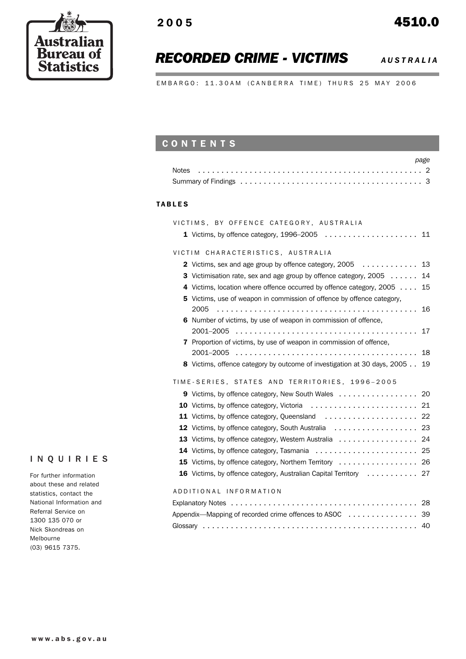

## *RECORDED CRIME - VICTIMS AUSTRALIA*

EMBARGO: 11.30AM (CANBERRA TIME) THURS 25 MAY 2006

## **CONTENTS**

| page |
|------|
|      |
|      |

#### TABLES

| VICTIMS, BY OFFENCE CATEGORY, AUSTRALIA                                     |
|-----------------------------------------------------------------------------|
|                                                                             |
|                                                                             |
| VICTIM CHARACTERISTICS, AUSTRALIA                                           |
|                                                                             |
| 3 Victimisation rate, sex and age group by offence category, 2005 14        |
| 4 Victims, location where offence occurred by offence category, 2005 15     |
| Victims, use of weapon in commission of offence by offence category,<br>5   |
| 2005                                                                        |
| 6 Number of victims, by use of weapon in commission of offence,             |
| 2001-2005                                                                   |
| 7 Proportion of victims, by use of weapon in commission of offence,         |
|                                                                             |
| 8 Victims, offence category by outcome of investigation at 30 days, 2005 19 |
|                                                                             |
| TIME-SERIES, STATES AND TERRITORIES, 1996-2005                              |
| 9 Victims, by offence category, New South Wales 20                          |
|                                                                             |
|                                                                             |
|                                                                             |
| 13 Victims, by offence category, Western Australia 24                       |
|                                                                             |
| 15 Victims, by offence category, Northern Territory  26                     |
| <b>16</b> Victims, by offence category, Australian Capital Territory 27     |
|                                                                             |
| ADDITIONAL INFORMATION                                                      |
|                                                                             |
| Appendix-Mapping of recorded crime offences to ASOC 39                      |
| 40                                                                          |

### INQUIRIES

For further information about these and related statistics, contact the National Information and Referral Service on 1300 135 070 or Nick Skondreas on Melbourne (03) 9615 7375.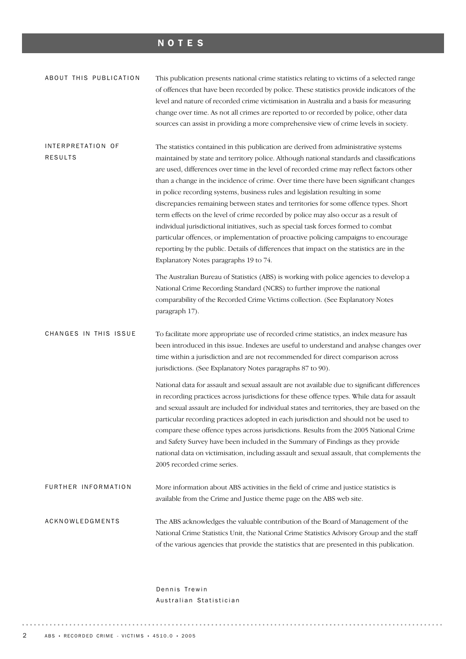## NOTES

| ABOUT THIS PUBLICATION              | This publication presents national crime statistics relating to victims of a selected range<br>of offences that have been recorded by police. These statistics provide indicators of the<br>level and nature of recorded crime victimisation in Australia and a basis for measuring<br>change over time. As not all crimes are reported to or recorded by police, other data<br>sources can assist in providing a more comprehensive view of crime levels in society.                                                                                                                                                                                                                                                                                                                                                                                                                                                                                       |
|-------------------------------------|-------------------------------------------------------------------------------------------------------------------------------------------------------------------------------------------------------------------------------------------------------------------------------------------------------------------------------------------------------------------------------------------------------------------------------------------------------------------------------------------------------------------------------------------------------------------------------------------------------------------------------------------------------------------------------------------------------------------------------------------------------------------------------------------------------------------------------------------------------------------------------------------------------------------------------------------------------------|
| INTERPRETATION OF<br><b>RESULTS</b> | The statistics contained in this publication are derived from administrative systems<br>maintained by state and territory police. Although national standards and classifications<br>are used, differences over time in the level of recorded crime may reflect factors other<br>than a change in the incidence of crime. Over time there have been significant changes<br>in police recording systems, business rules and legislation resulting in some<br>discrepancies remaining between states and territories for some offence types. Short<br>term effects on the level of crime recorded by police may also occur as a result of<br>individual jurisdictional initiatives, such as special task forces formed to combat<br>particular offences, or implementation of proactive policing campaigns to encourage<br>reporting by the public. Details of differences that impact on the statistics are in the<br>Explanatory Notes paragraphs 19 to 74. |
|                                     | The Australian Bureau of Statistics (ABS) is working with police agencies to develop a<br>National Crime Recording Standard (NCRS) to further improve the national<br>comparability of the Recorded Crime Victims collection. (See Explanatory Notes<br>paragraph 17).                                                                                                                                                                                                                                                                                                                                                                                                                                                                                                                                                                                                                                                                                      |
| CHANGES IN THIS ISSUE               | To facilitate more appropriate use of recorded crime statistics, an index measure has<br>been introduced in this issue. Indexes are useful to understand and analyse changes over<br>time within a jurisdiction and are not recommended for direct comparison across<br>jurisdictions. (See Explanatory Notes paragraphs 87 to 90).                                                                                                                                                                                                                                                                                                                                                                                                                                                                                                                                                                                                                         |
|                                     | National data for assault and sexual assault are not available due to significant differences<br>in recording practices across jurisdictions for these offence types. While data for assault<br>and sexual assault are included for individual states and territories, they are based on the<br>particular recording practices adopted in each jurisdiction and should not be used to<br>compare these offence types across jurisdictions. Results from the 2005 National Crime<br>and Safety Survey have been included in the Summary of Findings as they provide<br>national data on victimisation, including assault and sexual assault, that complements the<br>2005 recorded crime series.                                                                                                                                                                                                                                                             |
| FURTHER INFORMATION                 | More information about ABS activities in the field of crime and justice statistics is<br>available from the Crime and Justice theme page on the ABS web site.                                                                                                                                                                                                                                                                                                                                                                                                                                                                                                                                                                                                                                                                                                                                                                                               |
| ACKNOWLEDGMENTS                     | The ABS acknowledges the valuable contribution of the Board of Management of the<br>National Crime Statistics Unit, the National Crime Statistics Advisory Group and the staff<br>of the various agencies that provide the statistics that are presented in this publication.                                                                                                                                                                                                                                                                                                                                                                                                                                                                                                                                                                                                                                                                               |

Dennis Trewin Australian Statistician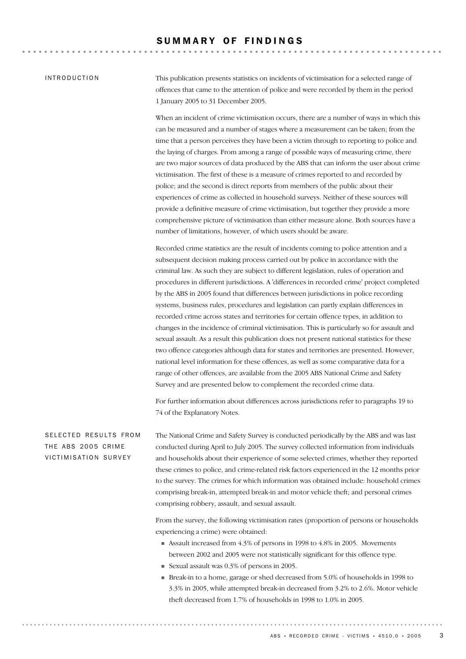### SUMMARY OF FINDINGS

#### INTRODUCTION

This publication presents statistics on incidents of victimisation for a selected range of offences that came to the attention of police and were recorded by them in the period 1 January 2005 to 31 December 2005.

. . . . . . . . . . . . . . . .

When an incident of crime victimisation occurs, there are a number of ways in which this can be measured and a number of stages where a measurement can be taken; from the time that a person perceives they have been a victim through to reporting to police and the laying of charges. From among a range of possible ways of measuring crime, there are two major sources of data produced by the ABS that can inform the user about crime victimisation. The first of these is a measure of crimes reported to and recorded by police; and the second is direct reports from members of the public about their experiences of crime as collected in household surveys. Neither of these sources will provide a definitive measure of crime victimisation, but together they provide a more comprehensive picture of victimisation than either measure alone. Both sources have a number of limitations, however, of which users should be aware.

Recorded crime statistics are the result of incidents coming to police attention and a subsequent decision making process carried out by police in accordance with the criminal law. As such they are subject to different legislation, rules of operation and procedures in different jurisdictions. A 'differences in recorded crime' project completed by the ABS in 2005 found that differences between jurisdictions in police recording systems, business rules, procedures and legislation can partly explain differences in recorded crime across states and territories for certain offence types, in addition to changes in the incidence of criminal victimisation. This is particularly so for assault and sexual assault. As a result this publication does not present national statistics for these two offence categories although data for states and territories are presented. However, national level information for these offences, as well as some comparative data for a range of other offences, are available from the 2005 ABS National Crime and Safety Survey and are presented below to complement the recorded crime data.

For further information about differences across jurisdictions refer to paragraphs 19 to 74 of the Explanatory Notes.

The National Crime and Safety Survey is conducted periodically by the ABS and was last conducted during April to July 2005. The survey collected information from individuals and households about their experience of some selected crimes, whether they reported these crimes to police, and crime-related risk factors experienced in the 12 months prior to the survey. The crimes for which information was obtained include: household crimes comprising break-in, attempted break-in and motor vehicle theft; and personal crimes comprising robbery, assault, and sexual assault. SELECTED RESULTS FROM THE ABS 2005 CRIME VICTIMISATION SURVEY

> From the survey, the following victimisation rates (proportion of persons or households experiencing a crime) were obtained:

- ! Assault increased from 4.3% of persons in 1998 to 4.8% in 2005. Movements between 2002 and 2005 were not statistically significant for this offence type.
- ! Sexual assault was 0.3% of persons in 2005.
- ! Break-in to a home, garage or shed decreased from 5.0% of households in 1998 to 3.3% in 2005, while attempted break-in decreased from 3.2% to 2.6%. Motor vehicle theft decreased from 1.7% of households in 1998 to 1.0% in 2005.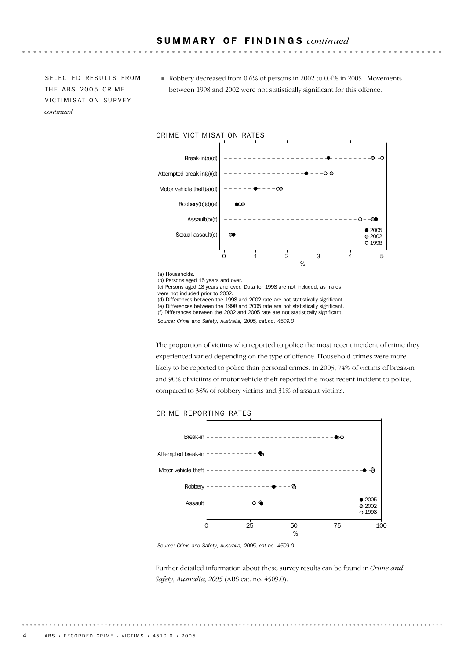SELECTED RESULTS FROM THE ABS 2005 CRIME VICTIMISATION SURVEY *continued*

! Robbery decreased from 0.6% of persons in 2002 to 0.4% in 2005. Movements between 1998 and 2002 were not statistically significant for this offence.



(b) Persons aged 15 years and over.

(c) Persons aged 18 years and over. Data for 1998 are not included, as males were not included prior to 2002.

(d) Differences between the 1998 and 2002 rate are not statistically significant.

(e) Differences between the 1998 and 2005 rate are not statistically significant. (f) Differences between the 2002 and 2005 rate are not statistically significant.

*Source: Crime and Safety, Australia, 2005, cat.no. 4509.0*

The proportion of victims who reported to police the most recent incident of crime they experienced varied depending on the type of offence. Household crimes were more likely to be reported to police than personal crimes. In 2005, 74% of victims of break-in and 90% of victims of motor vehicle theft reported the most recent incident to police, compared to 38% of robbery victims and 31% of assault victims.

## CRIME REPORTING RATES



*Source: Crime and Safety, Australia, 2005, cat.no. 4509.0*

Further detailed information about these survey results can be found in *Crime and Safety, Australia, 2005* (ABS cat. no. 4509.0).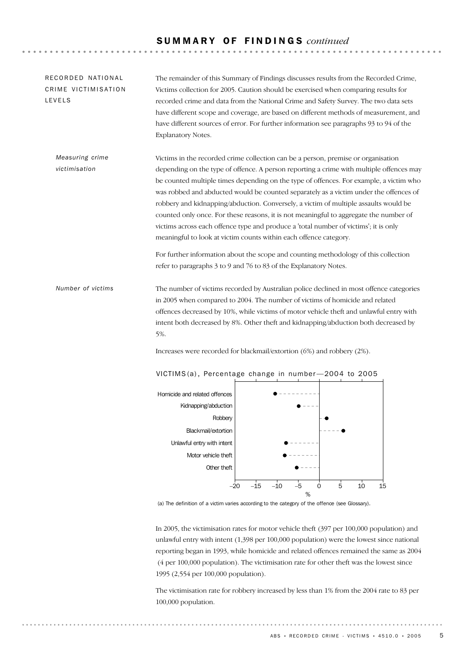## S U M M A R Y O F F I N D I N G S *continued*

The remainder of this Summary of Findings discusses results from the Recorded Crime, Victims collection for 2005. Caution should be exercised when comparing results for recorded crime and data from the National Crime and Safety Survey. The two data sets have different scope and coverage, are based on different methods of measurement, and have different sources of error. For further information see paragraphs 93 to 94 of the Explanatory Notes. RECORDED NATIONAL CRIME VICTIMISATION LEVELS

Victims in the recorded crime collection can be a person, premise or organisation depending on the type of offence. A person reporting a crime with multiple offences may be counted multiple times depending on the type of offences. For example, a victim who was robbed and abducted would be counted separately as a victim under the offences of robbery and kidnapping/abduction. Conversely, a victim of multiple assaults would be counted only once. For these reasons, it is not meaningful to aggregate the number of victims across each offence type and produce a 'total number of victims'; it is only meaningful to look at victim counts within each offence category. *Measuring crime victimisation*

> For further information about the scope and counting methodology of this collection refer to paragraphs 3 to 9 and 76 to 83 of the Explanatory Notes.

The number of victims recorded by Australian police declined in most offence categories in 2005 when compared to 2004. The number of victims of homicide and related offences decreased by 10%, while victims of motor vehicle theft and unlawful entry with intent both decreased by 8%. Other theft and kidnapping/abduction both decreased by 5%. *Number of victims*

Increases were recorded for blackmail/extortion (6%) and robbery (2%).



VICTIMS(a), Percentage change in number-2004 to 2005

(a) The definition of a victim varies according to the category of the offence (see Glossary).

In 2005, the victimisation rates for motor vehicle theft (397 per 100,000 population) and unlawful entry with intent (1,398 per 100,000 population) were the lowest since national reporting began in 1993, while homicide and related offences remained the same as 2004 (4 per 100,000 population). The victimisation rate for other theft was the lowest since 1995 (2,554 per 100,000 population).

The victimisation rate for robbery increased by less than 1% from the 2004 rate to 83 per 100,000 population.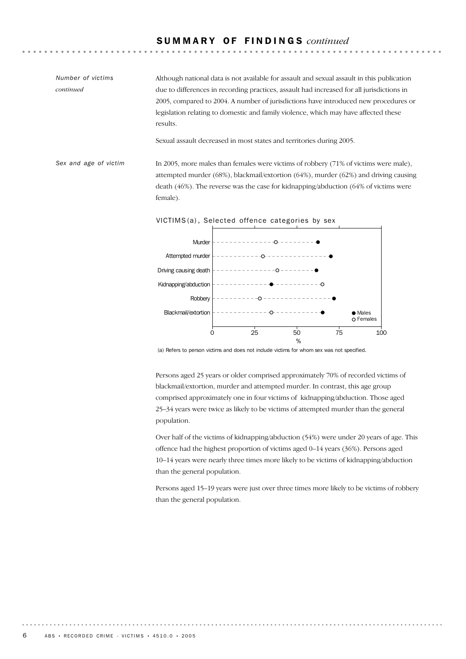## S U M M A R Y O F F I N D I N G S *continued*

In 2005, more males than females were victims of robbery (71% of victims were male), attempted murder (68%), blackmail/extortion (64%), murder (62%) and driving causing death (46%). The reverse was the case for kidnapping/abduction (64% of victims were female). *Sex and age of victim* Although national data is not available for assault and sexual assault in this publication due to differences in recording practices, assault had increased for all jurisdictions in 2005, compared to 2004. A number of jurisdictions have introduced new procedures or legislation relating to domestic and family violence, which may have affected these results. Sexual assault decreased in most states and territories during 2005. *Number of victims continued*

VICTIMS(a), Selected offence categories by sex



(a) Refers to person victims and does not include victims for whom sex was not specified.

Persons aged 25 years or older comprised approximately 70% of recorded victims of blackmail/extortion, murder and attempted murder. In contrast, this age group comprised approximately one in four victims of kidnapping/abduction. Those aged 25–34 years were twice as likely to be victims of attempted murder than the general population.

Over half of the victims of kidnapping/abduction (54%) were under 20 years of age. This offence had the highest proportion of victims aged 0–14 years (36%). Persons aged 10–14 years were nearly three times more likely to be victims of kidnapping/abduction than the general population.

Persons aged 15–19 years were just over three times more likely to be victims of robbery than the general population.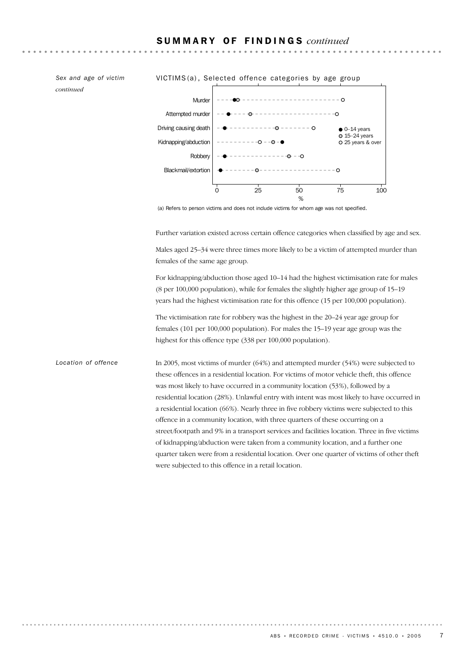*continued*



(a) Refers to person victims and does not include victims for whom age was not specified.

Further variation existed across certain offence categories when classified by age and sex.

Males aged 25–34 were three times more likely to be a victim of attempted murder than females of the same age group.

For kidnapping/abduction those aged 10–14 had the highest victimisation rate for males (8 per 100,000 population), while for females the slightly higher age group of 15–19 years had the highest victimisation rate for this offence (15 per 100,000 population).

The victimisation rate for robbery was the highest in the 20–24 year age group for females (101 per 100,000 population). For males the 15–19 year age group was the highest for this offence type (338 per 100,000 population).

In 2005, most victims of murder (64%) and attempted murder (54%) were subjected to these offences in a residential location. For victims of motor vehicle theft, this offence was most likely to have occurred in a community location (53%), followed by a residential location (28%). Unlawful entry with intent was most likely to have occurred in a residential location (66%). Nearly three in five robbery victims were subjected to this offence in a community location, with three quarters of these occurring on a street/footpath and 9% in a transport services and facilities location. Three in five victims of kidnapping/abduction were taken from a community location, and a further one quarter taken were from a residential location. Over one quarter of victims of other theft were subjected to this offence in a retail location. *Location of offence*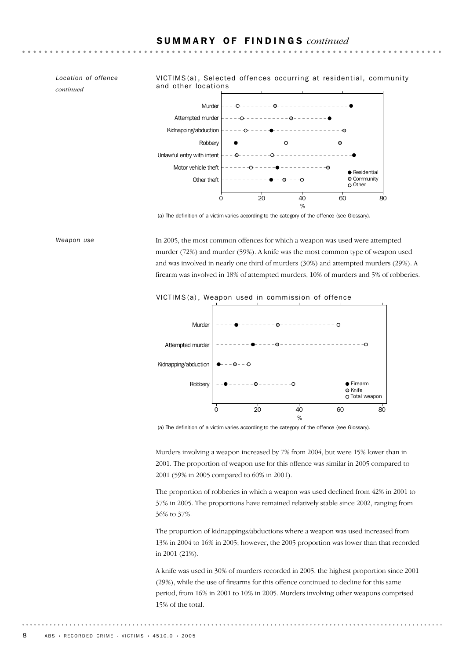*Location of offence continued*



(a) The definition of a victim varies according to the category of the offence (see Glossary).

In 2005, the most common offences for which a weapon was used were attempted murder (72%) and murder (59%). A knife was the most common type of weapon used and was involved in nearly one third of murders (30%) and attempted murders (29%). A firearm was involved in 18% of attempted murders, 10% of murders and 5% of robberies. *Weapon use*

#### VICTIMS (a) , Weapon used in commission of offence



(a) The definition of a victim varies according to the category of the offence (see Glossary).

Murders involving a weapon increased by 7% from 2004, but were 15% lower than in 2001. The proportion of weapon use for this offence was similar in 2005 compared to 2001 (59% in 2005 compared to 60% in 2001).

The proportion of robberies in which a weapon was used declined from 42% in 2001 to 37% in 2005. The proportions have remained relatively stable since 2002, ranging from 36% to 37%.

The proportion of kidnappings/abductions where a weapon was used increased from 13% in 2004 to 16% in 2005; however, the 2005 proportion was lower than that recorded in 2001 (21%).

A knife was used in 30% of murders recorded in 2005, the highest proportion since 2001 (29%), while the use of firearms for this offence continued to decline for this same period, from 16% in 2001 to 10% in 2005. Murders involving other weapons comprised 15% of the total.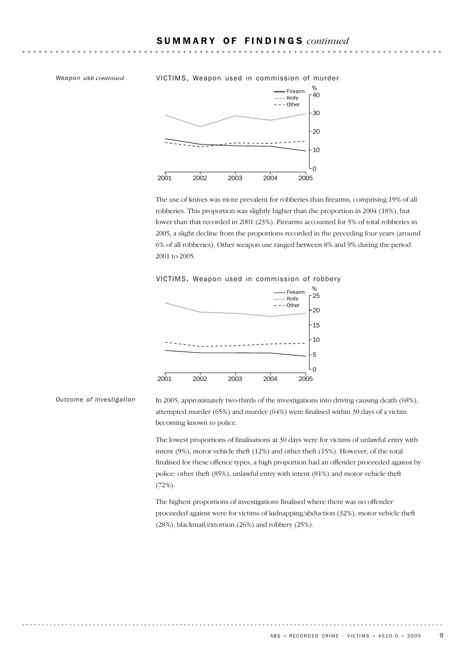#### *Weapon use continued* VICTIMS, Weapon used in commission of murder



The use of knives was more prevalent for robberies than firearms, comprising 19% of all robberies. This proportion was slightly higher than the proportion in 2004 (18%), but lower than that recorded in 2001 (23%). Firearms accounted for 5% of total robberies in 2005, a slight decline from the proportions recorded in the preceding four years (around 6% of all robberies). Other weapon use ranged between 8% and 9% during the period 2001 to 2005.

#### VICTIMS, Weapon used in commission of robbery



*Outcome of investigation*

In 2005, approximately two-thirds of the investigations into driving causing death (68%), attempted murder (65%) and murder (64%) were finalised within 30 days of a victim becoming known to police.

The lowest proportions of finalisations at 30 days were for victims of unlawful entry with intent (9%), motor vehicle theft (12%) and other theft (15%). However, of the total finalised for these offence types, a high proportion had an offender proceeded against by police: other theft (85%), unlawful entry with intent (81%) and motor vehicle theft (72%).

The highest proportions of investigations finalised where there was no offender proceeded against were for victims of kidnapping/abduction (32%), motor vehicle theft (28%), blackmail/extortion (26%) and robbery (25%).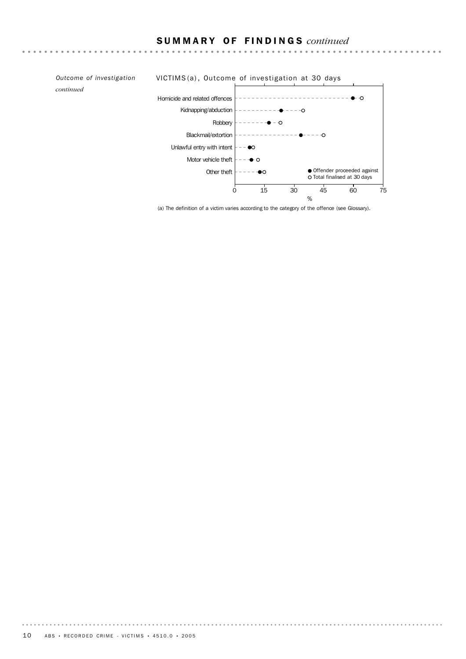$\mathbf{A} = \mathbf{A} + \mathbf{A} + \mathbf{A} + \mathbf{A} + \mathbf{A} + \mathbf{A} + \mathbf{A} + \mathbf{A} + \mathbf{A} + \mathbf{A} + \mathbf{A} + \mathbf{A} + \mathbf{A} + \mathbf{A} + \mathbf{A} + \mathbf{A} + \mathbf{A} + \mathbf{A} + \mathbf{A} + \mathbf{A} + \mathbf{A} + \mathbf{A} + \mathbf{A} + \mathbf{A} + \mathbf{A} + \mathbf{A} + \mathbf{A} + \mathbf{A} + \mathbf{A} + \mathbf{A} + \mathbf$ 

*continued*

#### *Outcome of investigation* VICTIMS (a) , Outcome of investigation at 30 days  $-------1$ Homicide and related offences Kidnapping/abduction  $\bullet$ Robbery  $--- + - -$ --------------0 Blackmail/extortion Unlawful entry with intent  $\vert - - \bullet \infty \vert$ Motor vehicle theft  $\vert -- \rightarrow \infty$ Other theft  $\bullet$ Offender proceeded against Total finalised at 30 days 0 15 30 45 60 75 %

(a) The definition of a victim varies according to the category of the offence (see Glossary).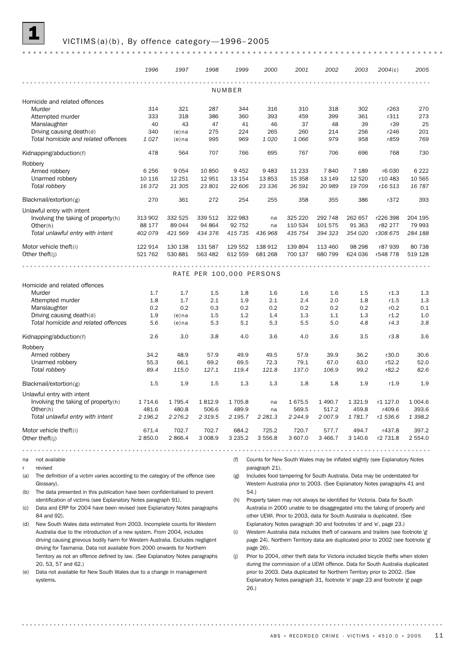

#### VICTIMS (a)(b), By offence category-1996-2005

|                                     | 1996      | 1997      | 1998                     | 1999        | 2000      | 2001      | 2002      | 2003      | 2004(c)  | 2005       |
|-------------------------------------|-----------|-----------|--------------------------|-------------|-----------|-----------|-----------|-----------|----------|------------|
|                                     |           |           |                          |             |           |           |           |           |          |            |
|                                     |           |           |                          | NUMBER      |           |           |           |           |          |            |
| Homicide and related offences       |           |           |                          |             |           |           |           |           |          |            |
| Murder                              | 314       | 321       | 287                      | 344         | 316       | 310       | 318       | 302       | r263     | 270        |
| Attempted murder                    | 333       | 318       | 386                      | 360         | 393       | 459       | 399       | 361       | r311     | 273        |
| Manslaughter                        | 40        | 43        | 47                       | 41          | 46        | 37        | 48        | 39        | r39      | 25         |
| Driving causing death(d)            | 340       | $(e)$ na  | 275                      | 224         | 265       | 260       | 214       | 256       | r246     | 201        |
| Total homicide and related offences | 1027      | $(e)$ na  | 995                      | 969         | 1 0 2 0   | 1 0 6 6   | 979       | 958       | r859     | 769        |
| Kidnapping/abduction(f)             | 478       | 564       | 707                      | 766         | 695       | 767       | 706       | 696       | 768      | 730        |
| Robbery                             |           |           |                          |             |           |           |           |           |          |            |
| Armed robbery                       | 6 2 5 6   | 9054      | 10 850                   | 9 4 5 2     | 9 4 8 3   | 11 233    | 7840      | 7 1 8 9   | r6 030   | 6 2 2 2    |
| Unarmed robbery                     | 10 116    | 12 251    | 12 951                   | 13 154      | 13853     | 15 3 58   | 13 149    | 12 5 20   | r10 483  | 10 565     |
| Total robbery                       | 16 372    | 21 305    | 23 801                   | 22 606      | 23 336    | 26 591    | 20 989    | 19 709    | r16 513  | 16 787     |
| Blackmail/extortion(g)              | 270       | 361       | 272                      | 254         | 255       | 358       | 355       | 386       | r372     | 393        |
| Unlawful entry with intent          |           |           |                          |             |           |           |           |           |          |            |
| Involving the taking of property(h) | 313 902   | 332 525   | 339 512                  | 322 983     | na        | 325 220   | 292 748   | 262 657   | r226 398 | 204 195    |
| Other(h)                            | 88 177    | 89 044    | 94 864                   | 92 752      | na        | 110 534   | 101 575   | 91 363    | r82 277  | 79 993     |
| Total unlawful entry with intent    | 402 079   | 421 569   | 434 376                  | 415 735     | 436 968   | 435 754   | 394 323   | 354 020   | r308 675 | 284 188    |
| Motor vehicle theft(i)              | 122 914   | 130 138   | 131 587                  | 129 552     | 138 912   | 139 894   | 113 460   | 98 298    | r87 939  | 80 738     |
| Other theft $(i)$                   | 521 762   | 530 881   | 563 482                  | 612 559     | 681 268   | 700 137   | 680 799   | 624 036   | r548 778 | 519 128    |
|                                     |           |           |                          |             |           |           |           |           |          |            |
|                                     |           |           |                          |             |           | .         |           |           |          |            |
|                                     |           |           | RATE PER 100,000 PERSONS |             |           |           |           |           |          |            |
| Homicide and related offences       |           |           |                          |             |           |           |           |           |          |            |
| Murder                              | 1.7       | 1.7       | 1.5                      | 1.8         | 1.6       | 1.6       | 1.6       | 1.5       | r1.3     | 1.3        |
| Attempted murder                    | 1.8       | 1.7       | 2.1                      | 1.9         | $2.1\,$   | 2.4       | 2.0       | 1.8       | r1.5     | 1.3        |
| Manslaughter                        | 0.2       | 0.2       | 0.3                      | 0.2         | 0.2       | 0.2       | 0.2       | 0.2       | r0.2     | 0.1        |
| Driving causing death(d)            | 1.9       | $(e)$ na  | 1.5                      | 1.2         | 1.4       | 1.3       | 1.1       | 1.3       | r1.2     | 1.0        |
| Total homicide and related offences | 5.6       | $(e)$ na  | 5.3                      | 5.1         | 5.3       | 5.5       | 5.0       | 4.8       | r4.3     | 3.8        |
| Kidnapping/abduction(f)             | 2.6       | 3.0       | 3.8                      | 4.0         | 3.6       | 4.0       | 3.6       | 3.5       | r3.8     | 3.6        |
| Robbery                             |           |           |                          |             |           |           |           |           |          |            |
| Armed robbery                       | 34.2      | 48.9      | 57.9                     | 49.9        | 49.5      | 57.9      | 39.9      | 36.2      | r30.0    | 30.6       |
| Unarmed robbery                     | 55.3      | 66.1      | 69.2                     | 69.5        | 72.3      | 79.1      | 67.0      | 63.0      | r52.2    | 52.0       |
| Total robbery                       | 89.4      | 115.0     | 127.1                    | 119.4       | 121.8     | 137.0     | 106.9     | 99.2      | r82.2    | 82.6       |
| Blackmail/extortion(g)              | 1.5       | 1.9       | 1.5                      | 1.3         | 1.3       | 1.8       | 1.8       | 1.9       | r1.9     | 1.9        |
| Unlawful entry with intent          |           |           |                          |             |           |           |           |           |          |            |
| Involving the taking of property(h) | 1 7 1 4.6 | 1 7 9 5.4 | 1812.9                   | 1705.8      | na        | 1675.5    | 1 4 9 0.7 | 1 3 2 1.9 | r1 127.0 | 1 0 0 4 .6 |
| Other(h)                            | 481.6     | 480.8     | 506.6                    | 489.9       | na        | 569.5     | 517.2     | 459.8     | r409.6   | 393.6      |
| Total unlawful entry with intent    | 2 196.2   | 2 2 7 6.2 | 2 3 1 9 . 5              | 2 195.7     | 2 2 8 1.3 | 2 2 4 4.9 | 2 007.9   | 1 781.7   | r1 536.6 | 1 3 9 8.2  |
| Motor vehicle theft(i)              | 671.4     | 702.7     | 702.7                    | 684.2       | 725.2     | 720.7     | 577.7     | 494.7     | r437.8   | 397.2      |
| Other theft $(i)$                   | 2 850.0   | 2 8 6 6.4 | 3 0 0 8.9                | 3 2 3 5 . 2 | 3 5 5 6.8 | 3 607.0   | 3 4 6 6.7 | 3 140.6   | r2 731.8 | 2 554.0    |
|                                     |           |           |                          |             |           |           |           |           |          |            |

revised

(a) The definition of a victim varies according to the category of the offence (see Glossary).

- (b) The data presented in this publication have been confidentialised to prevent identification of victims (see Explanatory Notes paragraph 91).
- (c) Data and ERP for 2004 have been revised (see Explanatory Notes paragraphs 84 and 92).
- (d) New South Wales data estimated from 2003. Incomplete counts for Western Australia due to the introduction of a new system. From 2004, includes driving causing grievous bodily harm for Western Australia. Excludes negligent driving for Tasmania. Data not available from 2000 onwards for Northern Territory as not an offence defined by law. (See Explanatory Notes paragraphs 20, 53, 57 and 62.)
- (e) Data not available for New South Wales due to a change in management systems.

. . . . . . . . . . . . . . .

(f) Counts for New South Wales may be inflated slightly (see Explanatory Notes paragraph 21).

(g) Includes food tampering for South Australia. Data may be understated for Western Australia prior to 2003. (See Explanatory Notes paragraphs 41 and 54.)

- (h) Property taken may not always be identified for Victoria. Data for South Australia in 2000 unable to be disaggregated into the taking of property and other UEWI. Prior to 2003, data for South Australia is duplicated. (See Explanatory Notes paragraph 30 and footnotes 'd' and 'e', page 23.)
- (i) Western Australia data includes theft of caravans and trailers (see footnote 'g' page 24). Northern Territory data are duplicated prior to 2002 (see footnote 'g' page 26).
- (j) Prior to 2004, other theft data for Victoria included bicycle thefts when stolen during the commission of a UEWI offence. Data for South Australia duplicated prior to 2003. Data duplicated for Northern Territory prior to 2002. (See Explanatory Notes paragraph 31, footnote 'e' page 23 and footnote 'g' page 26.)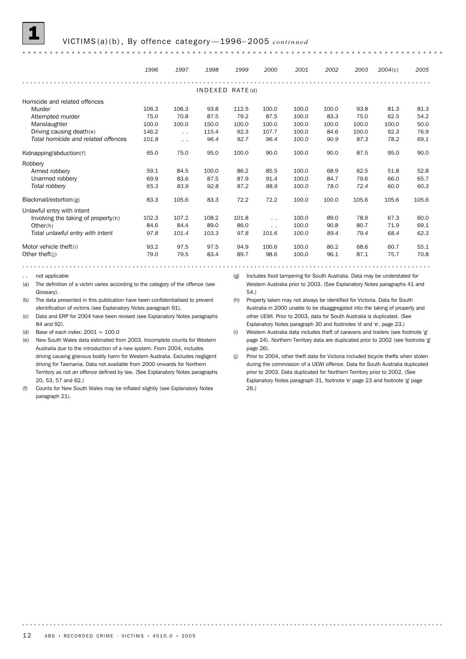

#### 1 VICTIMS (a)(b) , By offence category —1996– <sup>2005</sup> *continued*

|                                     | 1996  | 1997          | 1998  | 1999            | 2000            | 2001  | 2002  | 2003  | 2004(c) | 2005  |
|-------------------------------------|-------|---------------|-------|-----------------|-----------------|-------|-------|-------|---------|-------|
|                                     |       |               |       |                 |                 |       |       |       |         |       |
|                                     |       |               |       | INDEXED RATE(d) |                 |       |       |       |         |       |
| Homicide and related offences       |       |               |       |                 |                 |       |       |       |         |       |
| Murder                              | 106.3 | 106.3         | 93.8  | 112.5           | 100.0           | 100.0 | 100.0 | 93.8  | 81.3    | 81.3  |
| Attempted murder                    | 75.0  | 70.8          | 87.5  | 79.2            | 87.5            | 100.0 | 83.3  | 75.0  | 62.5    | 54.2  |
| Manslaughter                        | 100.0 | 100.0         | 150.0 | 100.0           | 100.0           | 100.0 | 100.0 | 100.0 | 100.0   | 50.0  |
| Driving causing death(e)            | 146.2 | $\sim$ $\sim$ | 115.4 | 92.3            | 107.7           | 100.0 | 84.6  | 100.0 | 92.3    | 76.9  |
| Total homicide and related offences | 101.8 | $\sim$ $\sim$ | 96.4  | 92.7            | 96.4            | 100.0 | 90.9  | 87.3  | 78.2    | 69.1  |
| Kidnapping/abduction(f)             | 65.0  | 75.0          | 95.0  | 100.0           | 90.0            | 100.0 | 90.0  | 87.5  | 95.0    | 90.0  |
| Robbery                             |       |               |       |                 |                 |       |       |       |         |       |
| Armed robbery                       | 59.1  | 84.5          | 100.0 | 86.2            | 85.5            | 100.0 | 68.9  | 62.5  | 51.8    | 52.8  |
| Unarmed robbery                     | 69.9  | 83.6          | 87.5  | 87.9            | 91.4            | 100.0 | 84.7  | 79.6  | 66.0    | 65.7  |
| Total robbery                       | 65.3  | 83.9          | 92.8  | 87.2            | 88.9            | 100.0 | 78.0  | 72.4  | 60.0    | 60.3  |
| Blackmail/extortion(g)              | 83.3  | 105.6         | 83.3  | 72.2            | 72.2            | 100.0 | 100.0 | 105.6 | 105.6   | 105.6 |
| Unlawful entry with intent          |       |               |       |                 |                 |       |       |       |         |       |
| Involving the taking of property(h) | 102.3 | 107.2         | 108.2 | 101.8           | $\cdot$ $\cdot$ | 100.0 | 89.0  | 78.9  | 67.3    | 60.0  |
| Other(h)                            | 84.6  | 84.4          | 89.0  | 86.0            | $\cdot$ $\cdot$ | 100.0 | 90.8  | 80.7  | 71.9    | 69.1  |
| Total unlawful entry with intent    | 97.8  | 101.4         | 103.3 | 97.8            | 101.6           | 100.0 | 89.4  | 79.4  | 68.4    | 62.3  |
| Motor vehicle theft(i)              | 93.2  | 97.5          | 97.5  | 94.9            | 100.6           | 100.0 | 80.2  | 68.6  | 60.7    | 55.1  |
| Other theft(j)                      | 79.0  | 79.5          | 83.4  | 89.7            | 98.6            | 100.0 | 96.1  | 87.1  | 75.7    | 70.8  |

not applicable

(a) The definition of a victim varies according to the category of the offence (see Glossary).

(b) The data presented in this publication have been confidentialised to prevent identification of victims (see Explanatory Notes paragraph 91).

(c) Data and ERP for 2004 have been revised (see Explanatory Notes paragraphs 84 and 92).

(d) Base of each index:  $2001 = 100.0$ 

(e) New South Wales data estimated from 2003. Incomplete counts for Western Australia due to the introduction of a new system. From 2004, includes driving causing grievous bodily harm for Western Australia. Excludes negligent driving for Tasmania. Data not available from 2000 onwards for Northern Territory as not an offence defined by law. (See Explanatory Notes paragraphs 20, 53, 57 and 62.)

(f) Counts for New South Wales may be inflated slightly (see Explanatory Notes paragraph 21).

(g) Includes food tampering for South Australia. Data may be understated for Western Australia prior to 2003. (See Explanatory Notes paragraphs 41 and 54.)

(h) Property taken may not always be identified for Victoria. Data for South Australia in 2000 unable to be disaggregated into the taking of property and other UEWI. Prior to 2003, data for South Australia is duplicated. (See Explanatory Notes paragraph 30 and footnotes 'd' and 'e', page 23.)

(i) Western Australia data includes theft of caravans and trailers (see footnote 'g' page 24). Northern Territory data are duplicated prior to 2002 (see footnote 'g' page 26).

. . . . . . . . .

<sup>(</sup>j) Prior to 2004, other theft data for Victoria included bicycle thefts when stolen during the commission of a UEWI offence. Data for South Australia duplicated prior to 2003. Data duplicated for Northern Territory prior to 2002. (See Explanatory Notes paragraph 31, footnote 'e' page 23 and footnote 'g' page 26.)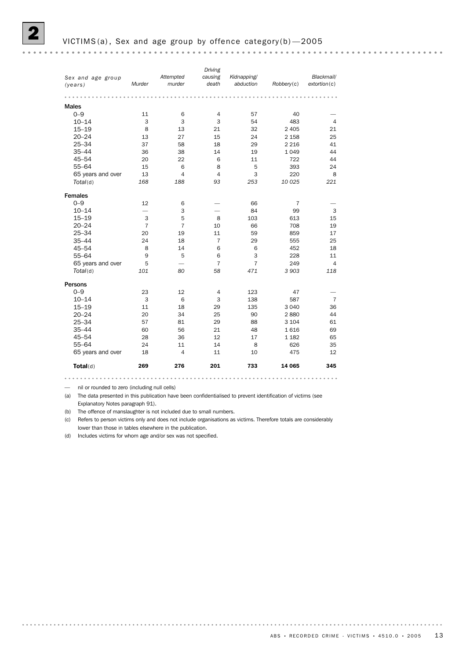— nil or rounded to zero (including null cells)

(a) The data presented in this publication have been confidentialised to prevent identification of victims (see Explanatory Notes paragraph 91).

(b) The offence of manslaughter is not included due to small numbers.

(c) Refers to person victims only and does not include organisations as victims. Therefore totals are considerably lower than those in tables elsewhere in the publication.

(d) Includes victims for whom age and/or sex was not specified.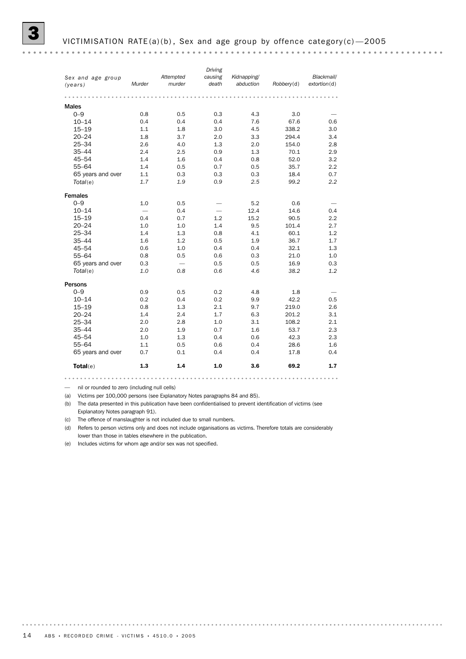|                   |        |           | Driving |             |            |              |
|-------------------|--------|-----------|---------|-------------|------------|--------------|
| Sex and age group |        | Attempted | causing | Kidnapping/ |            | Blackmail/   |
| (years)           | Murder | murder    | death   | abduction   | Robberv(d) | extortion(d) |
|                   |        |           |         |             |            |              |
|                   |        |           |         |             |            |              |
| <b>Males</b>      |        |           |         |             |            |              |
| $0 - 9$           | 0.8    | 0.5       | 0.3     | 4.3         | 3.0        |              |
| $10 - 14$         | 0.4    | 0.4       | 0.4     | 7.6         | 67.6       | 0.6          |
| $15 - 19$         | 1.1    | 1.8       | 3.0     | 4.5         | 338.2      | 3.0          |
| $20 - 24$         | 1.8    | 3.7       | 2.0     | 3.3         | 294.4      | 3.4          |
| $25 - 34$         | 2.6    | 4.0       | 1.3     | 2.0         | 154.0      | 2.8          |
| $35 - 44$         | 2.4    | 2.5       | 0.9     | 1.3         | 70.1       | 2.9          |
| $45 - 54$         | 1.4    | 1.6       | 0.4     | 0.8         | 52.0       | 3.2          |
| $55 - 64$         | 1.4    | 0.5       | 0.7     | 0.5         | 35.7       | 2.2          |
| 65 years and over | 1.1    | 0.3       | 0.3     | 0.3         | 18.4       | 0.7          |
| Total(e)          | 1.7    | 1.9       | 0.9     | 2.5         | 99.2       | 2.2          |
|                   |        |           |         |             |            |              |
| Females           |        |           |         |             |            |              |
| $0 - 9$           | 1.0    | 0.5       |         | 5.2         | 0.6        |              |
| $10 - 14$         |        | 0.4       |         | 12.4        | 14.6       | 0.4          |
| $15 - 19$         | 0.4    | 0.7       | 1.2     | 15.2        | 90.5       | 2.2          |
| $20 - 24$         | 1.0    | 1.0       | 1.4     | 9.5         | 101.4      | 2.7          |
| $25 - 34$         | 1.4    | 1.3       | 0.8     | 4.1         | 60.1       | 1.2          |
| $35 - 44$         | 1.6    | 1.2       | 0.5     | 1.9         | 36.7       | 1.7          |
| $45 - 54$         | 0.6    | 1.0       | 0.4     | 0.4         | 32.1       | 1.3          |
| $55 - 64$         | 0.8    | 0.5       | 0.6     | 0.3         | 21.0       | 1.0          |
| 65 years and over | 0.3    |           | 0.5     | 0.5         | 16.9       | 0.3          |
| Total(e)          | 1.0    | 0.8       | 0.6     | 4.6         | 38.2       | 1.2          |
|                   |        |           |         |             |            |              |
| Persons           |        |           |         |             |            |              |
| $0 - 9$           | 0.9    | 0.5       | 0.2     | 4.8         | 1.8        |              |
| $10 - 14$         | 0.2    | 0.4       | 0.2     | 9.9         | 42.2       | 0.5          |
| $15 - 19$         | 0.8    | 1.3       | 2.1     | 9.7         | 219.0      | 2.6          |
| $20 - 24$         | 1.4    | 2.4       | 1.7     | 6.3         | 201.2      | 3.1          |
| $25 - 34$         | 2.0    | 2.8       | 1.0     | 3.1         | 108.2      | 2.1          |
| $35 - 44$         | 2.0    | 1.9       | 0.7     | 1.6         | 53.7       | 2.3          |
| $45 - 54$         | 1.0    | 1.3       | 0.4     | 0.6         | 42.3       | 2.3          |
| $55 - 64$         | 1.1    | 0.5       | 0.6     | 0.4         | 28.6       | 1.6          |
| 65 years and over | 0.7    | 0.1       | 0.4     | 0.4         | 17.8       | 0.4          |
| $\text{Total}(e)$ | 1.3    | 1.4       | 1.0     | 3.6         | 69.2       | 1.7          |
|                   |        |           |         |             |            |              |

— nil or rounded to zero (including null cells)

(a) Victims per 100,000 persons (see Explanatory Notes paragraphs 84 and 85).

(b) The data presented in this publication have been confidentialised to prevent identification of victims (see Explanatory Notes paragraph 91).

(c) The offence of manslaughter is not included due to small numbers.

(d) Refers to person victims only and does not include organisations as victims. Therefore totals are considerably lower than those in tables elsewhere in the publication.

(e) Includes victims for whom age and/or sex was not specified.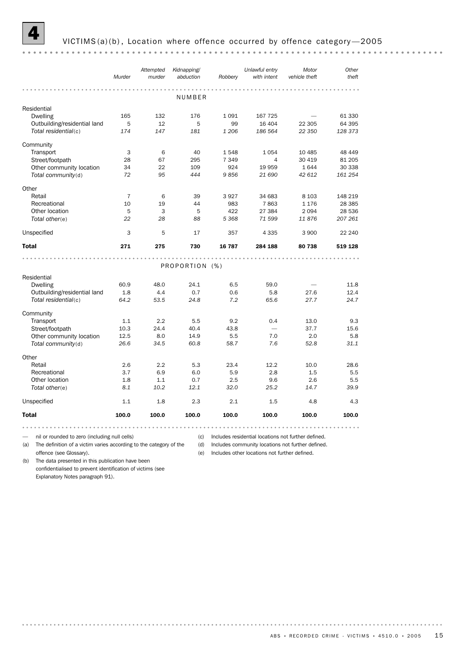

|                              | Murder | Attempted<br>murder | Kidnapping/<br>abduction | Robbery | Unlawful entry<br>with intent | Motor<br>vehicle theft | Other<br>theft |
|------------------------------|--------|---------------------|--------------------------|---------|-------------------------------|------------------------|----------------|
|                              |        |                     |                          |         |                               |                        |                |
|                              |        |                     | NUMBER                   |         |                               |                        |                |
| Residential                  |        |                     |                          |         |                               |                        |                |
| <b>Dwelling</b>              | 165    | 132                 | 176                      | 1 0 9 1 | 167 725                       |                        | 61 330         |
| Outbuilding/residential land | 5      | 12                  | 5                        | 99      | 16 404                        | 22 305                 | 64 395         |
| Total residential(c)         | 174    | 147                 | 181                      | 1 2 0 6 | 186 564                       | 22 350                 | 128 373        |
| Community                    |        |                     |                          |         |                               |                        |                |
| Transport                    | 3      | 6                   | 40                       | 1548    | 1054                          | 10 485                 | 48 449         |
| Street/footpath              | 28     | 67                  | 295                      | 7 3 4 9 | 4                             | 30 419                 | 81 205         |
| Other community location     | 34     | 22                  | 109                      | 924     | 19 959                        | 1644                   | 30 338         |
| Total community(d)           | 72     | 95                  | 444                      | 9856    | 21 690                        | 42 612                 | 161 254        |
| Other                        |        |                     |                          |         |                               |                        |                |
| Retail                       | 7      | 6                   | 39                       | 3927    | 34 683                        | 8 1 0 3                | 148 219        |
| Recreational                 | 10     | 19                  | 44                       | 983     | 7863                          | 1 1 7 6                | 28 3 85        |
| Other location               | 5      | 3                   | 5                        | 422     | 27 384                        | 2094                   | 28 536         |
| Total other(e)               | 22     | 28                  | 88                       | 5 3 6 8 | 71 599                        | 11876                  | 207 261        |
| Unspecified                  | 3      | 5                   | 17                       | 357     | 4 3 3 5                       | 3 9 0 0                | 22 240         |
| <b>Total</b>                 | 271    | 275                 | 730                      | 16 787  | 284 188                       | 80738                  | 519 128        |
|                              |        |                     |                          |         |                               |                        |                |
|                              |        |                     | PROPORTION (%)           |         |                               |                        |                |
| Residential                  |        |                     |                          |         |                               |                        |                |
| <b>Dwelling</b>              | 60.9   | 48.0                | 24.1                     | 6.5     | 59.0                          |                        | 11.8           |
| Outbuilding/residential land | 1.8    | 4.4                 | 0.7                      | 0.6     | 5.8                           | 27.6                   | 12.4           |
| Total residential(c)         | 64.2   | 53.5                | 24.8                     | 7.2     | 65.6                          | 27.7                   | 24.7           |
| Community                    |        |                     |                          |         |                               |                        |                |
| Transport                    | 1.1    | 2.2                 | 5.5                      | 9.2     | 0.4                           | 13.0                   | 9.3            |
| Street/footpath              | 10.3   | 24.4                | 40.4                     | 43.8    | $\overline{\phantom{0}}$      | 37.7                   | 15.6           |
| Other community location     | 12.5   | 8.0                 | 14.9                     | 5.5     | 7.0                           | 2.0                    | 5.8            |
| Total community(d)           | 26.6   | 34.5                | 60.8                     | 58.7    | 7.6                           | 52.8                   | 31.1           |
| Other                        |        |                     |                          |         |                               |                        |                |
| Retail                       | 2.6    | 2.2                 | 5.3                      | 23.4    | 12.2                          | 10.0                   | 28.6           |
| Recreational                 | 3.7    | 6.9                 | 6.0                      | 5.9     | 2.8                           | 1.5                    | 5.5            |
| Other location               | 1.8    | 1.1                 | 0.7                      | 2.5     | 9.6                           | 2.6                    | 5.5            |
| Total other(e)               | 8.1    | 10.2                | 12.1                     | 32.0    | 25.2                          | 14.7                   | 39.9           |
| Unspecified                  | 1.1    | 1.8                 | 2.3                      | 2.1     | 1.5                           | 4.8                    | 4.3            |
| <b>Total</b>                 | 100.0  | 100.0               | 100.0                    | 100.0   | 100.0                         | 100.0                  | 100.0          |

— nil or rounded to zero (including null cells)

(c) Includes residential locations not further defined.

(a) The definition of a victim varies according to the category of the (d) Includes community locations not further defined.

offence (see Glossary). (b) The data presented in this publication have been confidentialised to prevent identification of victims (see Explanatory Notes paragraph 91).

(e) Includes other locations not further defined.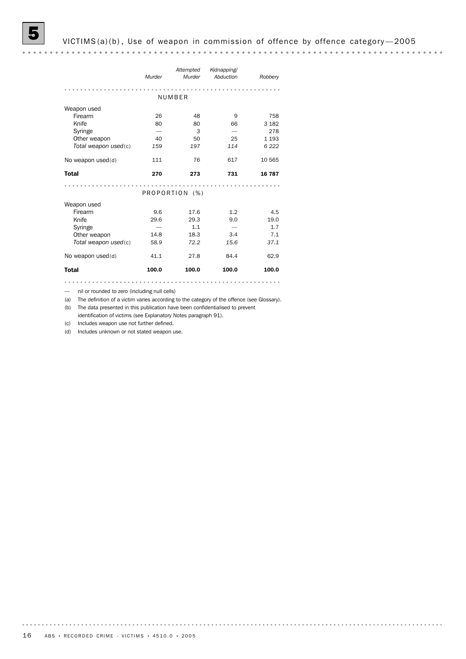*Kidnapping/ Attempted Murder Murder Robbery Abduction* NUMBER Weapon used Firearm 26 48 9 758 Knife 80 80 66 3 182 Syringe — 3 — 278 *Total weapon used*(c) *159 197 114 6 222* Other weapon  $40$  50 25 1 193 No weapon used(d) 111 76 617 10 565 Total 270 273 731 16 787 PROPORTION (%) Weapon used Firearm 5.6 9.6 17.6 1.2 4.5 Knife 29.6 29.3 9.0 19.0 Syringe  $-$  1.1  $-$  1.7 Other weapon 14.8 18.3 3.4 7.1 *Total weapon used*(c) *58.9 72.2 15.6 37.1* No weapon used(d)  $41.1$  27.8 84.4 62.9 Total 100.0 100.0 100.0 100.0 

— nil or rounded to zero (including null cells)

(a) The definition of a victim varies according to the category of the offence (see Glossary).

(b) The data presented in this publication have been confidentialised to prevent identification of victims (see Explanatory Notes paragraph 91).

(c) Includes weapon use not further defined.

(d) Includes unknown or not stated weapon use.

. . . . . . . . . .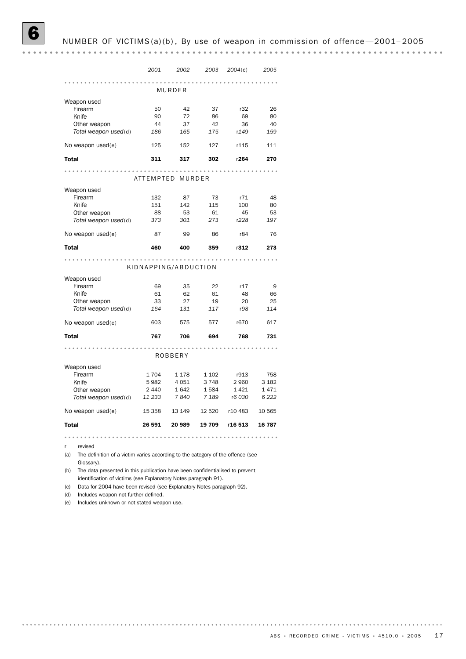## NUMBER OF VICTIMS(a)(b), By use of weapon in commission of offence-2001-2005

|                        | 2001                 | 2002                | 2003    | 2004(c) | 2005    |
|------------------------|----------------------|---------------------|---------|---------|---------|
|                        |                      | .<br>MURDER         |         |         |         |
|                        |                      |                     |         |         |         |
| Weapon used<br>Firearm | 50                   | 42                  | 37      | r32     | 26      |
| Knife                  | 90                   | 72                  | 86      | 69      | 80      |
| Other weapon           | 44                   | 37                  | 42      | 36      | 40      |
| Total weapon used(d)   | 186                  | 165                 | 175     | r149    | 159     |
| No weapon used(e)      | 125                  | 152                 | 127     | r115    | 111     |
| <b>Total</b>           | 311                  | 317                 | 302     | r264    | 270     |
|                        |                      |                     |         |         |         |
|                        | ATTEMPTED MURDER     |                     |         |         |         |
| Weapon used            |                      |                     |         |         |         |
| Firearm                | 132                  | 87                  | 73      | r71     | 48      |
| Knife                  | 151                  | 142                 | 115     | 100     | 80      |
| Other weapon           | 88                   | 53                  | 61      | 45      | 53      |
| Total weapon used(d)   | 373                  | 301                 | 273     | r228    | 197     |
| No weapon used(e)      | 87                   | 99                  | 86      | r84     | 76      |
| <b>Total</b>           | 460                  | 400                 | 359     | r312    | 273     |
|                        |                      |                     |         |         |         |
|                        | KIDNAPPING/ABDUCTION |                     |         |         |         |
| Weapon used            |                      |                     |         |         |         |
| Firearm                | 69                   | 35                  | 22      | r17     | 9       |
| Knife                  | 61                   | 62                  | 61      | 48      | 66      |
| Other weapon           | 33                   | 27                  | 19      | 20      | 25      |
| Total weapon used(d)   | 164                  | 131                 | 117     | r98     | 114     |
| No weapon used(e)      | 603                  | 575                 | 577     | r670    | 617     |
| <b>Total</b>           | 767                  | 706                 | 694     | 768     | 731     |
|                        |                      | $-1$ $-1$ $-1$ $-1$ |         |         |         |
|                        |                      | ROBBERY             |         |         |         |
| Weapon used            |                      |                     |         |         |         |
| Firearm                | 1704                 | 1 1 7 8             | 1 1 0 2 | r913    | 758     |
| Knife                  | 5982                 | 4 0 5 1             | 3748    | 2 9 6 0 | 3 1 8 2 |
| Other weapon           | 2 4 4 0              | 1642                | 1584    | 1421    | 1471    |
| Total weapon used(d)   | 11 233               | 7840                | 7 1 8 9 | r6 030  | 6 2 2 2 |
| No weapon used(e)      | 15 3 58              | 13 149              | 12 520  | r10 483 | 10 565  |
| <b>Total</b>           | 26 591               | 20 989              | 19 709  | r16 513 | 16 787  |
|                        |                      |                     |         |         |         |

r revised

(a) The definition of a victim varies according to the category of the offence (see Glossary).

(b) The data presented in this publication have been confidentialised to prevent identification of victims (see Explanatory Notes paragraph 91).

(c) Data for 2004 have been revised (see Explanatory Notes paragraph 92).

(d) Includes weapon not further defined.

(e) Includes unknown or not stated weapon use.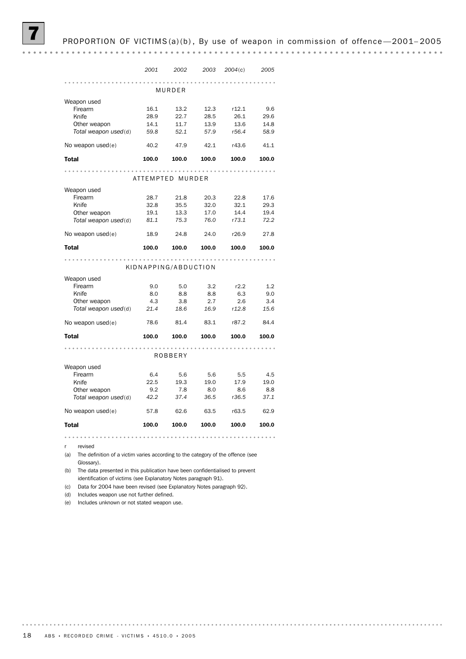#### PROPORTION OF VICTIMS(a)(b), By use of weapon in commission of offence-2001-2005

|                      | 2001  | 2002                 | 2003  | 2004(c) | 2005  |  |  |  |  |  |
|----------------------|-------|----------------------|-------|---------|-------|--|--|--|--|--|
|                      |       |                      | .     |         |       |  |  |  |  |  |
|                      |       | MURDER               |       |         |       |  |  |  |  |  |
| Weapon used          |       |                      |       |         |       |  |  |  |  |  |
| Firearm              | 16.1  | 13.2                 | 12.3  | r12.1   | 9.6   |  |  |  |  |  |
| Knife                | 28.9  | 22.7                 | 28.5  | 26.1    | 29.6  |  |  |  |  |  |
| Other weapon         | 14.1  | 11.7                 | 13.9  | 13.6    | 14.8  |  |  |  |  |  |
| Total weapon used(d) | 59.8  | 52.1                 | 57.9  | r56.4   | 58.9  |  |  |  |  |  |
| No weapon used(e)    | 40.2  | 47.9                 | 42.1  | r43.6   | 41.1  |  |  |  |  |  |
| <b>Total</b>         | 100.0 | 100.0                | 100.0 | 100.0   | 100.0 |  |  |  |  |  |
|                      |       | .<br>.               |       |         |       |  |  |  |  |  |
|                      |       | ATTEMPTED MURDER     |       |         |       |  |  |  |  |  |
| Weapon used          |       |                      |       |         |       |  |  |  |  |  |
| Firearm              | 28.7  | 21.8                 | 20.3  | 22.8    | 17.6  |  |  |  |  |  |
| Knife                | 32.8  | 35.5                 | 32.0  | 32.1    | 29.3  |  |  |  |  |  |
| Other weapon         | 19.1  | 13.3                 | 17.0  | 14.4    | 19.4  |  |  |  |  |  |
| Total weapon used(d) | 81.1  | 75.3                 | 76.0  | r73.1   | 72.2  |  |  |  |  |  |
| No weapon used(e)    | 18.9  | 24.8                 | 24.0  | r26.9   | 27.8  |  |  |  |  |  |
| <b>Total</b>         | 100.0 | 100.0                | 100.0 | 100.0   | 100.0 |  |  |  |  |  |
| .                    |       |                      |       |         |       |  |  |  |  |  |
|                      |       |                      |       |         |       |  |  |  |  |  |
|                      |       | KIDNAPPING/ABDUCTION |       |         |       |  |  |  |  |  |
| Weapon used          |       |                      |       |         |       |  |  |  |  |  |
| Firearm              | 9.0   | 5.0                  | 3.2   | r2.2    | 1.2   |  |  |  |  |  |
| Knife                | 8.0   | 8.8                  | 8.8   | 6.3     | 9.0   |  |  |  |  |  |
| Other weapon         | 4.3   | 3.8                  | 2.7   | 2.6     | 3.4   |  |  |  |  |  |
| Total weapon used(d) | 21.4  | 18.6                 | 16.9  | r12.8   | 15.6  |  |  |  |  |  |
| No weapon used(e)    | 78.6  | 81.4                 | 83.1  | r87.2   | 84.4  |  |  |  |  |  |
| <b>Total</b>         | 100.0 | 100.0                | 100.0 | 100.0   | 100.0 |  |  |  |  |  |
|                      |       |                      |       |         |       |  |  |  |  |  |
|                      |       | <b>ROBBERY</b>       |       |         |       |  |  |  |  |  |
| Weapon used          |       |                      |       |         |       |  |  |  |  |  |
| Firearm              | 6.4   | 5.6                  | 5.6   | 5.5     | 4.5   |  |  |  |  |  |
| Knife                | 22.5  | 19.3                 | 19.0  | 17.9    | 19.0  |  |  |  |  |  |
| Other weapon         | 9.2   | 7.8                  | 8.0   | 8.6     | 8.8   |  |  |  |  |  |
| Total weapon used(d) | 42.2  | 37.4                 | 36.5  | r36.5   | 37.1  |  |  |  |  |  |
| No weapon used(e)    | 57.8  | 62.6                 | 63.5  | r63.5   | 62.9  |  |  |  |  |  |
| <b>Total</b>         | 100.0 | 100.0                | 100.0 | 100.0   | 100.0 |  |  |  |  |  |

r revised

(a) The definition of a victim varies according to the category of the offence (see Glossary).

(b) The data presented in this publication have been confidentialised to prevent identification of victims (see Explanatory Notes paragraph 91).

(c) Data for 2004 have been revised (see Explanatory Notes paragraph 92).

(d) Includes weapon use not further defined.

(e) Includes unknown or not stated weapon use.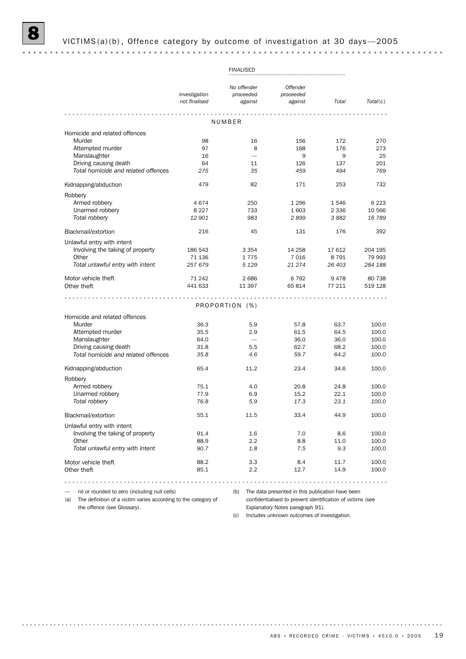|                                                                       | <b>FINALISED</b>               |                                     |                                                            |              |                |  |
|-----------------------------------------------------------------------|--------------------------------|-------------------------------------|------------------------------------------------------------|--------------|----------------|--|
|                                                                       | Investigation<br>not finalised | No offender<br>proceeded<br>against | <b>Offender</b><br>proceeded<br>against                    | Total        | Total(c)       |  |
|                                                                       |                                | NUMBER                              |                                                            |              |                |  |
| Homicide and related offences                                         |                                |                                     |                                                            |              |                |  |
| Murder                                                                | 98                             | 16                                  | 156                                                        | 172          | 270            |  |
| Attempted murder                                                      | 97                             | 8                                   | 168                                                        | 176          | 273            |  |
| Manslaughter                                                          | 16                             |                                     | 9                                                          | 9            | 25             |  |
| Driving causing death                                                 | 64                             | 11                                  | 126                                                        | 137          | 201            |  |
| Total homicide and related offences                                   | 275                            | 35                                  | 459                                                        | 494          | 769            |  |
| Kidnapping/abduction                                                  | 479                            | 82                                  | 171                                                        | 253          | 732            |  |
| Robbery                                                               |                                |                                     |                                                            |              |                |  |
| Armed robbery                                                         | 4674                           | 250                                 | 1 2 9 6                                                    | 1546         | 6 2 2 3        |  |
| Unarmed robbery                                                       | 8 2 2 7                        | 733                                 | 1 603                                                      | 2 3 3 6      | 10 566         |  |
| Total robbery                                                         | 12 901                         | 983                                 | 2899                                                       | 3882         | 16 789         |  |
| Blackmail/extortion                                                   | 216                            | 45                                  | 131                                                        | 176          | 392            |  |
| Unlawful entry with intent                                            |                                |                                     |                                                            |              |                |  |
| Involving the taking of property                                      | 186 543                        | 3 3 5 4                             | 14 258                                                     | 17 612       | 204 195        |  |
| Other                                                                 | 71 136                         | 1775                                | 7016                                                       | 8 7 9 1      | 79 993         |  |
| Total unlawful entry with intent                                      | 257 679                        | 5 1 2 9                             | 21 274                                                     | 26 403       | 284 188        |  |
| Motor vehicle theft                                                   | 71 242                         | 2686                                | 6792                                                       | 9478         | 80 738         |  |
| Other theft                                                           | 441 633                        | 11 397                              | 65814                                                      | 77 211       | 519 128        |  |
|                                                                       |                                | PROPORTION (%)                      |                                                            |              |                |  |
|                                                                       |                                |                                     |                                                            |              |                |  |
| Homicide and related offences                                         |                                |                                     |                                                            |              |                |  |
| Murder                                                                | 36.3<br>35.5                   | 5.9<br>2.9                          | 57.8                                                       | 63.7<br>64.5 | 100.0<br>100.0 |  |
| Attempted murder<br>Manslaughter                                      | 64.0                           |                                     | 61.5<br>36.0                                               | 36.0         | 100.0          |  |
| Driving causing death                                                 | 31.8                           | 5.5                                 | 62.7                                                       | 68.2         | 100.0          |  |
| Total homicide and related offences                                   | 35.8                           | 4.6                                 | 59.7                                                       | 64.2         | 100.0          |  |
| Kidnapping/abduction                                                  | 65.4                           | 11.2                                | 23.4                                                       | 34.6         | 100.0          |  |
| Robbery                                                               |                                |                                     |                                                            |              |                |  |
| Armed robbery                                                         | 75.1                           | 4.0                                 | 20.8                                                       | 24.8         | 100.0          |  |
| Unarmed robbery                                                       | 77.9                           | 6.9                                 | 15.2                                                       | 22.1         | 100.0          |  |
| Total robbery                                                         | 76.8                           | 5.9                                 | 17.3                                                       | 23.1         | 100.0          |  |
| Blackmail/extortion                                                   | 55.1                           | 11.5                                | 33.4                                                       | 44.9         | 100.0          |  |
| Unlawful entry with intent                                            |                                |                                     |                                                            |              |                |  |
| Involving the taking of property                                      | 91.4                           | 1.6                                 | 7.0                                                        | 8.6          | 100.0          |  |
| Other                                                                 | 88.9                           | 2.2                                 | 8.8                                                        | 11.0         | 100.0          |  |
| Total unlawful entry with intent                                      | 90.7                           | 1.8                                 | 7.5                                                        | 9.3          | 100.0          |  |
| Motor vehicle theft                                                   | 88.2                           | 3.3                                 | 8.4                                                        | 11.7         | 100.0          |  |
| Other theft                                                           | 85.1                           | 2.2                                 | 12.7                                                       | 14.9         | 100.0          |  |
|                                                                       |                                |                                     |                                                            |              |                |  |
| nil or rounded to zero (including null cells)                         |                                | (b)                                 | The data presented in this publication have been           |              |                |  |
| The definition of a victim varies according to the category of<br>(a) |                                |                                     | confidentialised to prevent identification of victims (see |              |                |  |

the offence (see Glossary).

Explanatory Notes paragraph 91). (c) Includes unknown outcomes of investigation.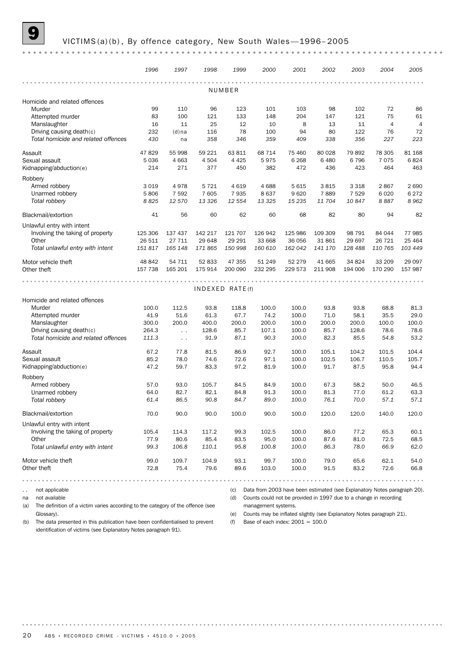#### VICTIMS (a)(b), By offence category, New South Wales - 1996-2005

|                                     | 1996    | 1997                 | 1998    | 1999                 | 2000    | 2001    | 2002    | 2003    | 2004           | 2005           |
|-------------------------------------|---------|----------------------|---------|----------------------|---------|---------|---------|---------|----------------|----------------|
|                                     |         |                      |         |                      |         |         |         |         |                |                |
| NUMBER                              |         |                      |         |                      |         |         |         |         |                |                |
| Homicide and related offences       |         |                      |         |                      |         |         |         |         |                |                |
| Murder                              | 99      | 110                  | 96      | 123                  | 101     | 103     | 98      | 102     | 72             | 86             |
| Attempted murder                    | 83      | 100                  | 121     | 133                  | 148     | 204     | 147     | 121     | 75             | 61             |
| Manslaughter                        | 16      | 11                   | 25      | 12                   | 10      | 8       | 13      | 11      | $\overline{4}$ | $\overline{4}$ |
| Driving causing death(c)            | 232     | $(d)$ na             | 116     | 78                   | 100     | 94      | 80      | 122     | 76             | 72             |
| Total homicide and related offences | 430     | na                   | 358     | 346                  | 359     | 409     | 338     | 356     | 227            | 223            |
| Assault                             | 47829   | 55 998               | 59 221  | 63 811               | 68 714  | 75 460  | 80 0 28 | 79892   | 78 305         | 81 168         |
| Sexual assault                      | 5036    | 4 6 63               | 4 5 0 4 | 4 4 2 5              | 5975    | 6 2 6 8 | 6480    | 6796    | 7075           | 6824           |
| Kidnapping/abduction(e)             | 214     | 271                  | 377     | 450                  | 382     | 472     | 436     | 423     | 464            | 463            |
| Robbery                             |         |                      |         |                      |         |         |         |         |                |                |
| Armed robbery                       | 3019    | 4978                 | 5 7 2 1 | 4619                 | 4688    | 5 6 1 5 | 3815    | 3 3 1 8 | 2867           | 2 6 9 0        |
| Unarmed robbery                     | 5806    | 7 5 9 2              | 7 605   | 7935                 | 8637    | 9620    | 7889    | 7 5 2 9 | 6 0 20         | 6 2 7 2        |
| Total robbery                       | 8825    | 12 570               | 13 3 26 | 12 554               | 13 3 25 | 15 235  | 11 704  | 10847   | 8887           | 8962           |
| Blackmail/extortion                 | 41      | 56                   | 60      | 62                   | 60      | 68      | 82      | 80      | 94             | 82             |
| Unlawful entry with intent          |         |                      |         |                      |         |         |         |         |                |                |
| Involving the taking of property    | 125 306 | 137 437              | 142 217 | 121 707              | 126 942 | 125 986 | 109 309 | 98 791  | 84 044         | 77 985         |
| Other                               | 26 511  | 27 711               | 29 648  | 29 29 1              | 33 668  | 36 056  | 31861   | 29 697  | 26 7 21        | 25 4 64        |
| Total unlawful entry with intent    | 151 817 | 165 148              | 171 865 | 150 998              | 160 610 | 162 042 | 141 170 | 128 488 | 110 765        | 103 449        |
| Motor vehicle theft                 | 48 842  | 54 711               | 52 833  | 47 355               | 51 249  | 52 279  | 41 665  | 34 824  | 33 209         | 29 097         |
| Other theft                         | 157 738 | 165 201              | 175 914 | 200 090              | 232 295 | 229 573 | 211 908 | 194 006 | 170 290        | 157 987        |
|                                     |         |                      |         |                      |         |         |         |         |                |                |
|                                     |         |                      |         | $INDEXED$ RATE $(f)$ |         |         |         |         |                |                |
| Homicide and related offences       |         |                      |         |                      |         |         |         |         |                |                |
| Murder                              | 100.0   | 112.5                | 93.8    | 118.8                | 100.0   | 100.0   | 93.8    | 93.8    | 68.8           | 81.3           |
| Attempted murder                    | 41.9    | 51.6                 | 61.3    | 67.7                 | 74.2    | 100.0   | 71.0    | 58.1    | 35.5           | 29.0           |
| Manslaughter                        | 300.0   | 200.0                | 400.0   | 200.0                | 200.0   | 100.0   | 200.0   | 200.0   | 100.0          | 100.0          |
| Driving causing death(c)            | 264.3   | $\ddot{\phantom{0}}$ | 128.6   | 85.7                 | 107.1   | 100.0   | 85.7    | 128.6   | 78.6           | 78.6           |
| Total homicide and related offences | 111.3   | $\sim$ $\sim$        | 91.9    | 87.1                 | 90.3    | 100.0   | 82.3    | 85.5    | 54.8           | 53.2           |
| Assault                             | 67.2    | 77.8                 | 81.5    | 86.9                 | 92.7    | 100.0   | 105.1   | 104.2   | 101.5          | 104.4          |
| Sexual assault                      | 85.2    | 78.0                 | 74.6    | 72.6                 | 97.1    | 100.0   | 102.5   | 106.7   | 110.5          | 105.7          |
| Kidnapping/abduction(e)             | 47.2    | 59.7                 | 83.3    | 97.2                 | 81.9    | 100.0   | 91.7    | 87.5    | 95.8           | 94.4           |
| Robbery                             |         |                      |         |                      |         |         |         |         |                |                |
| Armed robbery                       | 57.0    | 93.0                 | 105.7   | 84.5                 | 84.9    | 100.0   | 67.3    | 58.2    | 50.0           | 46.5           |
| Unarmed robbery                     | 64.0    | 82.7                 | 82.1    | 84.8                 | 91.3    | 100.0   | 81.3    | 77.0    | 61.2           | 63.3           |
| Total robbery                       | 61.4    | 86.5                 | 90.8    | 84.7                 | 89.0    | 100.0   | 76.1    | 70.0    | 57.1           | 57.1           |
| Blackmail/extortion                 | 70.0    | 90.0                 | 90.0    | 100.0                | 90.0    | 100.0   | 120.0   | 120.0   | 140.0          | 120.0          |
| Unlawful entry with intent          |         |                      |         |                      |         |         |         |         |                |                |
| Involving the taking of property    | 105.4   | 114.3                | 117.2   | 99.3                 | 102.5   | 100.0   | 86.0    | 77.2    | 65.3           | 60.1           |
| Other                               | 77.9    | 80.6                 | 85.4    | 83.5                 | 95.0    | 100.0   | 87.6    | 81.0    | 72.5           | 68.5           |
| Total unlawful entry with intent    | 99.3    | 106.8                | 110.1   | 95.8                 | 100.8   | 100.0   | 86.3    | 78.0    | 66.9           | 62.0           |
|                                     |         |                      |         |                      |         |         |         |         |                |                |
| Motor vehicle theft                 | 99.0    | 109.7                | 104.9   | 93.1                 | 99.7    | 100.0   | 79.0    | 65.6    | 62.1           | 54.0           |
| Other theft                         | 72.8    | 75.4                 | 79.6    | 89.6                 | 103.0   | 100.0   | 91.5    | 83.2    | 72.6           | 66.8           |
|                                     |         |                      |         |                      |         |         |         |         |                |                |

.. not applicable

na not available

(a) The definition of a victim varies according to the category of the offence (see Glossary).

management systems. (e) Counts may be inflated slightly (see Explanatory Notes paragraph 21).

(c) Data from 2003 have been estimated (see Explanatory Notes paragraph 20). (d) Counts could not be provided in 1997 due to a change in recording

(b) The data presented in this publication have been confidentialised to prevent identification of victims (see Explanatory Notes paragraph 91).

(f) Base of each index:  $2001 = 100.0$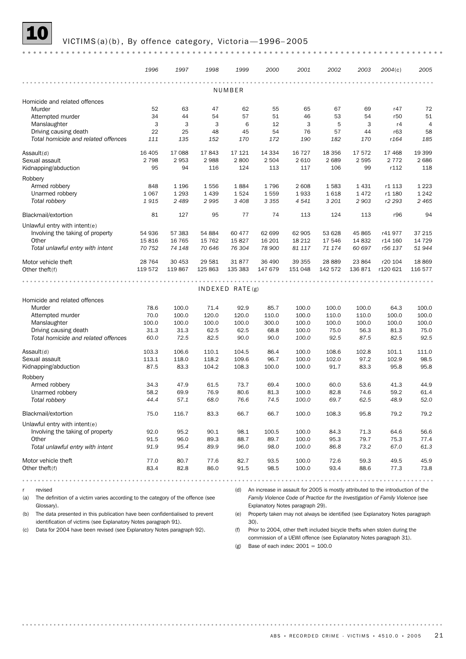#### VICTIMS(a)(b), By offence category, Victoria-1996-2005

|                                                                                        | 1996    | 1997    | 1998    | 1999            | 2000    | 2001    | 2002     | 2003    | 2004(c)                                                                             | 2005           |
|----------------------------------------------------------------------------------------|---------|---------|---------|-----------------|---------|---------|----------|---------|-------------------------------------------------------------------------------------|----------------|
|                                                                                        |         |         |         |                 |         |         |          |         |                                                                                     |                |
|                                                                                        |         |         |         | NUMBER          |         |         |          |         |                                                                                     |                |
| Homicide and related offences                                                          |         |         |         |                 |         |         |          |         |                                                                                     |                |
| Murder                                                                                 | 52      | 63      | 47      | 62              | 55      | 65      | 67       | 69      | r47                                                                                 | 72             |
| Attempted murder                                                                       | 34      | 44      | 54      | 57              | 51      | 46      | 53       | 54      | r50                                                                                 | 51             |
| Manslaughter                                                                           | 3       | 3       | 3       | 6               | 12      | 3       | 5        | 3       | r4                                                                                  | $\overline{4}$ |
| Driving causing death                                                                  | 22      | 25      | 48      | 45              | 54      | 76      | 57       | 44      | r63                                                                                 | 58             |
| Total homicide and related offences                                                    | 111     | 135     | 152     | 170             | 172     | 190     | 182      | 170     | r164                                                                                | 185            |
| Assault(d)                                                                             | 16 40 5 | 17 088  | 17843   | 17 121          | 14 3 34 | 16 727  | 18 3 5 6 | 17 572  | 17 4 68                                                                             | 19 399         |
| Sexual assault                                                                         | 2 7 9 8 | 2953    | 2988    | 2800            | 2 5 0 4 | 2 6 1 0 | 2689     | 2 5 9 5 | 2 7 7 2                                                                             | 2686           |
| Kidnapping/abduction                                                                   | 95      | 94      | 116     | 124             | 113     | 117     | 106      | 99      | r112                                                                                | 118            |
| Robbery                                                                                |         |         |         |                 |         |         |          |         |                                                                                     |                |
| Armed robbery                                                                          | 848     | 1 1 9 6 | 1556    | 1884            | 1796    | 2 608   | 1583     | 1431    | r1 113                                                                              | 1 2 2 3        |
| Unarmed robbery                                                                        | 1 0 6 7 | 1 2 9 3 | 1 4 3 9 | 1524            | 1559    | 1933    | 1618     | 1472    | r1 180                                                                              | 1 2 4 2        |
| Total robbery                                                                          | 1915    | 2 4 8 9 | 2995    | 3 4 0 8         | 3 3 5 5 | 4541    | 3 201    | 2 9 0 3 | r2 293                                                                              | 2 4 6 5        |
|                                                                                        |         |         |         |                 |         |         |          |         |                                                                                     |                |
| Blackmail/extortion                                                                    | 81      | 127     | 95      | 77              | 74      | 113     | 124      | 113     | r96                                                                                 | 94             |
| Unlawful entry with intent(e)                                                          |         |         |         |                 |         |         |          |         |                                                                                     |                |
| Involving the taking of property                                                       | 54 936  | 57 383  | 54 884  | 60 477          | 62 699  | 62 905  | 53 628   | 45 865  | r41977                                                                              | 37 215         |
| Other                                                                                  | 15816   | 16 7 65 | 15 7 62 | 15827           | 16 201  | 18 212  | 17 546   | 14 8 32 | r14 160                                                                             | 14 7 29        |
| Total unlawful entry with intent                                                       | 70 752  | 74 148  | 70 646  | 76 304          | 78 900  | 81 117  | 71 174   | 60 697  | r56 137                                                                             | 51 944         |
| Motor vehicle theft                                                                    | 28 7 64 | 30 453  | 29 5 81 | 31877           | 36 490  | 39 355  | 28 8 89  | 23 864  | r20 104                                                                             | 18 8 69        |
| Other theft $(f)$                                                                      | 119 572 | 119867  | 125 863 | 135 383         | 147 679 | 151 048 | 142 572  | 136 871 | r120 621                                                                            | 116 577        |
|                                                                                        |         |         |         |                 |         |         |          |         |                                                                                     |                |
|                                                                                        |         |         |         | INDEXED RATE(g) |         |         |          |         |                                                                                     |                |
| Homicide and related offences                                                          |         |         |         |                 |         |         |          |         |                                                                                     |                |
| Murder                                                                                 | 78.6    | 100.0   | 71.4    | 92.9            | 85.7    | 100.0   | 100.0    | 100.0   | 64.3                                                                                | 100.0          |
| Attempted murder                                                                       | 70.0    | 100.0   | 120.0   | 120.0           | 110.0   | 100.0   | 110.0    | 110.0   | 100.0                                                                               | 100.0          |
| Manslaughter                                                                           | 100.0   | 100.0   | 100.0   | 100.0           | 300.0   | 100.0   | 100.0    | 100.0   | 100.0                                                                               | 100.0          |
| Driving causing death                                                                  | 31.3    | 31.3    | 62.5    | 62.5            | 68.8    | 100.0   | 75.0     | 56.3    | 81.3                                                                                | 75.0           |
| Total homicide and related offences                                                    | 60.0    | 72.5    | 82.5    | 90.0            | 90.0    | 100.0   | 92.5     | 87.5    | 82.5                                                                                | 92.5           |
|                                                                                        |         |         |         |                 |         |         |          |         |                                                                                     |                |
| Assault(d)                                                                             | 103.3   | 106.6   | 110.1   | 104.5           | 86.4    | 100.0   | 108.6    | 102.8   | 101.1                                                                               | 111.0          |
| Sexual assault                                                                         | 113.1   | 118.0   | 118.2   | 109.6           | 96.7    | 100.0   | 102.0    | 97.2    | 102.9                                                                               | 98.5           |
| Kidnapping/abduction                                                                   | 87.5    | 83.3    | 104.2   | 108.3           | 100.0   | 100.0   | 91.7     | 83.3    | 95.8                                                                                | 95.8           |
| Robbery                                                                                |         |         |         |                 |         |         |          |         |                                                                                     |                |
| Armed robbery                                                                          | 34.3    | 47.9    | 61.5    | 73.7            | 69.4    | 100.0   | 60.0     | 53.6    | 41.3                                                                                | 44.9           |
| Unarmed robbery                                                                        | 58.2    | 69.9    | 76.9    | 80.6            | 81.3    | 100.0   | 82.8     | 74.6    | 59.2                                                                                | 61.4           |
| Total robbery                                                                          | 44.4    | 57.1    | 68.0    | 76.6            | 74.5    | 100.0   | 69.7     | 62.5    | 48.9                                                                                | 52.0           |
| Blackmail/extortion                                                                    | 75.0    | 116.7   | 83.3    | 66.7            | 66.7    | 100.0   | 108.3    | 95.8    | 79.2                                                                                | 79.2           |
|                                                                                        |         |         |         |                 |         |         |          |         |                                                                                     |                |
| Unlawful entry with intent( $e$ )                                                      |         |         |         |                 |         |         |          |         |                                                                                     |                |
| Involving the taking of property                                                       | 92.0    | 95.2    | 90.1    | 98.1            | 100.5   | 100.0   | 84.3     | 71.3    | 64.6                                                                                | 56.6           |
| Other<br>Total unlawful entry with intent                                              | 91.5    | 96.0    | 89.3    | 88.7            | 89.7    | 100.0   | 95.3     | 79.7    | 75.3                                                                                | 77.4           |
|                                                                                        | 91.9    | 95.4    | 89.9    | 96.0            | 98.0    | 100.0   | 86.8     | 73.2    | 67.0                                                                                | 61.3           |
| Motor vehicle theft                                                                    | 77.0    | 80.7    | 77.6    | 82.7            | 93.5    | 100.0   | 72.6     | 59.3    | 49.5                                                                                | 45.9           |
| Other theft $(f)$                                                                      | 83.4    | 82.8    | 86.0    | 91.5            | 98.5    | 100.0   | 93.4     | 88.6    | 77.3                                                                                | 73.8           |
|                                                                                        |         |         |         |                 |         |         |          |         |                                                                                     |                |
| revised<br>r                                                                           |         |         |         |                 |         |         |          |         | (d) An increase in assault for 2005 is mostly attributed to the introduction of the |                |
| The definition of a victim varies according to the category of the offence (see<br>(a) |         |         |         |                 |         |         |          |         | Family Violence Code of Practice for the Investigation of Family Violence (see      |                |

(a) The definition of a victim varies according to the category of the offence (see Glossary).

Explanatory Notes paragraph 29). (e) Property taken may not always be identified (see Explanatory Notes paragraph

(b) The data presented in this publication have been confidentialised to prevent identification of victims (see Explanatory Notes paragraph 91).

(c) Data for 2004 have been revised (see Explanatory Notes paragraph 92).

30).

(f) Prior to 2004, other theft included bicycle thefts when stolen during the commission of a UEWI offence (see Explanatory Notes paragraph 31).

(g) Base of each index:  $2001 = 100.0$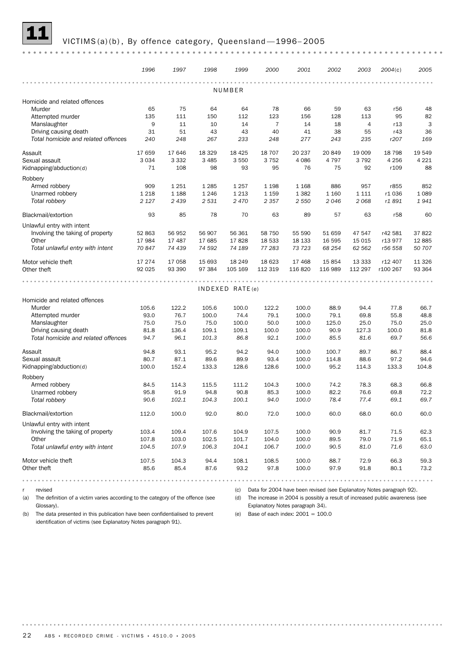#### VICTIMS(a)(b), By offence category, Queensland-1996-2005

|                                     | 1996    | 1997    | 1998    | 1999            | 2000           | 2001    | 2002    | 2003     | 2004(c)         | 2005    |
|-------------------------------------|---------|---------|---------|-----------------|----------------|---------|---------|----------|-----------------|---------|
|                                     |         |         |         |                 |                |         |         |          |                 |         |
|                                     |         |         |         | NUMBER          |                |         |         |          |                 |         |
| Homicide and related offences       |         |         |         |                 |                |         |         |          |                 |         |
| Murder                              | 65      | 75      | 64      | 64              | 78             | 66      | 59      | 63       | r56             | 48      |
| Attempted murder                    | 135     | 111     | 150     | 112             | 123            | 156     | 128     | 113      | 95              | 82      |
| Manslaughter                        | 9       | 11      | 10      | 14              | $\overline{7}$ | 14      | 18      | 4        | r13             | 3       |
| Driving causing death               | 31      | 51      | 43      | 43              | 40             | 41      | 38      | 55       | r43             | 36      |
| Total homicide and related offences | 240     | 248     | 267     | 233             | 248            | 277     | 243     | 235      | r207            | 169     |
| Assault                             | 17 659  | 17 646  | 18 3 29 | 18 4 25         | 18 707         | 20 237  | 20 849  | 19 009   | 18 798          | 19 549  |
| Sexual assault                      | 3 0 3 4 | 3 3 3 2 | 3 4 8 5 | 3550            | 3752           | 4 0 8 6 | 4 7 9 7 | 3792     | 4 2 5 6         | 4 2 2 1 |
| Kidnapping/abduction(d)             | 71      | 108     | 98      | 93              | 95             | 76      | 75      | 92       | r109            | 88      |
| Robbery                             |         |         |         |                 |                |         |         |          |                 |         |
| Armed robbery                       | 909     | 1 2 5 1 | 1 2 8 5 | 1 2 5 7         | 1 1 9 8        | 1 1 6 8 | 886     | 957      | r855            | 852     |
| Unarmed robbery                     | 1 2 1 8 | 1 1 8 8 | 1 2 4 6 | 1 2 1 3         | 1 1 5 9        | 1 3 8 2 | 1 1 6 0 | 1 1 1 1  | r1036           | 1 0 8 9 |
| Total robbery                       | 2 1 2 7 | 2 4 3 9 | 2 5 3 1 | 2470            | 2 3 5 7        | 2 5 5 0 | 2046    | 2068     | r1 891          | 1941    |
| Blackmail/extortion                 | 93      | 85      | 78      | 70              | 63             | 89      | 57      | 63       | r <sub>58</sub> | 60      |
|                                     |         |         |         |                 |                |         |         |          |                 |         |
| Unlawful entry with intent          |         |         |         |                 |                |         |         |          |                 |         |
| Involving the taking of property    | 52 863  | 56 952  | 56 907  | 56 361          | 58 750         | 55 590  | 51 659  | 47 547   | r42 581         | 37822   |
| Other                               | 17 984  | 17 487  | 17 685  | 17828           | 18 533         | 18 133  | 16 595  | 15 0 15  | r13 977         | 12885   |
| Total unlawful entry with intent    | 70 847  | 74 439  | 74 592  | 74 189          | 77 283         | 73 723  | 68 254  | 62 562   | r56 558         | 50 707  |
| Motor vehicle theft                 | 17 274  | 17 058  | 15 693  | 18 24 9         | 18 6 23        | 17 4 68 | 15 8 54 | 13 3 3 3 | r12 407         | 11 3 26 |
| Other theft                         | 92 0 25 | 93 390  | 97 384  | 105 169         | 112 319        | 116 820 | 116 989 | 112 297  | r100 267        | 93 364  |
|                                     |         |         |         |                 |                |         |         |          |                 |         |
|                                     |         |         |         | INDEXED RATE(e) |                |         |         |          |                 |         |
| Homicide and related offences       |         |         |         |                 |                |         |         |          |                 |         |
| Murder                              | 105.6   | 122.2   | 105.6   | 100.0           | 122.2          | 100.0   | 88.9    | 94.4     | 77.8            | 66.7    |
| Attempted murder                    | 93.0    | 76.7    | 100.0   | 74.4            | 79.1           | 100.0   | 79.1    | 69.8     | 55.8            | 48.8    |
| Manslaughter                        | 75.0    | 75.0    | 75.0    | 100.0           | 50.0           | 100.0   | 125.0   | 25.0     | 75.0            | 25.0    |
| Driving causing death               | 81.8    | 136.4   | 109.1   | 109.1           | 100.0          | 100.0   | 90.9    | 127.3    | 100.0           | 81.8    |
| Total homicide and related offences | 94.7    | 96.1    | 101.3   | 86.8            | 92.1           | 100.0   | 85.5    | 81.6     | 69.7            | 56.6    |
| Assault                             | 94.8    | 93.1    | 95.2    | 94.2            | 94.0           | 100.0   | 100.7   | 89.7     | 86.7            | 88.4    |
| Sexual assault                      | 80.7    | 87.1    | 89.6    | 89.9            | 93.4           | 100.0   | 114.8   | 88.6     | 97.2            | 94.6    |
| Kidnapping/abduction(d)             | 100.0   | 152.4   | 133.3   | 128.6           | 128.6          | 100.0   | 95.2    | 114.3    | 133.3           | 104.8   |
|                                     |         |         |         |                 |                |         |         |          |                 |         |
| Robbery                             |         |         |         |                 |                |         |         |          |                 |         |
| Armed robbery                       | 84.5    | 114.3   | 115.5   | 111.2           | 104.3          | 100.0   | 74.2    | 78.3     | 68.3            | 66.8    |
| Unarmed robbery                     | 95.8    | 91.9    | 94.8    | 90.8            | 85.3           | 100.0   | 82.2    | 76.6     | 69.8            | 72.2    |
| Total robberv                       | 90.6    | 102.1   | 104.3   | 100.1           | 94.0           | 100.0   | 78.4    | 77.4     | 69.1            | 69.7    |
| Blackmail/extortion                 | 112.0   | 100.0   | 92.0    | 80.0            | 72.0           | 100.0   | 60.0    | 68.0     | 60.0            | 60.0    |
| Unlawful entry with intent          |         |         |         |                 |                |         |         |          |                 |         |
| Involving the taking of property    | 103.4   | 109.4   | 107.6   | 104.9           | 107.5          | 100.0   | 90.9    | 81.7     | 71.5            | 62.3    |
| Other                               | 107.8   | 103.0   | 102.5   | 101.7           | 104.0          | 100.0   | 89.5    | 79.0     | 71.9            | 65.1    |
| Total unlawful entry with intent    | 104.5   | 107.9   | 106.3   | 104.1           | 106.7          | 100.0   | 90.5    | 81.0     | 71.6            | 63.0    |
|                                     |         |         |         |                 |                |         |         |          |                 |         |
| Motor vehicle theft                 | 107.5   | 104.3   | 94.4    | 108.1           | 108.5          | 100.0   | 88.7    | 72.9     | 66.3            | 59.3    |
| Other theft                         | 85.6    | 85.4    | 87.6    | 93.2            | 97.8           | 100.0   | 97.9    | 91.8     | 80.1            | 73.2    |
|                                     |         |         |         |                 |                |         |         |          |                 |         |

r revised

(c) Data for 2004 have been revised (see Explanatory Notes paragraph 92).

(d) The increase in 2004 is possibly a result of increased public awareness (see

(a) The definition of a victim varies according to the category of the offence (see Glossary).

Explanatory Notes paragraph 34).

(b) The data presented in this publication have been confidentialised to prevent identification of victims (see Explanatory Notes paragraph 91).

(e) Base of each index: 2001 = 100.0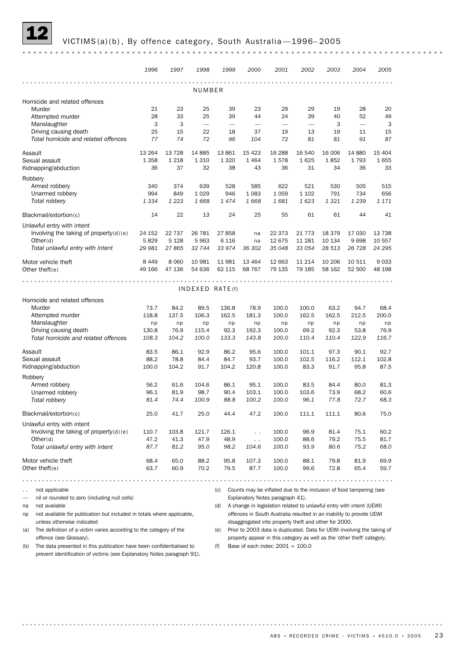## VICTIMS(a)(b), By offence category, South Australia-1996-2005

|                                                                              | 1996         | 1997         | 1998         | 1999            | 2000              | 2001                                                                    | 2002         | 2003         | 2004         | 2005         |
|------------------------------------------------------------------------------|--------------|--------------|--------------|-----------------|-------------------|-------------------------------------------------------------------------|--------------|--------------|--------------|--------------|
|                                                                              |              |              |              |                 |                   | $- - - - -$                                                             |              | .            |              |              |
|                                                                              |              |              | NUMBER       |                 |                   |                                                                         |              |              |              |              |
| Homicide and related offences                                                |              |              |              |                 |                   |                                                                         |              |              |              |              |
| Murder                                                                       | 21<br>28     | 23           | 25<br>25     | 39              | 23                | 29<br>24                                                                | 29<br>39     | 19           | 28           | 20           |
| Attempted murder<br>Manslaughter                                             | 3            | 33<br>3      |              | 39              | 44                |                                                                         |              | 40<br>3      | 52           | 49<br>3      |
| Driving causing death                                                        | 25           | 15           | 22           | 18              | 37                | 19                                                                      | 13           | 19           | 11           | 15           |
| Total homicide and related offences                                          | 77           | 74           | 72           | 96              | 104               | 72                                                                      | 81           | 81           | 91           | 87           |
|                                                                              |              |              |              |                 |                   |                                                                         |              |              |              |              |
| Assault                                                                      | 13 2 64      | 13 7 28      | 14 8 85      | 13 861          | 15 4 23           | 16 288                                                                  | 16 540       | 16 006       | 14 880       | 15 4 04      |
| Sexual assault                                                               | 1 3 5 8      | 1 2 1 8      | 1 3 1 0      | 1 3 2 0         | 1 4 6 4           | 1578                                                                    | 1625         | 1852         | 1793         | 1655         |
| Kidnapping/abduction                                                         | 36           | 37           | 32           | 38              | 43                | 36                                                                      | 31           | 34           | 36           | 33           |
| Robbery                                                                      |              |              |              |                 |                   |                                                                         |              |              |              |              |
| Armed robbery                                                                | 340          | 374          | 639          | 528             | 585               | 622                                                                     | 521          | 530          | 505          | 515          |
| Unarmed robbery                                                              | 994          | 849          | 1 0 2 9      | 946             | 1 0 8 3<br>1668   | 1 0 5 9                                                                 | 1 1 0 2      | 791          | 734          | 656          |
| Total robbery                                                                | 1 3 3 4      | 1 2 2 3      | 1668         | 1474            |                   | 1681                                                                    | 1 6 23       | 1321         | 1 2 3 9      | 1 171        |
| Blackmail/extortion(c)                                                       | 14           | 22           | 13           | 24              | 25                | 55                                                                      | 61           | 61           | 44           | 41           |
| Unlawful entry with intent                                                   |              |              |              |                 |                   |                                                                         |              |              |              |              |
| Involving the taking of property $(d)(e)$                                    | 24 152       | 22 737       | 26 781       | 27858           | na                | 22 373                                                                  | 21 7 7 3     | 18 379       | 17 030       | 13 738       |
| Other(d)                                                                     | 5829         | 5 1 2 8      | 5963         | 6 1 1 6         | na                | 12 675                                                                  | 11 2 8 1     | 10 134       | 9698         | 10 557       |
| Total unlawful entry with intent                                             | 29 981       | 27865        | 32 744       | 33 974          | 36 30 2           | 35 048                                                                  | 33 054       | 28 513       | 26 7 28      | 24 295       |
| Motor vehicle theft                                                          | 8 4 4 9      | 8 0 6 0      | 10 981       | 11 981          | 13 4 64           | 12 663                                                                  | 11 214       | 10 20 6      | 10 511       | 9033         |
| Other theft $(e)$                                                            | 49 166       | 47 136       | 54 636       | 62 115          | 68 767            | 79 135                                                                  | 79 185       | 58 162       | 52 500       | 48 198       |
| Homicide and related offences                                                |              |              |              | INDEXED RATE(f) |                   |                                                                         |              |              |              |              |
| Murder                                                                       | 73.7         | 84.2         | 89.5         | 136.8           | 78.9              | 100.0                                                                   | 100.0        | 63.2         | 94.7         | 68.4         |
| Attempted murder                                                             | 118.8        | 137.5        | 106.3        | 162.5           | 181.3             | 100.0                                                                   | 162.5        | 162.5        | 212.5        | 200.0        |
| Manslaughter                                                                 | np           | np           | np           | np              | np                | np                                                                      | np           | np           | np           | np           |
| Driving causing death<br>Total homicide and related offences                 | 130.8        | 76.9         | 115.4        | 92.3            | 192.3             | 100.0                                                                   | 69.2         | 92.3         | 53.8         | 76.9         |
|                                                                              | 108.3        | 104.2        | 100.0        | 133.3           | 143.8             | 100.0                                                                   | 110.4        | 110.4        | 122.9        | 116.7        |
| Assault                                                                      | 83.5         | 86.1         | 92.9         | 86.2            | 95.6              | 100.0                                                                   | 101.1        | 97.3         | 90.1         | 92.7         |
| Sexual assault                                                               | 88.2         | 78.8         | 84.4         | 84.7            | 93.7              | 100.0                                                                   | 102.5        | 116.2        | 112.1        | 102.8        |
| Kidnapping/abduction                                                         | 100.0        | 104.2        | 91.7         | 104.2           | 120.8             | 100.0                                                                   | 83.3         | 91.7         | 95.8         | 87.5         |
| Robbery                                                                      |              |              |              |                 |                   |                                                                         |              |              |              |              |
| Armed robbery                                                                | 56.2         | 61.6         | 104.6        | 86.1            | 95.1              | 100.0                                                                   | 83.5         | 84.4         | 80.0         | 81.3         |
| Unarmed robbery                                                              | 96.1         | 81.9         | 98.7         | 90.4            | 103.1             | 100.0                                                                   | 103.6        | 73.9         | 68.2         | 60.6         |
| Total robbery                                                                | 81.4         | 74.4         | 100.9        | 88.8            | 100.2             | 100.0                                                                   | 96.1         | 77.8         | 72.7         | 68.3         |
| Blackmail/extortion(c)                                                       | 25.0         | 41.7         | 25.0         | 44.4            | 47.2              | 100.0                                                                   | 111.1        | 111.1        | 80.6         | 75.0         |
| Unlawful entry with intent                                                   |              |              |              |                 |                   |                                                                         |              |              |              |              |
| Involving the taking of property $(d)(e)$                                    | 110.7        | 103.8        | 121.7        | 126.1           | $\ddotsc$         | 100.0                                                                   | 96.9         | 81.4         | 75.1         | 60.2         |
| Other(d)<br>Total unlawful entry with intent                                 | 47.2<br>87.7 | 41.3<br>81.2 | 47.9<br>95.0 | 48.9<br>98.2    | $\sim$ .<br>104.6 | 100.0<br>100.0                                                          | 88.6<br>93.9 | 79.2<br>80.6 | 75.5<br>75.2 | 81.7<br>68.0 |
|                                                                              |              |              |              |                 |                   |                                                                         |              |              |              |              |
| Motor vehicle theft                                                          | 68.4         | 65.0         | 88.2         | 95.8            | 107.3             | 100.0                                                                   | 88.1         | 79.8         | 81.9         | 69.9         |
| Other theft $(e)$                                                            | 63.7         | 60.9         | 70.2         | 79.5            | 87.7              | 100.0                                                                   | 99.6         | 72.8         | 65.4         | 59.7         |
|                                                                              |              |              |              |                 |                   |                                                                         |              |              |              |              |
| not applicable<br>$\sim$ $\sim$                                              |              |              |              |                 |                   | (c) Counts may be inflated due to the inclusion of food tampering (see  |              |              |              |              |
| nil or rounded to zero (including null cells)                                |              |              |              |                 |                   | Explanatory Notes paragraph 41).                                        |              |              |              |              |
| not available<br>na                                                          |              |              |              | (d)             |                   | A change in legislation related to unlawful entry with intent (UEWI)    |              |              |              |              |
| not available for publication but included in totals where applicable,<br>np |              |              |              |                 |                   | offences in South Australia resulted in an inability to provide UEWI    |              |              |              |              |
| unless otherwise indicated                                                   |              |              |              |                 |                   | disaggregated into property theft and other for 2000.                   |              |              |              |              |
| The definition of a victim varies according to the category of the<br>(a)    |              |              |              |                 |                   | Prior to 2003 data is duplicated. Data for UEWI involving the taking of |              |              |              |              |

offence (see Glossary).

(b) The data presented in this publication have been confidentialised to prevent identification of victims (see Explanatory Notes paragraph 91).

property appear in this category as well as the 'other theft' category. (f) Base of each index:  $2001 = 100.0$ 

ABS • RECORDED CRIME - VICTIMS •  $4510.0$  • 2005 23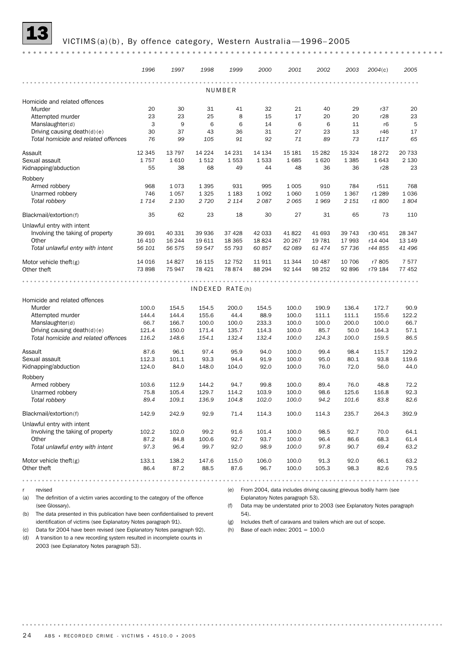#### 13 VICTIMS (a)(b) , By offence category, Western Australia —1996– <sup>2005</sup>

|                                     | 1996    | 1997     | 1998            | 1999    | 2000    | 2001              | 2002          | 2003    | 2004(c)                                                           | 2005     |
|-------------------------------------|---------|----------|-----------------|---------|---------|-------------------|---------------|---------|-------------------------------------------------------------------|----------|
|                                     |         |          |                 |         |         | $- 0 - 0 - 0 - 0$ |               |         |                                                                   |          |
|                                     |         |          |                 | NUMBER  |         |                   |               |         |                                                                   |          |
| Homicide and related offences       |         |          |                 |         |         |                   |               |         |                                                                   |          |
| Murder                              | 20      | 30       | 31              | 41      | 32      | 21                | 40            | 29      | r37                                                               | 20       |
| Attempted murder                    | 23      | 23       | 25              | 8       | 15      | 17                | 20            | 20      | r28                                                               | 23       |
| Manslaughter(d)                     | 3       | 9        | 6               | 6       | 14      | 6                 | 6             | 11      | r6                                                                | 5        |
| Driving causing death(d)(e)         | 30      | 37       | 43              | 36      | 31      | 27                | 23<br>89      | 13      | r46                                                               | 17<br>65 |
| Total homicide and related offences | 76      | 99       | 105             | 91      | 92      | 71                |               | 73      | r117                                                              |          |
| Assault                             | 12 3 45 | 13 7 9 7 | 14 2 24         | 14 2 31 | 14 134  | 15 181            | 15 2 82       | 15 3 24 | 18 27 2                                                           | 20 733   |
| Sexual assault                      | 1757    | 1610     | 1512            | 1553    | 1533    | 1685              | 1620          | 1 3 8 5 | 1643                                                              | 2 1 3 0  |
| Kidnapping/abduction                | 55      | 38       | 68              | 49      | 44      | 48                | 36            | 36      | r28                                                               | 23       |
| Robbery                             |         |          |                 |         |         |                   |               |         |                                                                   |          |
| Armed robbery                       | 968     | 1073     | 1 3 9 5         | 931     | 995     | 1 0 0 5           | 910           | 784     | r511                                                              | 768      |
| Unarmed robbery                     | 746     | 1 0 5 7  | 1 3 2 5         | 1 1 8 3 | 1 0 9 2 | 1 0 6 0           | 1059          | 1 3 6 7 | r1 289                                                            | 1036     |
| Total robbery                       | 1714    | 2 1 3 0  | 2720            | 2 1 1 4 | 2087    | 2065              | 1969          | 2 1 5 1 | r1 800                                                            | 1804     |
| Blackmail/extortion(f)              | 35      | 62       | 23              | 18      | 30      | 27                | 31            | 65      | 73                                                                | 110      |
| Unlawful entry with intent          |         |          |                 |         |         |                   |               |         |                                                                   |          |
| Involving the taking of property    | 39 691  | 40 331   | 39 936          | 37 4 28 | 42 033  | 41822             | 41 693        | 39 743  | r30 451                                                           | 28 347   |
| Other                               | 16 4 10 | 16 244   | 19 611          | 18 3 65 | 18824   | 20 267            | 19 781        | 17 993  | r14 404                                                           | 13 149   |
| Total unlawful entry with intent    | 56 101  | 56 575   | 59 547          | 55 793  | 60 857  | 62 089            | 61 474        | 57 736  | r44 855                                                           | 41 496   |
| Motor vehicle theft(g)              | 14 0 16 | 14827    | 16 115          | 12 752  | 11911   | 11 344            | 10 487        | 10 706  | r7805                                                             | 7577     |
| Other theft                         | 73 898  | 75 947   | 78 4 21         | 78874   | 88 294  | 92 144            | 98 25 2       | 92 896  | r79 184                                                           | 77 452   |
|                                     |         |          |                 |         |         |                   |               |         |                                                                   |          |
|                                     |         |          | INDEXED RATE(h) |         |         |                   |               |         |                                                                   |          |
| Homicide and related offences       |         |          |                 |         |         |                   |               |         |                                                                   |          |
| Murder                              | 100.0   | 154.5    | 154.5           | 200.0   | 154.5   | 100.0             | 190.9         | 136.4   | 172.7                                                             | 90.9     |
| Attempted murder                    | 144.4   | 144.4    | 155.6           | 44.4    | 88.9    | 100.0             | 111.1         | 111.1   | 155.6                                                             | 122.2    |
| Manslaughter(d)                     | 66.7    | 166.7    | 100.0           | 100.0   | 233.3   | 100.0             | 100.0         | 200.0   | 100.0                                                             | 66.7     |
| Driving causing death $(d)(e)$      | 121.4   | 150.0    | 171.4           | 135.7   | 114.3   | 100.0             | 85.7          | 50.0    | 164.3                                                             | 57.1     |
| Total homicide and related offences | 116.2   | 148.6    | 154.1           | 132.4   | 132.4   | 100.0             | 124.3         | 100.0   | 159.5                                                             | 86.5     |
| Assault                             | 87.6    | 96.1     | 97.4            | 95.9    | 94.0    | 100.0             | 99.4          | 98.4    | 115.7                                                             | 129.2    |
| Sexual assault                      | 112.3   | 101.1    | 93.3            | 94.4    | 91.9    | 100.0             | 95.0          | 80.1    | 93.8                                                              | 119.6    |
| Kidnapping/abduction                | 124.0   | 84.0     | 148.0           | 104.0   | 92.0    | 100.0             | 76.0          | 72.0    | 56.0                                                              | 44.0     |
| Robbery                             |         |          |                 |         |         |                   |               |         |                                                                   |          |
| Armed robbery                       | 103.6   | 112.9    | 144.2           | 94.7    | 99.8    | 100.0             | 89.4          | 76.0    | 48.8                                                              | 72.2     |
| Unarmed robbery                     | 75.8    | 105.4    | 129.7           | 114.2   | 103.9   | 100.0             | 98.6          | 125.6   | 116.8                                                             | 92.3     |
| Total robbery                       | 89.4    | 109.1    | 136.9           | 104.8   | 102.0   | 100.0             | 94.2          | 101.6   | 83.8                                                              | 82.6     |
| Blackmail/extortion(f)              | 142.9   | 242.9    | 92.9            | 71.4    | 114.3   | 100.0             | 114.3         | 235.7   | 264.3                                                             | 392.9    |
| Unlawful entry with intent          |         |          |                 |         |         |                   |               |         |                                                                   |          |
| Involving the taking of property    | 102.2   | 102.0    | 99.2            | 91.6    | 101.4   | 100.0             | 98.5          | 92.7    | 70.0                                                              | 64.1     |
| Other                               | 87.2    | 84.8     | 100.6           | 92.7    | 93.7    | 100.0             | 96.4          | 86.6    | 68.3                                                              | 61.4     |
| Total unlawful entry with intent    | 97.3    | 96.4     | 99.7            | 92.0    | 98.9    | 100.0             | 97.8          | 90.7    | 69.4                                                              | 63.2     |
| Motor vehicle theft $(g)$           | 133.1   | 138.2    | 147.6           | 115.0   | 106.0   | 100.0             | 91.3          | 92.0    | 66.1                                                              | 63.2     |
| Other theft                         | 86.4    | 87.2     | 88.5            | 87.6    | 96.7    | 100.0             | 105.3         | 98.3    | 82.6                                                              | 79.5     |
| .                                   | .       |          | .               |         | .       |                   | $0.000000000$ | .       | $\begin{array}{cccccccccccccc} 0 & 0 & 0 & 0 & 0 & 0 \end{array}$ |          |

r revised

(a) The definition of a victim varies according to the category of the offence (see Glossary).

(b) The data presented in this publication have been confidentialised to prevent

(e) From 2004, data includes driving causing grievous bodily harm (see

Explanatory Notes paragraph 53).

(f) Data may be understated prior to 2003 (see Explanatory Notes paragraph 54).

identification of victims (see Explanatory Notes paragraph 91).

(c) Data for 2004 have been revised (see Explanatory Notes paragraph 92). (d) A transition to a new recording system resulted in incomplete counts in 2003 (see Explanatory Notes paragraph 53).

(g) Includes theft of caravans and trailers which are out of scope.

(h) Base of each index:  $2001 = 100.0$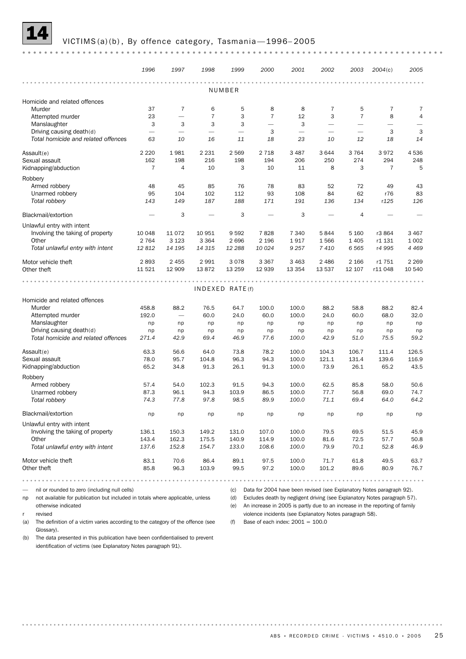#### VICTIMS(a)(b), By offence category, Tasmania-1996-2005

*1996 1997 1998 1999 2000 2001 2002 2003 2004*(c) *2005* NUMBER Homicide and related offences Murder 37 7 6 5 8 8 7 5 7 7 Attempted murder **23** - 7 3 7 12 3 7 8 4 Manslaughter 3 3 3 — 3 — — — — Driving causing death(d)  $3$   $3$   $3$ *Total homicide and related offences 63 10 16 11 18 23 10 12 18 14* Assault(e) 2 220 1 981 2 231 2 569 2 718 3 487 3 644 3 764 3 972 4 536 Sexual assault 162 198 216 198 194 206 250 274 294 248 Kidnapping/abduction 7 4 10 3 10 11 8 3 7 5 Robbery Armed robbery 48 45 85 76 78 83 52 72 49 43 Unarmed robbery 95 104 102 112 93 108 84 62 r76 83 *Total robbery 143 149 187 188 171 191 136 134* r*125 126* Blackmail/extortion  $-$  3  $-$  3  $-$  3  $-$  4 Unlawful entry with intent Involving the taking of property 10 048 11 072 10 951 9 592 7 828 7 340 5 844 5 160 r3 864 3 467 Other 2 764 3 123 3 364 2 696 2 196 1 917 1 566 1 405 r1 131 1 002 *Total unlawful entry with intent 12 812 14 195 14 315 12 288 10 024 9 257 7 410 6 565* r*4 995 4 469* Motor vehicle theft 2 893 2 455 2 991 3 078 3 367 3 463 2 486 2 166 r1 751 2 269 Other theft 11 521 12 909 13 872 13 259 12 939 13 354 13 537 12 107 r11 048 10 540  $IN$  D  $FX$   $F$  D  $R$   $AT$   $F$   $(f)$ Homicide and related offences Murder 458.8 88.2 76.5 64.7 100.0 100.0 88.2 58.8 88.2 82.4 Attempted murder 192.0 — 60.0 24.0 60.0 100.0 24.0 60.0 68.0 32.0 Manslaughter np np np np np np np np np np Driving causing death(d) np np np np np np np np np np *Total homicide and related offences 271.4 42.9 69.4 46.9 77.6 100.0 42.9 51.0 75.5 59.2* Assault(e) 63.3 56.6 64.0 73.8 78.2 100.0 104.3 106.7 111.4 126.5 Sexual assault 78.0 95.7 104.8 96.3 94.3 100.0 121.1 131.4 139.6 116.9 Kidnapping/abduction 65.2 34.8 91.3 26.1 91.3 100.0 73.9 26.1 65.2 43.5 Robbery Armed robbery 57.4 54.0 102.3 91.5 94.3 100.0 62.5 85.8 58.0 50.6 Unarmed robbery 87.3 94.3 103.9 86.5 100.0 77.7 56.8 69.0 74.7 *Total robbery 74.3 77.8 97.8 98.5 89.9 100.0 71.1 69.4 64.0 64.2* Blackmail/extortion np np np np np np np np np np Unlawful entry with intent Involving the taking of property 136.1 150.3 149.2 131.0 107.0 100.0 79.5 69.5 51.5 45.9 Other 143.4 162.3 175.5 140.9 114.9 100.0 81.6 72.5 57.7 50.8 *Total unlawful entry with intent 137.6 152.8 154.7 133.0 108.6 100.0 79.9 70.1 52.8 46.9* Motor vehicle theft **83.1** 70.6 86.4 89.1 97.5 100.0 71.7 61.8 49.5 63.7 Other theft 85.8 96.3 103.9 99.5 97.2 100.0 101.2 89.6 80.9 76.7 — nil or rounded to zero (including null cells) (c) Data for 2004 have been revised (see Explanatory Notes paragraph 92).

np not available for publication but included in totals where applicable, unless otherwise indicated

revised

(a) The definition of a victim varies according to the category of the offence (see Glossary).

(d) Excludes death by negligent driving (see Explanatory Notes paragraph 57).

(e) An increase in 2005 is partly due to an increase in the reporting of family violence incidents (see Explanatory Notes paragraph 58).

(f) Base of each index:  $2001 = 100.0$ 

(b) The data presented in this publication have been confidentialised to prevent identification of victims (see Explanatory Notes paragraph 91).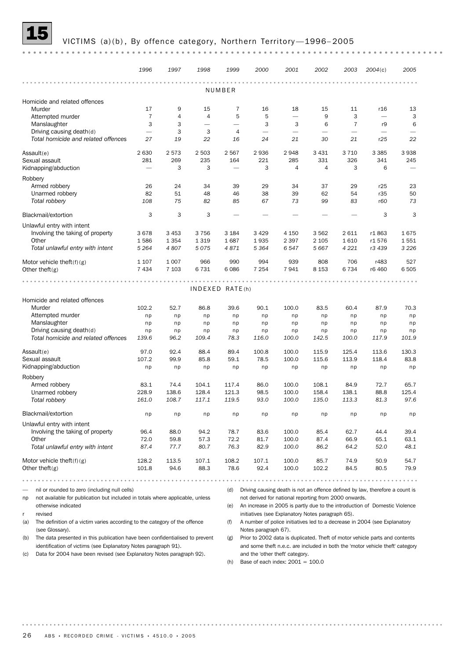#### VICTIMS (a)(b), By offence category, Northern Territory-1996-2005

|                                                                                     | 1996           | 1997    | 1998           | 1999                     | 2000                                                  | 2001                     | 2002                     | 2003                     | 2004(c)                                                                      | 2005    |
|-------------------------------------------------------------------------------------|----------------|---------|----------------|--------------------------|-------------------------------------------------------|--------------------------|--------------------------|--------------------------|------------------------------------------------------------------------------|---------|
|                                                                                     |                | .       |                | NUMBER                   |                                                       | 0.0                      |                          |                          |                                                                              |         |
| Homicide and related offences                                                       |                |         |                |                          |                                                       |                          |                          |                          |                                                                              |         |
| Murder                                                                              | 17             | 9       | 15             | 7                        | 16                                                    | 18                       | 15                       | 11                       | r <sub>16</sub>                                                              | 13      |
| Attempted murder                                                                    | $\overline{7}$ | 4       | $\overline{4}$ | 5                        | 5                                                     |                          | 9                        | 3                        |                                                                              | 3       |
| Manslaughter                                                                        | 3              | 3       |                | $\overline{\phantom{0}}$ | 3                                                     | 3                        | 6                        | $\overline{7}$           | r9                                                                           | 6       |
| Driving causing death(d)                                                            |                | 3       | 3              | 4                        |                                                       | $\overline{\phantom{0}}$ | $\overline{\phantom{0}}$ | $\overline{\phantom{0}}$ |                                                                              |         |
| Total homicide and related offences                                                 | 27             | 19      | 22             | 16                       | 24                                                    | 21                       | 30                       | 21                       | r25                                                                          | 22      |
| Assault(e)                                                                          | 2 6 3 0        | 2573    | 2 5 0 3        | 2567                     | 2936                                                  | 2948                     | 3 4 3 1                  | 3 7 1 0                  | 3 3 8 5                                                                      | 3938    |
| Sexual assault                                                                      | 281            | 269     | 235            | 164                      | 221                                                   | 285                      | 331                      | 326                      | 341                                                                          | 245     |
| Kidnapping/abduction                                                                |                | 3       | 3              |                          | 3                                                     | $\overline{4}$           | 4                        | 3                        | 6                                                                            |         |
| Robbery                                                                             |                |         |                |                          |                                                       |                          |                          |                          |                                                                              |         |
| Armed robbery                                                                       | 26             | 24      | 34             | 39                       | 29                                                    | 34                       | 37                       | 29                       | r25                                                                          | 23      |
| Unarmed robbery                                                                     | 82             | 51      | 48             | 46                       | 38                                                    | 39                       | 62                       | 54                       | r35                                                                          | 50      |
| Total robbery                                                                       | 108            | 75      | 82             | 85                       | 67                                                    | 73                       | 99                       | 83                       | r60                                                                          | 73      |
| Blackmail/extortion                                                                 | 3              | 3       | 3              |                          |                                                       |                          |                          |                          | 3                                                                            | 3       |
| Unlawful entry with intent                                                          |                |         |                |                          |                                                       |                          |                          |                          |                                                                              |         |
| Involving the taking of property                                                    | 3678           | 3 4 5 3 | 3756           | 3 1 8 4                  | 3 4 2 9                                               | 4 1 5 0                  | 3 5 6 2                  | 2 6 1 1                  | r1863                                                                        | 1675    |
| Other                                                                               | 1586           | 1 3 5 4 | 1 3 1 9        | 1687                     | 1935                                                  | 2 3 9 7                  | 2 1 0 5                  | 1610                     | r1576                                                                        | 1551    |
| Total unlawful entry with intent                                                    | 5 2 6 4        | 4807    | 5075           | 4871                     | 5 3 6 4                                               | 6 5 4 7                  | 5 6 6 7                  | 4 2 2 1                  | r3 439                                                                       | 3 2 2 6 |
| Motor vehicle theft(f)(g)                                                           | 1 1 0 7        | 1 0 0 7 | 966            | 990                      | 994                                                   | 939                      | 808                      | 706                      | r483                                                                         | 527     |
| Other theft(g)                                                                      | 7 4 3 4        | 7 1 0 3 | 6731           | 6086                     | 7 2 5 4                                               | 7941                     | 8 1 5 3                  | 6 7 3 4                  | r6 460                                                                       | 6505    |
|                                                                                     |                |         |                |                          |                                                       |                          |                          |                          |                                                                              |         |
|                                                                                     |                |         |                | INDEXED RATE(h)          |                                                       |                          |                          |                          |                                                                              |         |
| Homicide and related offences                                                       |                |         |                |                          |                                                       |                          |                          |                          |                                                                              |         |
| Murder                                                                              | 102.2          | 52.7    | 86.8           | 39.6                     | 90.1                                                  | 100.0                    | 83.5                     | 60.4                     | 87.9                                                                         | 70.3    |
| Attempted murder                                                                    | np             | np      | np             | np                       | np                                                    | np                       | np                       | np                       | np                                                                           | np      |
| Manslaughter                                                                        | np             | np      | np             | np                       | np                                                    | np                       | np                       | np                       | np                                                                           | np      |
| Driving causing death(d)                                                            | np             | np      | np             | np                       | np                                                    | np                       | np                       | np                       | np                                                                           | np      |
| Total homicide and related offences                                                 | 139.6          | 96.2    | 109.4          | 78.3                     | 116.0                                                 | 100.0                    | 142.5                    | 100.0                    | 117.9                                                                        | 101.9   |
| Assault(e)                                                                          | 97.0           | 92.4    | 88.4           | 89.4                     | 100.8                                                 | 100.0                    | 115.9                    | 125.4                    | 113.6                                                                        | 130.3   |
| Sexual assault                                                                      | 107.2          | 99.9    | 85.8           | 59.1                     | 78.5                                                  | 100.0                    | 115.6                    | 113.9                    | 118.4                                                                        | 83.8    |
| Kidnapping/abduction                                                                | np             | np      | np             | np                       | np                                                    | np                       | np                       | np                       | np                                                                           | np      |
| Robbery                                                                             |                |         |                |                          |                                                       |                          |                          |                          |                                                                              |         |
| Armed robbery                                                                       | 83.1           | 74.4    | 104.1          | 117.4                    | 86.0                                                  | 100.0                    | 108.1                    | 84.9                     | 72.7                                                                         | 65.7    |
| Unarmed robbery                                                                     | 228.9          | 138.6   | 128.4          | 121.3                    | 98.5                                                  | 100.0                    | 158.4                    | 138.1                    | 88.8                                                                         | 125.4   |
| Total robbery                                                                       | 161.0          | 108.7   | 117.1          | 119.5                    | 93.0                                                  | 100.0                    | 135.0                    | 113.3                    | 81.3                                                                         | 97.6    |
| Blackmail/extortion                                                                 | np             | np      | np             | np                       | np                                                    | np                       | np                       | np                       | np                                                                           | np      |
| Unlawful entry with intent                                                          |                |         |                |                          |                                                       |                          |                          |                          |                                                                              |         |
| Involving the taking of property                                                    | 96.4           | 88.0    | 94.2           | 78.7                     | 83.6                                                  | 100.0                    | 85.4                     | 62.7                     | 44.4                                                                         | 39.4    |
| Other                                                                               | 72.0           | 59.8    | 57.3           | 72.2                     | 81.7                                                  | 100.0                    | 87.4                     | 66.9                     | 65.1                                                                         | 63.1    |
| Total unlawful entry with intent                                                    | 87.4           | 77.7    | 80.7           | 76.3                     | 82.9                                                  | 100.0                    | 86.2                     | 64.2                     | 52.0                                                                         | 48.1    |
| Motor vehicle theft $(f)(g)$                                                        | 128.2          | 113.5   | 107.1          | 108.2                    | 107.1                                                 | 100.0                    | 85.7                     | 74.9                     | 50.9                                                                         | 54.7    |
| Other theft $(g)$                                                                   | 101.8          | 94.6    | 88.3           | 78.6                     | 92.4                                                  | 100.0                    | 102.2                    | 84.5                     | 80.5                                                                         | 79.9    |
| .                                                                                   |                |         |                | 0.0                      |                                                       |                          |                          |                          |                                                                              |         |
| nil or rounded to zero (including null cells)                                       |                |         |                | (d)                      |                                                       |                          |                          |                          | Driving causing death is not an offence defined by law, therefore a count is |         |
| not available for publication but included in totals where applicable, unless<br>np |                |         |                |                          | not derived for national reporting from 2000 onwards. |                          |                          |                          |                                                                              |         |

otherwise indicated r revised

(a) The definition of a victim varies according to the category of the offence (see Glossary).

(b) The data presented in this publication have been confidentialised to prevent identification of victims (see Explanatory Notes paragraph 91).

(c) Data for 2004 have been revised (see Explanatory Notes paragraph 92).

(e) An increase in 2005 is partly due to the introduction of Domestic Violence initiatives (see Explanatory Notes paragraph 65).

(f) A number of police initiatives led to a decrease in 2004 (see Explanatory Notes paragraph 67).

(g) Prior to 2002 data is duplicated. Theft of motor vehicle parts and contents and some theft n.e.c. are included in both the 'motor vehicle theft' category and the 'other theft' category.

(h) Base of each index:  $2001 = 100.0$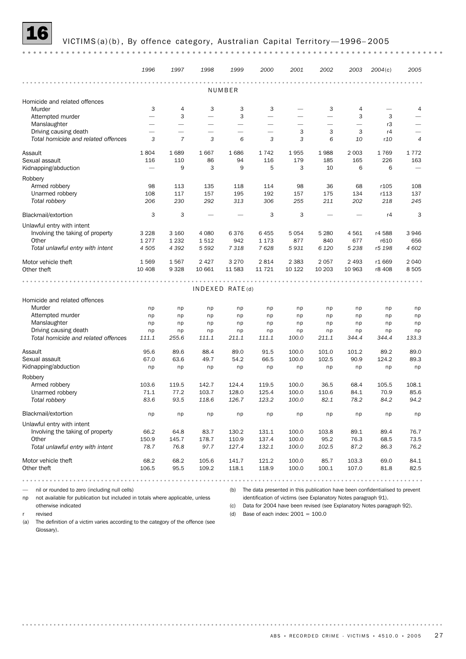## VICTIMS (a)(b), By offence category, Australian Capital Territory-1996-2005

| Homicide and related offences<br>Murder<br>Attempted murder<br>Manslaughter<br>Driving causing death<br>Total homicide and related offences<br>Assault<br>Sexual assault<br>Kidnapping/abduction<br>Robbery<br>Armed robbery<br>Unarmed robbery<br>Total robbery<br>Blackmail/extortion<br>Unlawful entry with intent<br>Involving the taking of property<br>Other<br>Total unlawful entry with intent<br>Motor vehicle theft<br>Other theft | 3<br>$\overline{\phantom{0}}$<br>$\overline{\phantom{0}}$<br>3<br>1804<br>116<br>98<br>108<br>206<br>3<br>3 2 2 8<br>1277<br>4 5 0 5 | 4<br>3<br>$\overline{\phantom{0}}$<br>$\overline{\phantom{0}}$<br>$\overline{7}$<br>1689<br>110<br>9<br>113<br>117<br>230<br>3<br>3 160<br>1 2 3 2<br>4 3 9 2 | 3<br>$\overline{\phantom{0}}$<br>$\overline{\phantom{0}}$<br>-<br>3<br>1667<br>86<br>3<br>135<br>157<br>292<br>4 0 8 0<br>1512 | NUMBER<br>3<br>3<br>$\overline{\phantom{0}}$<br>$\overline{\phantom{0}}$<br>6<br>1686<br>94<br>9<br>118<br>195<br>313<br>6376<br>942 | 3<br>-<br>-<br>3<br>1742<br>116<br>5<br>114<br>192<br>306<br>3<br>6 4 5 5 | -<br>3<br>3<br>1955<br>179<br>3<br>98<br>157<br>255<br>3 | 3<br>3<br>6<br>1988<br>185<br>10<br>36<br>175<br>211 | 4<br>3<br>$\overline{\phantom{0}}$<br>3<br>10<br>2 0 0 3<br>165<br>6<br>68<br>134<br>202 | 3<br>r3<br>r4<br>r10<br>1769<br>226<br>6<br>r105<br>r113<br>218<br>r4 | 4<br>$\overline{\phantom{0}}$<br>$\overline{4}$<br>1772<br>163<br>108<br>137<br>245<br>3 |
|----------------------------------------------------------------------------------------------------------------------------------------------------------------------------------------------------------------------------------------------------------------------------------------------------------------------------------------------------------------------------------------------------------------------------------------------|--------------------------------------------------------------------------------------------------------------------------------------|---------------------------------------------------------------------------------------------------------------------------------------------------------------|--------------------------------------------------------------------------------------------------------------------------------|--------------------------------------------------------------------------------------------------------------------------------------|---------------------------------------------------------------------------|----------------------------------------------------------|------------------------------------------------------|------------------------------------------------------------------------------------------|-----------------------------------------------------------------------|------------------------------------------------------------------------------------------|
|                                                                                                                                                                                                                                                                                                                                                                                                                                              |                                                                                                                                      |                                                                                                                                                               |                                                                                                                                |                                                                                                                                      |                                                                           |                                                          |                                                      |                                                                                          |                                                                       |                                                                                          |
|                                                                                                                                                                                                                                                                                                                                                                                                                                              |                                                                                                                                      |                                                                                                                                                               |                                                                                                                                |                                                                                                                                      |                                                                           |                                                          |                                                      |                                                                                          |                                                                       |                                                                                          |
|                                                                                                                                                                                                                                                                                                                                                                                                                                              |                                                                                                                                      |                                                                                                                                                               |                                                                                                                                |                                                                                                                                      |                                                                           |                                                          |                                                      |                                                                                          |                                                                       |                                                                                          |
|                                                                                                                                                                                                                                                                                                                                                                                                                                              |                                                                                                                                      |                                                                                                                                                               |                                                                                                                                |                                                                                                                                      |                                                                           |                                                          |                                                      |                                                                                          |                                                                       |                                                                                          |
|                                                                                                                                                                                                                                                                                                                                                                                                                                              |                                                                                                                                      |                                                                                                                                                               |                                                                                                                                |                                                                                                                                      |                                                                           |                                                          |                                                      |                                                                                          |                                                                       |                                                                                          |
|                                                                                                                                                                                                                                                                                                                                                                                                                                              |                                                                                                                                      |                                                                                                                                                               |                                                                                                                                |                                                                                                                                      |                                                                           |                                                          |                                                      |                                                                                          |                                                                       |                                                                                          |
|                                                                                                                                                                                                                                                                                                                                                                                                                                              |                                                                                                                                      |                                                                                                                                                               |                                                                                                                                |                                                                                                                                      |                                                                           |                                                          |                                                      |                                                                                          |                                                                       |                                                                                          |
|                                                                                                                                                                                                                                                                                                                                                                                                                                              |                                                                                                                                      |                                                                                                                                                               |                                                                                                                                |                                                                                                                                      |                                                                           |                                                          |                                                      |                                                                                          |                                                                       |                                                                                          |
|                                                                                                                                                                                                                                                                                                                                                                                                                                              |                                                                                                                                      |                                                                                                                                                               |                                                                                                                                |                                                                                                                                      |                                                                           |                                                          |                                                      |                                                                                          |                                                                       |                                                                                          |
|                                                                                                                                                                                                                                                                                                                                                                                                                                              |                                                                                                                                      |                                                                                                                                                               |                                                                                                                                |                                                                                                                                      |                                                                           |                                                          |                                                      |                                                                                          |                                                                       |                                                                                          |
|                                                                                                                                                                                                                                                                                                                                                                                                                                              |                                                                                                                                      |                                                                                                                                                               |                                                                                                                                |                                                                                                                                      |                                                                           |                                                          |                                                      |                                                                                          |                                                                       |                                                                                          |
|                                                                                                                                                                                                                                                                                                                                                                                                                                              |                                                                                                                                      |                                                                                                                                                               |                                                                                                                                |                                                                                                                                      |                                                                           |                                                          |                                                      |                                                                                          |                                                                       |                                                                                          |
|                                                                                                                                                                                                                                                                                                                                                                                                                                              |                                                                                                                                      |                                                                                                                                                               |                                                                                                                                |                                                                                                                                      |                                                                           |                                                          |                                                      |                                                                                          |                                                                       |                                                                                          |
|                                                                                                                                                                                                                                                                                                                                                                                                                                              |                                                                                                                                      |                                                                                                                                                               |                                                                                                                                |                                                                                                                                      |                                                                           |                                                          |                                                      |                                                                                          |                                                                       |                                                                                          |
|                                                                                                                                                                                                                                                                                                                                                                                                                                              |                                                                                                                                      |                                                                                                                                                               |                                                                                                                                |                                                                                                                                      |                                                                           |                                                          |                                                      |                                                                                          |                                                                       |                                                                                          |
|                                                                                                                                                                                                                                                                                                                                                                                                                                              |                                                                                                                                      |                                                                                                                                                               |                                                                                                                                |                                                                                                                                      |                                                                           |                                                          |                                                      |                                                                                          |                                                                       |                                                                                          |
|                                                                                                                                                                                                                                                                                                                                                                                                                                              |                                                                                                                                      |                                                                                                                                                               |                                                                                                                                |                                                                                                                                      |                                                                           |                                                          |                                                      |                                                                                          |                                                                       |                                                                                          |
|                                                                                                                                                                                                                                                                                                                                                                                                                                              |                                                                                                                                      |                                                                                                                                                               |                                                                                                                                |                                                                                                                                      |                                                                           | 5 0 5 4                                                  | 5 2 8 0                                              | 4561                                                                                     | r4 588                                                                | 3946                                                                                     |
|                                                                                                                                                                                                                                                                                                                                                                                                                                              |                                                                                                                                      |                                                                                                                                                               |                                                                                                                                |                                                                                                                                      | 1 1 7 3                                                                   | 877                                                      | 840                                                  | 677                                                                                      | r610                                                                  | 656                                                                                      |
|                                                                                                                                                                                                                                                                                                                                                                                                                                              |                                                                                                                                      |                                                                                                                                                               | 5 5 9 2                                                                                                                        | 7 3 1 8                                                                                                                              | 7628                                                                      | 5931                                                     | 6 1 2 0                                              | 5 2 3 8                                                                                  | r5 198                                                                | 4 602                                                                                    |
|                                                                                                                                                                                                                                                                                                                                                                                                                                              | 1569                                                                                                                                 | 1567                                                                                                                                                          | 2 4 2 7                                                                                                                        |                                                                                                                                      |                                                                           |                                                          | 2057                                                 |                                                                                          |                                                                       | 2 0 4 0                                                                                  |
|                                                                                                                                                                                                                                                                                                                                                                                                                                              | 10 408                                                                                                                               | 9 3 28                                                                                                                                                        | 10 661                                                                                                                         | 3 2 7 0<br>11 583                                                                                                                    | 2 8 1 4<br>11 721                                                         | 2 3 8 3<br>10 122                                        | 10 203                                               | 2 4 9 3<br>10 963                                                                        | r1 669<br>r8 408                                                      | 8505                                                                                     |
|                                                                                                                                                                                                                                                                                                                                                                                                                                              |                                                                                                                                      |                                                                                                                                                               |                                                                                                                                |                                                                                                                                      |                                                                           |                                                          |                                                      |                                                                                          |                                                                       |                                                                                          |
|                                                                                                                                                                                                                                                                                                                                                                                                                                              |                                                                                                                                      |                                                                                                                                                               |                                                                                                                                | INDEXED RATE(d)                                                                                                                      |                                                                           |                                                          |                                                      |                                                                                          |                                                                       |                                                                                          |
| Homicide and related offences                                                                                                                                                                                                                                                                                                                                                                                                                |                                                                                                                                      |                                                                                                                                                               |                                                                                                                                |                                                                                                                                      |                                                                           |                                                          |                                                      |                                                                                          |                                                                       |                                                                                          |
| Murder                                                                                                                                                                                                                                                                                                                                                                                                                                       | np                                                                                                                                   | np                                                                                                                                                            | np                                                                                                                             | np                                                                                                                                   | np                                                                        | np                                                       | np                                                   | np                                                                                       | np                                                                    | np                                                                                       |
| Attempted murder                                                                                                                                                                                                                                                                                                                                                                                                                             | np                                                                                                                                   | np                                                                                                                                                            | np                                                                                                                             | np                                                                                                                                   | np                                                                        | np                                                       | np                                                   | np                                                                                       | np                                                                    | np                                                                                       |
| Manslaughter                                                                                                                                                                                                                                                                                                                                                                                                                                 | np                                                                                                                                   | np                                                                                                                                                            | np                                                                                                                             | np                                                                                                                                   | np                                                                        | np                                                       | np                                                   | np                                                                                       | np                                                                    | np                                                                                       |
| Driving causing death                                                                                                                                                                                                                                                                                                                                                                                                                        | np                                                                                                                                   | np                                                                                                                                                            | np                                                                                                                             | np                                                                                                                                   | np                                                                        | np                                                       | np                                                   | np                                                                                       | np                                                                    | np                                                                                       |
| Total homicide and related offences                                                                                                                                                                                                                                                                                                                                                                                                          | 111.1                                                                                                                                | 255.6                                                                                                                                                         | 111.1                                                                                                                          | 211.1                                                                                                                                | 111.1                                                                     | 100.0                                                    | 211.1                                                | 344.4                                                                                    | 344.4                                                                 | 133.3                                                                                    |
| Assault                                                                                                                                                                                                                                                                                                                                                                                                                                      | 95.6                                                                                                                                 | 89.6                                                                                                                                                          | 88.4                                                                                                                           | 89.0                                                                                                                                 | 91.5                                                                      | 100.0                                                    | 101.0                                                | 101.2                                                                                    | 89.2                                                                  | 89.0                                                                                     |
| Sexual assault                                                                                                                                                                                                                                                                                                                                                                                                                               | 67.0                                                                                                                                 | 63.6                                                                                                                                                          | 49.7                                                                                                                           | 54.2                                                                                                                                 | 66.5                                                                      | 100.0                                                    | 102.5                                                | 90.9                                                                                     | 124.2                                                                 | 89.3                                                                                     |
| Kidnapping/abduction                                                                                                                                                                                                                                                                                                                                                                                                                         | np                                                                                                                                   | np                                                                                                                                                            | np                                                                                                                             | np                                                                                                                                   | np                                                                        | np                                                       | np                                                   | np                                                                                       | np                                                                    | np                                                                                       |
| Robbery                                                                                                                                                                                                                                                                                                                                                                                                                                      |                                                                                                                                      |                                                                                                                                                               |                                                                                                                                |                                                                                                                                      |                                                                           |                                                          |                                                      |                                                                                          |                                                                       |                                                                                          |
| Armed robbery                                                                                                                                                                                                                                                                                                                                                                                                                                | 103.6                                                                                                                                | 119.5                                                                                                                                                         | 142.7                                                                                                                          | 124.4                                                                                                                                | 119.5                                                                     | 100.0                                                    | 36.5                                                 | 68.4                                                                                     | 105.5                                                                 | 108.1                                                                                    |
| Unarmed robbery                                                                                                                                                                                                                                                                                                                                                                                                                              | 71.1                                                                                                                                 | 77.2                                                                                                                                                          | 103.7                                                                                                                          | 128.0                                                                                                                                | 125.4                                                                     | 100.0                                                    | 110.6                                                | 84.1                                                                                     | 70.9                                                                  | 85.6                                                                                     |
| Total robbery                                                                                                                                                                                                                                                                                                                                                                                                                                | 83.6                                                                                                                                 | 93.5                                                                                                                                                          | 118.6                                                                                                                          | 126.7                                                                                                                                | 123.2                                                                     | 100.0                                                    | 82.1                                                 | 78.2                                                                                     | 84.2                                                                  | 94.2                                                                                     |
| Blackmail/extortion                                                                                                                                                                                                                                                                                                                                                                                                                          | np                                                                                                                                   | np                                                                                                                                                            | np                                                                                                                             | np                                                                                                                                   | np                                                                        | np                                                       | np                                                   | np                                                                                       | np                                                                    | np                                                                                       |
| Unlawful entry with intent                                                                                                                                                                                                                                                                                                                                                                                                                   |                                                                                                                                      |                                                                                                                                                               |                                                                                                                                |                                                                                                                                      |                                                                           |                                                          |                                                      |                                                                                          |                                                                       |                                                                                          |
| Involving the taking of property                                                                                                                                                                                                                                                                                                                                                                                                             | 66.2                                                                                                                                 | 64.8                                                                                                                                                          | 83.7                                                                                                                           | 130.2                                                                                                                                | 131.1                                                                     | 100.0                                                    | 103.8                                                | 89.1                                                                                     | 89.4                                                                  | 76.7                                                                                     |
| Other                                                                                                                                                                                                                                                                                                                                                                                                                                        | 150.9                                                                                                                                | 145.7                                                                                                                                                         | 178.7                                                                                                                          | 110.9                                                                                                                                | 137.4                                                                     | 100.0                                                    | 95.2                                                 | 76.3                                                                                     | 68.5                                                                  | 73.5                                                                                     |
| Total unlawful entry with intent                                                                                                                                                                                                                                                                                                                                                                                                             | 78.7                                                                                                                                 | 76.8                                                                                                                                                          | 97.7                                                                                                                           | 127.4                                                                                                                                | 132.1                                                                     | 100.0                                                    | 102.5                                                | 87.2                                                                                     | 86.3                                                                  | 76.2                                                                                     |
|                                                                                                                                                                                                                                                                                                                                                                                                                                              |                                                                                                                                      |                                                                                                                                                               |                                                                                                                                |                                                                                                                                      |                                                                           |                                                          |                                                      |                                                                                          |                                                                       |                                                                                          |
| Motor vehicle theft<br>Other theft                                                                                                                                                                                                                                                                                                                                                                                                           | 68.2<br>106.5                                                                                                                        | 68.2<br>95.5                                                                                                                                                  | 105.6<br>109.2                                                                                                                 | 141.7<br>118.1                                                                                                                       | 121.2<br>118.9                                                            | 100.0<br>100.0                                           | 85.7<br>100.1                                        | 103.3<br>107.0                                                                           | 69.0<br>81.8                                                          | 84.1<br>82.5                                                                             |

np not available for publication but included in totals where applicable, unless otherwise indicated

r revised

identification of victims (see Explanatory Notes paragraph 91). (c) Data for 2004 have been revised (see Explanatory Notes paragraph 92).

(d) Base of each index:  $2001 = 100.0$ 

(a) The definition of a victim varies according to the category of the offence (see Glossary).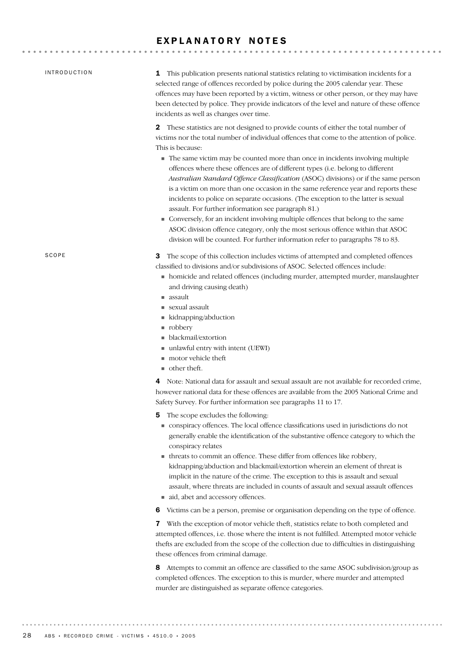## EXPLANATORY NOTES

| <b>INTRODUCTION</b> | <b>1</b> This publication presents national statistics relating to victimisation incidents for a<br>selected range of offences recorded by police during the 2005 calendar year. These<br>offences may have been reported by a victim, witness or other person, or they may have<br>been detected by police. They provide indicators of the level and nature of these offence<br>incidents as well as changes over time.                                                                                                                                                                                                                                                                                                                                                                                                                                                                                                                                              |
|---------------------|-----------------------------------------------------------------------------------------------------------------------------------------------------------------------------------------------------------------------------------------------------------------------------------------------------------------------------------------------------------------------------------------------------------------------------------------------------------------------------------------------------------------------------------------------------------------------------------------------------------------------------------------------------------------------------------------------------------------------------------------------------------------------------------------------------------------------------------------------------------------------------------------------------------------------------------------------------------------------|
|                     | These statistics are not designed to provide counts of either the total number of<br>$\mathbf{2}$<br>victims nor the total number of individual offences that come to the attention of police.<br>This is because:<br>The same victim may be counted more than once in incidents involving multiple<br>offences where these offences are of different types (i.e. belong to different<br>Australian Standard Offence Classification (ASOC) divisions) or if the same person<br>is a victim on more than one occasion in the same reference year and reports these<br>incidents to police on separate occasions. (The exception to the latter is sexual<br>assault. For further information see paragraph 81.)<br>Conversely, for an incident involving multiple offences that belong to the same<br>ASOC division offence category, only the most serious offence within that ASOC<br>division will be counted. For further information refer to paragraphs 78 to 83. |
| SCOPE               | The scope of this collection includes victims of attempted and completed offences<br>3<br>classified to divisions and/or subdivisions of ASOC. Selected offences include:<br>• homicide and related offences (including murder, attempted murder, manslaughter<br>and driving causing death)<br>$\blacksquare$ assault<br>$\blacksquare$ sexual assault<br>kidnapping/abduction<br>n robbery<br>blackmail/extortion<br>unlawful entry with intent (UEWI)<br>motor vehicle theft<br>$\blacksquare$ other theft.                                                                                                                                                                                                                                                                                                                                                                                                                                                        |
|                     | Note: National data for assault and sexual assault are not available for recorded crime,<br>4<br>however national data for these offences are available from the 2005 National Crime and<br>Safety Survey. For further information see paragraphs 11 to 17.                                                                                                                                                                                                                                                                                                                                                                                                                                                                                                                                                                                                                                                                                                           |
|                     | The scope excludes the following:<br>5<br>conspiracy offences. The local offence classifications used in jurisdictions do not<br>generally enable the identification of the substantive offence category to which the<br>conspiracy relates<br>• threats to commit an offence. These differ from offences like robbery,<br>kidnapping/abduction and blackmail/extortion wherein an element of threat is<br>implicit in the nature of the crime. The exception to this is assault and sexual<br>assault, where threats are included in counts of assault and sexual assault offences<br>aid, abet and accessory offences.                                                                                                                                                                                                                                                                                                                                              |
|                     | Victims can be a person, premise or organisation depending on the type of offence.<br>6                                                                                                                                                                                                                                                                                                                                                                                                                                                                                                                                                                                                                                                                                                                                                                                                                                                                               |
|                     | With the exception of motor vehicle theft, statistics relate to both completed and<br>7<br>attempted offences, i.e. those where the intent is not fulfilled. Attempted motor vehicle<br>thefts are excluded from the scope of the collection due to difficulties in distinguishing<br>these offences from criminal damage.                                                                                                                                                                                                                                                                                                                                                                                                                                                                                                                                                                                                                                            |

8 Attempts to commit an offence are classified to the same ASOC subdivision/group as completed offences. The exception to this is murder, where murder and attempted murder are distinguished as separate offence categories.

. . . . . . . . .

 $\alpha$  ,  $\alpha$  ,  $\alpha$ 

. . . . . . . .

. . . . . . . . .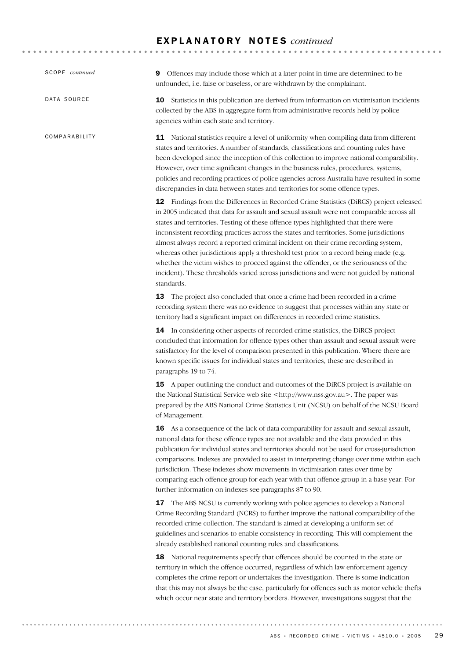| SCOPE continued | Offences may include those which at a later point in time are determined to be<br>9<br>unfounded, i.e. false or baseless, or are withdrawn by the complainant.                                                                                                                                                                                                                                                                                                                                                                                                                                                                                                                                                                                             |
|-----------------|------------------------------------------------------------------------------------------------------------------------------------------------------------------------------------------------------------------------------------------------------------------------------------------------------------------------------------------------------------------------------------------------------------------------------------------------------------------------------------------------------------------------------------------------------------------------------------------------------------------------------------------------------------------------------------------------------------------------------------------------------------|
| DATA SOURCE     | 10 Statistics in this publication are derived from information on victimisation incidents<br>collected by the ABS in aggregate form from administrative records held by police<br>agencies within each state and territory.                                                                                                                                                                                                                                                                                                                                                                                                                                                                                                                                |
| COMPARABILITY   | <b>11</b> National statistics require a level of uniformity when compiling data from different<br>states and territories. A number of standards, classifications and counting rules have<br>been developed since the inception of this collection to improve national comparability.<br>However, over time significant changes in the business rules, procedures, systems,<br>policies and recording practices of police agencies across Australia have resulted in some<br>discrepancies in data between states and territories for some offence types.                                                                                                                                                                                                   |
|                 | <b>12</b> Findings from the Differences in Recorded Crime Statistics (DiRCS) project released<br>in 2005 indicated that data for assault and sexual assault were not comparable across all<br>states and territories. Testing of these offence types highlighted that there were<br>inconsistent recording practices across the states and territories. Some jurisdictions<br>almost always record a reported criminal incident on their crime recording system,<br>whereas other jurisdictions apply a threshold test prior to a record being made (e.g.<br>whether the victim wishes to proceed against the offender, or the seriousness of the<br>incident). These thresholds varied across jurisdictions and were not guided by national<br>standards. |
|                 | The project also concluded that once a crime had been recorded in a crime<br>13<br>recording system there was no evidence to suggest that processes within any state or<br>territory had a significant impact on differences in recorded crime statistics.                                                                                                                                                                                                                                                                                                                                                                                                                                                                                                 |
|                 | 14 In considering other aspects of recorded crime statistics, the DiRCS project<br>concluded that information for offence types other than assault and sexual assault were<br>satisfactory for the level of comparison presented in this publication. Where there are<br>known specific issues for individual states and territories, these are described in<br>paragraphs 19 to 74.                                                                                                                                                                                                                                                                                                                                                                       |
|                 | A paper outlining the conduct and outcomes of the DiRCS project is available on<br>15<br>the National Statistical Service web site <http: www.nss.gov.au="">. The paper was<br/>prepared by the ABS National Crime Statistics Unit (NCSU) on behalf of the NCSU Board<br/>of Management.</http:>                                                                                                                                                                                                                                                                                                                                                                                                                                                           |
|                 | <b>16</b> As a consequence of the lack of data comparability for assault and sexual assault,<br>national data for these offence types are not available and the data provided in this<br>publication for individual states and territories should not be used for cross-jurisdiction<br>comparisons. Indexes are provided to assist in interpreting change over time within each<br>jurisdiction. These indexes show movements in victimisation rates over time by<br>comparing each offence group for each year with that offence group in a base year. For<br>further information on indexes see paragraphs 87 to 90.                                                                                                                                    |
|                 | 17 The ABS NCSU is currently working with police agencies to develop a National<br>Crime Recording Standard (NCRS) to further improve the national comparability of the<br>recorded crime collection. The standard is aimed at developing a uniform set of<br>guidelines and scenarios to enable consistency in recording. This will complement the<br>already established national counting rules and classifications.                                                                                                                                                                                                                                                                                                                                    |
|                 | 18 National requirements specify that offences should be counted in the state or<br>territory in which the offence occurred, regardless of which law enforcement agency<br>completes the crime report or undertakes the investigation. There is some indication<br>that this may not always be the case, particularly for offences such as motor vehicle thefts<br>which occur near state and territory borders. However, investigations suggest that the                                                                                                                                                                                                                                                                                                  |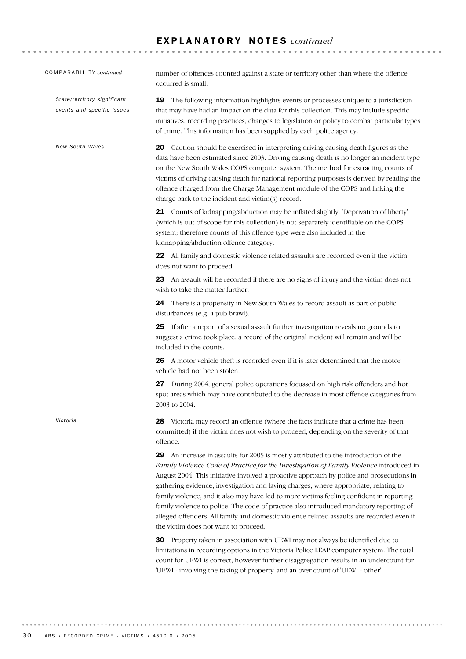COMPARABILITY *continued*

*State/territory significant events and specific issues*

*New South Wales*

*Victoria*

number of offences counted against a state or territory other than where the offence occurred is small.

19 The following information highlights events or processes unique to a jurisdiction that may have had an impact on the data for this collection. This may include specific initiatives, recording practices, changes to legislation or policy to combat particular types of crime. This information has been supplied by each police agency.

20 Caution should be exercised in interpreting driving causing death figures as the data have been estimated since 2003. Driving causing death is no longer an incident type on the New South Wales COPS computer system. The method for extracting counts of victims of driving causing death for national reporting purposes is derived by reading the offence charged from the Charge Management module of the COPS and linking the charge back to the incident and victim(s) record.

21 Counts of kidnapping/abduction may be inflated slightly. 'Deprivation of liberty' (which is out of scope for this collection) is not separately identifiable on the COPS system; therefore counts of this offence type were also included in the kidnapping/abduction offence category.

22 All family and domestic violence related assaults are recorded even if the victim does not want to proceed.

23 An assault will be recorded if there are no signs of injury and the victim does not wish to take the matter further.

24 There is a propensity in New South Wales to record assault as part of public disturbances (e.g. a pub brawl).

25 If after a report of a sexual assault further investigation reveals no grounds to suggest a crime took place, a record of the original incident will remain and will be included in the counts.

26 A motor vehicle theft is recorded even if it is later determined that the motor vehicle had not been stolen.

27 During 2004, general police operations focussed on high risk offenders and hot spot areas which may have contributed to the decrease in most offence categories from 2003 to 2004.

28 Victoria may record an offence (where the facts indicate that a crime has been committed) if the victim does not wish to proceed, depending on the severity of that offence.

29 An increase in assaults for 2005 is mostly attributed to the introduction of the *Family Violence Code of Practice for the Investigation of Family Violence* introduced in August 2004. This initiative involved a proactive approach by police and prosecutions in gathering evidence, investigation and laying charges, where appropriate, relating to family violence, and it also may have led to more victims feeling confident in reporting family violence to police. The code of practice also introduced mandatory reporting of alleged offenders. All family and domestic violence related assaults are recorded even if the victim does not want to proceed.

30 Property taken in association with UEWI may not always be identified due to limitations in recording options in the Victoria Police LEAP computer system. The total count for UEWI is correct, however further disaggregation results in an undercount for 'UEWI - involving the taking of property' and an over count of 'UEWI - other'.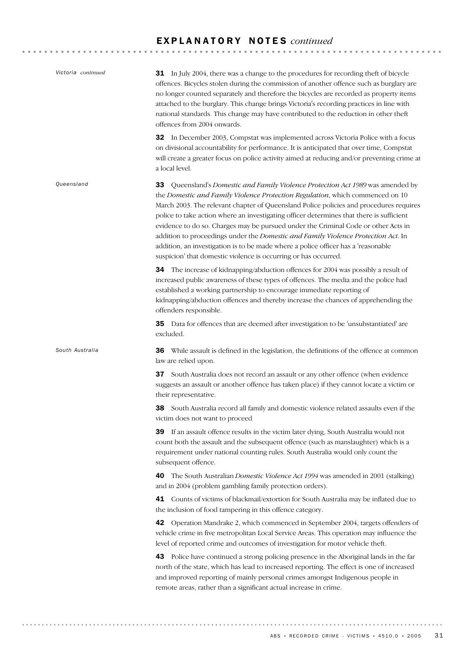| Victoria continued | <b>31</b> In July 2004, there was a change to the procedures for recording the ft of bicycle<br>offences. Bicycles stolen during the commission of another offence such as burglary are<br>no longer counted separately and therefore the bicycles are recorded as property items<br>attached to the burglary. This change brings Victoria's recording practices in line with<br>national standards. This change may have contributed to the reduction in other theft<br>offences from 2004 onwards.                                                                                                                                                                                         |
|--------------------|----------------------------------------------------------------------------------------------------------------------------------------------------------------------------------------------------------------------------------------------------------------------------------------------------------------------------------------------------------------------------------------------------------------------------------------------------------------------------------------------------------------------------------------------------------------------------------------------------------------------------------------------------------------------------------------------|
|                    | <b>32</b> In December 2003, Compstat was implemented across Victoria Police with a focus<br>on divisional accountability for performance. It is anticipated that over time, Compstat<br>will create a greater focus on police activity aimed at reducing and/or preventing crime at<br>a local level.                                                                                                                                                                                                                                                                                                                                                                                        |
| Queensland         | Queensland's Domestic and Family Violence Protection Act 1989 was amended by<br>33<br>the Domestic and Family Violence Protection Regulation, which commenced on 10<br>March 2003. The relevant chapter of Queensland Police policies and procedures requires<br>police to take action where an investigating officer determines that there is sufficient<br>evidence to do so. Charges may be pursued under the Criminal Code or other Acts in<br>addition to proceedings under the Domestic and Family Violence Protection Act. In<br>addition, an investigation is to be made where a police officer has a 'reasonable<br>suspicion' that domestic violence is occurring or has occurred. |
|                    | 34 The increase of kidnapping/abduction offences for 2004 was possibly a result of<br>increased public awareness of these types of offences. The media and the police had<br>established a working partnership to encourage immediate reporting of<br>kidnapping/abduction offences and thereby increase the chances of apprehending the<br>offenders responsible.                                                                                                                                                                                                                                                                                                                           |
|                    | 35 Data for offences that are deemed after investigation to be 'unsubstantiated' are<br>excluded.                                                                                                                                                                                                                                                                                                                                                                                                                                                                                                                                                                                            |
| South Australia    | 36 While assault is defined in the legislation, the definitions of the offence at common<br>law are relied upon.                                                                                                                                                                                                                                                                                                                                                                                                                                                                                                                                                                             |
|                    | 37 South Australia does not record an assault or any other offence (when evidence<br>suggests an assault or another offence has taken place) if they cannot locate a victim or<br>their representative.                                                                                                                                                                                                                                                                                                                                                                                                                                                                                      |
|                    | 38 South Australia record all family and domestic violence related assaults even if the<br>victim does not want to proceed                                                                                                                                                                                                                                                                                                                                                                                                                                                                                                                                                                   |
|                    | If an assault offence results in the victim later dying, South Australia would not<br>39<br>count both the assault and the subsequent offence (such as manslaughter) which is a<br>requirement under national counting rules. South Australia would only count the<br>subsequent offence.                                                                                                                                                                                                                                                                                                                                                                                                    |
|                    | The South Australian Domestic Violence Act 1994 was amended in 2001 (stalking)<br>40.<br>and in 2004 (problem gambling family protection orders).                                                                                                                                                                                                                                                                                                                                                                                                                                                                                                                                            |
|                    | Counts of victims of blackmail/extortion for South Australia may be inflated due to<br>41<br>the inclusion of food tampering in this offence category.                                                                                                                                                                                                                                                                                                                                                                                                                                                                                                                                       |
|                    | Operation Mandrake 2, which commenced in September 2004, targets offenders of<br>42<br>vehicle crime in five metropolitan Local Service Areas. This operation may influence the<br>level of reported crime and outcomes of investigation for motor vehicle theft.                                                                                                                                                                                                                                                                                                                                                                                                                            |
|                    | Police have continued a strong policing presence in the Aboriginal lands in the far<br>43<br>north of the state, which has lead to increased reporting. The effect is one of increased                                                                                                                                                                                                                                                                                                                                                                                                                                                                                                       |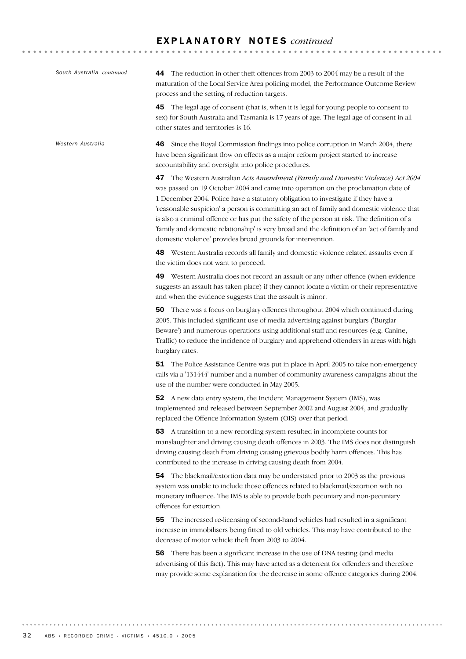| South Australia continued | 44 The reduction in other theft offences from 2003 to 2004 may be a result of the<br>maturation of the Local Service Area policing model, the Performance Outcome Review<br>process and the setting of reduction targets.                                                                                                                                                                                                                                                                                                                                                                                                |
|---------------------------|--------------------------------------------------------------------------------------------------------------------------------------------------------------------------------------------------------------------------------------------------------------------------------------------------------------------------------------------------------------------------------------------------------------------------------------------------------------------------------------------------------------------------------------------------------------------------------------------------------------------------|
|                           | 45<br>The legal age of consent (that is, when it is legal for young people to consent to<br>sex) for South Australia and Tasmania is 17 years of age. The legal age of consent in all<br>other states and territories is 16.                                                                                                                                                                                                                                                                                                                                                                                             |
| Western Australia         | Since the Royal Commission findings into police corruption in March 2004, there<br>46<br>have been significant flow on effects as a major reform project started to increase<br>accountability and oversight into police procedures.                                                                                                                                                                                                                                                                                                                                                                                     |
|                           | The Western Australian Acts Amendment (Family and Domestic Violence) Act 2004<br>47<br>was passed on 19 October 2004 and came into operation on the proclamation date of<br>1 December 2004. Police have a statutory obligation to investigate if they have a<br>'reasonable suspicion' a person is committing an act of family and domestic violence that<br>is also a criminal offence or has put the safety of the person at risk. The definition of a<br>'family and domestic relationship' is very broad and the definition of an 'act of family and<br>domestic violence' provides broad grounds for intervention. |
|                           | 48 Western Australia records all family and domestic violence related assaults even if<br>the victim does not want to proceed.                                                                                                                                                                                                                                                                                                                                                                                                                                                                                           |
|                           | Western Australia does not record an assault or any other offence (when evidence<br>49<br>suggests an assault has taken place) if they cannot locate a victim or their representative<br>and when the evidence suggests that the assault is minor.                                                                                                                                                                                                                                                                                                                                                                       |
|                           | 50 There was a focus on burglary offences throughout 2004 which continued during<br>2005. This included significant use of media advertising against burglars ('Burglar<br>Beware') and numerous operations using additional staff and resources (e.g. Canine,<br>Traffic) to reduce the incidence of burglary and apprehend offenders in areas with high<br>burglary rates.                                                                                                                                                                                                                                             |
|                           | <b>51</b> The Police Assistance Centre was put in place in April 2005 to take non-emergency<br>calls via a '131444' number and a number of community awareness campaigns about the<br>use of the number were conducted in May 2005.                                                                                                                                                                                                                                                                                                                                                                                      |
|                           | 52 A new data entry system, the Incident Management System (IMS), was<br>implemented and released between September 2002 and August 2004, and gradually<br>replaced the Offence Information System (OIS) over that period.                                                                                                                                                                                                                                                                                                                                                                                               |
|                           | 53 A transition to a new recording system resulted in incomplete counts for<br>manslaughter and driving causing death offences in 2003. The IMS does not distinguish<br>driving causing death from driving causing grievous bodily harm offences. This has<br>contributed to the increase in driving causing death from 2004.                                                                                                                                                                                                                                                                                            |
|                           | 54 The blackmail/extortion data may be understated prior to 2003 as the previous<br>system was unable to include those offences related to blackmail/extortion with no<br>monetary influence. The IMS is able to provide both pecuniary and non-pecuniary<br>offences for extortion.                                                                                                                                                                                                                                                                                                                                     |
|                           | The increased re-licensing of second-hand vehicles had resulted in a significant<br>55.<br>increase in immobilisers being fitted to old vehicles. This may have contributed to the<br>decrease of motor vehicle theft from 2003 to 2004.                                                                                                                                                                                                                                                                                                                                                                                 |
|                           | There has been a significant increase in the use of DNA testing (and media<br>56<br>advertising of this fact). This may have acted as a deterrent for offenders and therefore<br>may provide some explanation for the decrease in some offence categories during 2004.                                                                                                                                                                                                                                                                                                                                                   |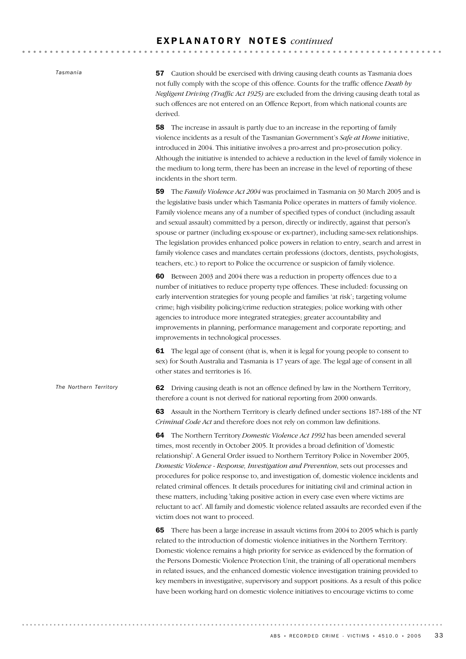*Tasmania*

*The Northern Territory*

57 Caution should be exercised with driving causing death counts as Tasmania does not fully comply with the scope of this offence. Counts for the traffic offence *Death by Negligent Driving (Traffic Act 1925)* are excluded from the driving causing death total as such offences are not entered on an Offence Report, from which national counts are derived.

58 The increase in assault is partly due to an increase in the reporting of family violence incidents as a result of the Tasmanian Government's *Safe at Home* initiative, introduced in 2004. This initiative involves a pro-arrest and pro-prosecution policy. Although the initiative is intended to achieve a reduction in the level of family violence in the medium to long term, there has been an increase in the level of reporting of these incidents in the short term.

59 The *Family Violence Act 2004* was proclaimed in Tasmania on 30 March 2005 and is the legislative basis under which Tasmania Police operates in matters of family violence. Family violence means any of a number of specified types of conduct (including assault and sexual assault) committed by a person, directly or indirectly, against that person's spouse or partner (including ex-spouse or ex-partner), including same-sex relationships. The legislation provides enhanced police powers in relation to entry, search and arrest in family violence cases and mandates certain professions (doctors, dentists, psychologists, teachers, etc.) to report to Police the occurrence or suspicion of family violence.

60 Between 2003 and 2004 there was a reduction in property offences due to a number of initiatives to reduce property type offences. These included: focussing on early intervention strategies for young people and families 'at risk'; targeting volume crime; high visibility policing/crime reduction strategies; police working with other agencies to introduce more integrated strategies; greater accountability and improvements in planning, performance management and corporate reporting; and improvements in technological processes.

61 The legal age of consent (that is, when it is legal for young people to consent to sex) for South Australia and Tasmania is 17 years of age. The legal age of consent in all other states and territories is 16.

62 Driving causing death is not an offence defined by law in the Northern Territory, therefore a count is not derived for national reporting from 2000 onwards.

63 Assault in the Northern Territory is clearly defined under sections 187-188 of the NT *Criminal Code Act* and therefore does not rely on common law definitions.

64 The Northern Territory *Domestic Violence Act 1992* has been amended several times, most recently in October 2005. It provides a broad definition of 'domestic relationship'. A General Order issued to Northern Territory Police in November 2005, *Domestic Violence - Response, Investigation and Prevention*, sets out processes and procedures for police response to, and investigation of, domestic violence incidents and related criminal offences. It details procedures for initiating civil and criminal action in these matters, including 'taking positive action in every case even where victims are reluctant to act'. All family and domestic violence related assaults are recorded even if the victim does not want to proceed.

65 There has been a large increase in assault victims from 2004 to 2005 which is partly related to the introduction of domestic violence initiatives in the Northern Territory. Domestic violence remains a high priority for service as evidenced by the formation of the Persons Domestic Violence Protection Unit, the training of all operational members in related issues, and the enhanced domestic violence investigation training provided to key members in investigative, supervisory and support positions. As a result of this police have been working hard on domestic violence initiatives to encourage victims to come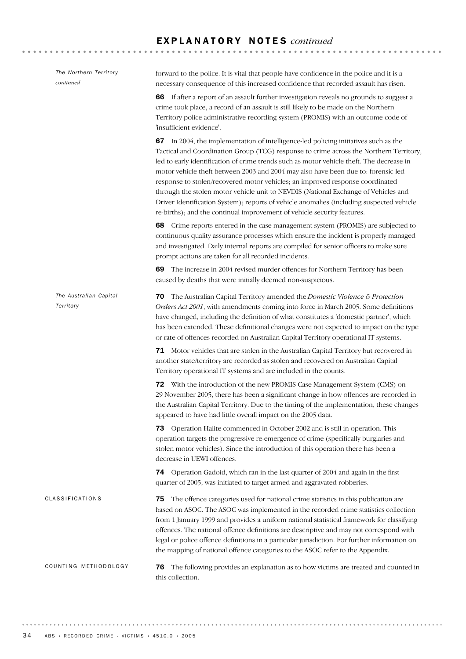| The Northern Territory<br>continued | forward to the police. It is vital that people have confidence in the police and it is a<br>necessary consequence of this increased confidence that recorded assault has risen.                                                                                                                                                                                                                                                                                                                                                                                                                                                                                                                              |
|-------------------------------------|--------------------------------------------------------------------------------------------------------------------------------------------------------------------------------------------------------------------------------------------------------------------------------------------------------------------------------------------------------------------------------------------------------------------------------------------------------------------------------------------------------------------------------------------------------------------------------------------------------------------------------------------------------------------------------------------------------------|
|                                     | 66 If after a report of an assault further investigation reveals no grounds to suggest a<br>crime took place, a record of an assault is still likely to be made on the Northern<br>Territory police administrative recording system (PROMIS) with an outcome code of<br>'insufficient evidence'.                                                                                                                                                                                                                                                                                                                                                                                                             |
|                                     | 67 In 2004, the implementation of intelligence-led policing initiatives such as the<br>Tactical and Coordination Group (TCG) response to crime across the Northern Territory,<br>led to early identification of crime trends such as motor vehicle theft. The decrease in<br>motor vehicle theft between 2003 and 2004 may also have been due to: forensic-led<br>response to stolen/recovered motor vehicles; an improved response coordinated<br>through the stolen motor vehicle unit to NEVDIS (National Exchange of Vehicles and<br>Driver Identification System); reports of vehicle anomalies (including suspected vehicle<br>re-births); and the continual improvement of vehicle security features. |
|                                     | 68 Crime reports entered in the case management system (PROMIS) are subjected to<br>continuous quality assurance processes which ensure the incident is properly managed<br>and investigated. Daily internal reports are compiled for senior officers to make sure<br>prompt actions are taken for all recorded incidents.                                                                                                                                                                                                                                                                                                                                                                                   |
|                                     | The increase in 2004 revised murder offences for Northern Territory has been<br>69<br>caused by deaths that were initially deemed non-suspicious.                                                                                                                                                                                                                                                                                                                                                                                                                                                                                                                                                            |
| The Australian Capital<br>Territory | 70 The Australian Capital Territory amended the Domestic Violence & Protection<br>Orders Act 2001, with amendments coming into force in March 2005. Some definitions<br>have changed, including the definition of what constitutes a 'domestic partner', which<br>has been extended. These definitional changes were not expected to impact on the type<br>or rate of offences recorded on Australian Capital Territory operational IT systems.                                                                                                                                                                                                                                                              |
|                                     | 71 Motor vehicles that are stolen in the Australian Capital Territory but recovered in<br>another state/territory are recorded as stolen and recovered on Australian Capital<br>Territory operational IT systems and are included in the counts.                                                                                                                                                                                                                                                                                                                                                                                                                                                             |
|                                     | <b>72</b> With the introduction of the new PROMIS Case Management System (CMS) on<br>29 November 2005, there has been a significant change in how offences are recorded in<br>the Australian Capital Territory. Due to the timing of the implementation, these changes<br>appeared to have had little overall impact on the 2005 data.                                                                                                                                                                                                                                                                                                                                                                       |
|                                     | 73 Operation Halite commenced in October 2002 and is still in operation. This<br>operation targets the progressive re-emergence of crime (specifically burglaries and<br>stolen motor vehicles). Since the introduction of this operation there has been a<br>decrease in UEWI offences.                                                                                                                                                                                                                                                                                                                                                                                                                     |
|                                     | Operation Gadoid, which ran in the last quarter of 2004 and again in the first<br>74<br>quarter of 2005, was initiated to target armed and aggravated robberies.                                                                                                                                                                                                                                                                                                                                                                                                                                                                                                                                             |
| <b>CLASSIFICATIONS</b>              | The offence categories used for national crime statistics in this publication are<br>75<br>based on ASOC. The ASOC was implemented in the recorded crime statistics collection<br>from 1 January 1999 and provides a uniform national statistical framework for classifying<br>offences. The national offence definitions are descriptive and may not correspond with<br>legal or police offence definitions in a particular jurisdiction. For further information on<br>the mapping of national offence categories to the ASOC refer to the Appendix.                                                                                                                                                       |
| COUNTING METHODOLOGY                | The following provides an explanation as to how victims are treated and counted in<br>76<br>this collection.                                                                                                                                                                                                                                                                                                                                                                                                                                                                                                                                                                                                 |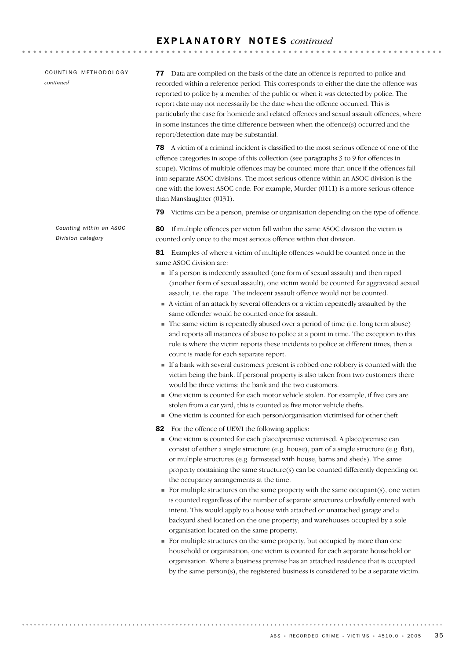COUNTING METHODOLOGY *continued*

77 Data are compiled on the basis of the date an offence is reported to police and recorded within a reference period. This corresponds to either the date the offence was reported to police by a member of the public or when it was detected by police. The report date may not necessarily be the date when the offence occurred. This is particularly the case for homicide and related offences and sexual assault offences, where in some instances the time difference between when the offence(s) occurred and the report/detection date may be substantial.

78 A victim of a criminal incident is classified to the most serious offence of one of the offence categories in scope of this collection (see paragraphs 3 to 9 for offences in scope). Victims of multiple offences may be counted more than once if the offences fall into separate ASOC divisions. The most serious offence within an ASOC division is the one with the lowest ASOC code. For example, Murder (0111) is a more serious offence than Manslaughter (0131).

79 Victims can be a person, premise or organisation depending on the type of offence.

80 If multiple offences per victim fall within the same ASOC division the victim is counted only once to the most serious offence within that division.

81 Examples of where a victim of multiple offences would be counted once in the same ASOC division are:

- ! If a person is indecently assaulted (one form of sexual assault) and then raped (another form of sexual assault), one victim would be counted for aggravated sexual assault, i.e. the rape. The indecent assault offence would not be counted.
- ! A victim of an attack by several offenders or a victim repeatedly assaulted by the same offender would be counted once for assault.
- ! The same victim is repeatedly abused over a period of time (i.e. long term abuse) and reports all instances of abuse to police at a point in time. The exception to this rule is where the victim reports these incidents to police at different times, then a count is made for each separate report.
- ! If a bank with several customers present is robbed one robbery is counted with the victim being the bank. If personal property is also taken from two customers there would be three victims; the bank and the two customers.
- ! One victim is counted for each motor vehicle stolen. For example, if five cars are stolen from a car yard, this is counted as five motor vehicle thefts.
- ! One victim is counted for each person/organisation victimised for other theft.
- 82 For the offence of UEWI the following applies:
	- ! One victim is counted for each place/premise victimised. A place/premise can consist of either a single structure (e.g. house), part of a single structure (e.g. flat), or multiple structures (e.g. farmstead with house, barns and sheds). The same property containing the same structure(s) can be counted differently depending on the occupancy arrangements at the time.
	- $\blacksquare$  For multiple structures on the same property with the same occupant(s), one victim is counted regardless of the number of separate structures unlawfully entered with intent. This would apply to a house with attached or unattached garage and a backyard shed located on the one property; and warehouses occupied by a sole organisation located on the same property.
	- ! For multiple structures on the same property, but occupied by more than one household or organisation, one victim is counted for each separate household or organisation. Where a business premise has an attached residence that is occupied by the same person(s), the registered business is considered to be a separate victim.

*Division category*

*Counting within an ASOC*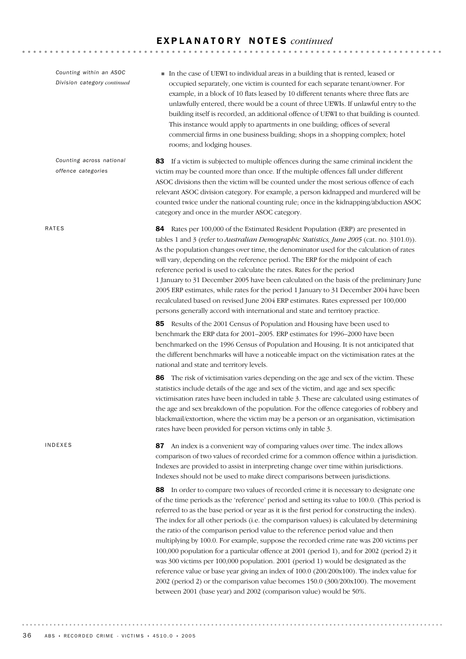| Counting within an ASOC<br>Division category continued | In the case of UEWI to individual areas in a building that is rented, leased or<br>occupied separately, one victim is counted for each separate tenant/owner. For<br>example, in a block of 10 flats leased by 10 different tenants where three flats are<br>unlawfully entered, there would be a count of three UEWIs. If unlawful entry to the<br>building itself is recorded, an additional offence of UEWI to that building is counted.<br>This instance would apply to apartments in one building; offices of several<br>commercial firms in one business building; shops in a shopping complex; hotel<br>rooms; and lodging houses.                                                                                                                                                                                                                                                                                                                                                                   |
|--------------------------------------------------------|-------------------------------------------------------------------------------------------------------------------------------------------------------------------------------------------------------------------------------------------------------------------------------------------------------------------------------------------------------------------------------------------------------------------------------------------------------------------------------------------------------------------------------------------------------------------------------------------------------------------------------------------------------------------------------------------------------------------------------------------------------------------------------------------------------------------------------------------------------------------------------------------------------------------------------------------------------------------------------------------------------------|
| Counting across national<br>offence categories         | 83 If a victim is subjected to multiple offences during the same criminal incident the<br>victim may be counted more than once. If the multiple offences fall under different<br>ASOC divisions then the victim will be counted under the most serious offence of each<br>relevant ASOC division category. For example, a person kidnapped and murdered will be<br>counted twice under the national counting rule; once in the kidnapping/abduction ASOC<br>category and once in the murder ASOC category.                                                                                                                                                                                                                                                                                                                                                                                                                                                                                                  |
| RATES                                                  | <b>84</b> Rates per 100,000 of the Estimated Resident Population (ERP) are presented in<br>tables 1 and 3 (refer to Australian Demographic Statistics, June 2005 (cat. no. 3101.0)).<br>As the population changes over time, the denominator used for the calculation of rates<br>will vary, depending on the reference period. The ERP for the midpoint of each<br>reference period is used to calculate the rates. Rates for the period<br>1 January to 31 December 2005 have been calculated on the basis of the preliminary June<br>2005 ERP estimates, while rates for the period 1 January to 31 December 2004 have been<br>recalculated based on revised June 2004 ERP estimates. Rates expressed per 100,000<br>persons generally accord with international and state and territory practice.                                                                                                                                                                                                       |
|                                                        | 85 Results of the 2001 Census of Population and Housing have been used to<br>benchmark the ERP data for 2001-2005. ERP estimates for 1996-2000 have been<br>benchmarked on the 1996 Census of Population and Housing. It is not anticipated that<br>the different benchmarks will have a noticeable impact on the victimisation rates at the<br>national and state and territory levels.                                                                                                                                                                                                                                                                                                                                                                                                                                                                                                                                                                                                                    |
|                                                        | The risk of victimisation varies depending on the age and sex of the victim. These<br>86<br>statistics include details of the age and sex of the victim, and age and sex specific<br>victimisation rates have been included in table 3. These are calculated using estimates of<br>the age and sex breakdown of the population. For the offence categories of robbery and<br>blackmail/extortion, where the victim may be a person or an organisation, victimisation<br>rates have been provided for person victims only in table 3.                                                                                                                                                                                                                                                                                                                                                                                                                                                                        |
| INDEXES                                                | 87 An index is a convenient way of comparing values over time. The index allows<br>comparison of two values of recorded crime for a common offence within a jurisdiction.<br>Indexes are provided to assist in interpreting change over time within jurisdictions.<br>Indexes should not be used to make direct comparisons between jurisdictions.                                                                                                                                                                                                                                                                                                                                                                                                                                                                                                                                                                                                                                                          |
|                                                        | 88 In order to compare two values of recorded crime it is necessary to designate one<br>of the time periods as the 'reference' period and setting its value to 100.0. (This period is<br>referred to as the base period or year as it is the first period for constructing the index).<br>The index for all other periods (i.e. the comparison values) is calculated by determining<br>the ratio of the comparison period value to the reference period value and then<br>multiplying by 100.0. For example, suppose the recorded crime rate was 200 victims per<br>100,000 population for a particular offence at 2001 (period 1), and for 2002 (period 2) it<br>was 300 victims per 100,000 population. 2001 (period 1) would be designated as the<br>reference value or base year giving an index of 100.0 (200/200x100). The index value for<br>2002 (period 2) or the comparison value becomes 150.0 (300/200x100). The movement<br>between 2001 (base year) and 2002 (comparison value) would be 50%. |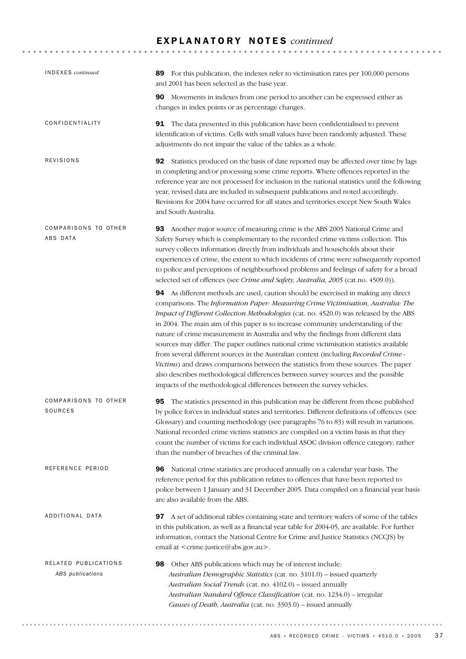| <b>INDEXES</b> continued                 | 89 For this publication, the indexes refer to victimisation rates per 100,000 persons<br>and 2001 has been selected as the base year.                                                                                                                                                                                                                                                                                                                                                                                                                                                                                                                                                                                                                                                                                                                                                 |
|------------------------------------------|---------------------------------------------------------------------------------------------------------------------------------------------------------------------------------------------------------------------------------------------------------------------------------------------------------------------------------------------------------------------------------------------------------------------------------------------------------------------------------------------------------------------------------------------------------------------------------------------------------------------------------------------------------------------------------------------------------------------------------------------------------------------------------------------------------------------------------------------------------------------------------------|
|                                          | 90 Movements in indexes from one period to another can be expressed either as<br>changes in index points or as percentage changes.                                                                                                                                                                                                                                                                                                                                                                                                                                                                                                                                                                                                                                                                                                                                                    |
| CONFIDENTIALITY                          | <b>91</b> The data presented in this publication have been confidentialised to prevent<br>identification of victims. Cells with small values have been randomly adjusted. These<br>adjustments do not impair the value of the tables as a whole.                                                                                                                                                                                                                                                                                                                                                                                                                                                                                                                                                                                                                                      |
| REVISIONS                                | 92 Statistics produced on the basis of date reported may be affected over time by lags<br>in completing and/or processing some crime reports. Where offences reported in the<br>reference year are not processed for inclusion in the national statistics until the following<br>year, revised data are included in subsequent publications and noted accordingly.<br>Revisions for 2004 have occurred for all states and territories except New South Wales<br>and South Australia.                                                                                                                                                                                                                                                                                                                                                                                                  |
| COMPARISONS TO OTHER<br>ABS DATA         | 93 Another major source of measuring crime is the ABS 2005 National Crime and<br>Safety Survey which is complementary to the recorded crime victims collection. This<br>survey collects information directly from individuals and households about their<br>experiences of crime, the extent to which incidents of crime were subsequently reported<br>to police and perceptions of neighbourhood problems and feelings of safety for a broad<br>selected set of offences (see Crime and Safety, Australia, 2005 (cat.no. 4509.0)).                                                                                                                                                                                                                                                                                                                                                   |
|                                          | 94 As different methods are used, caution should be exercised in making any direct<br>comparisons. The Information Paper: Measuring Crime Victimisation, Australia: The<br>Impact of Different Collection Methodologies (cat. no. 4520.0) was released by the ABS<br>in 2004. The main aim of this paper is to increase community understanding of the<br>nature of crime measurement in Australia and why the findings from different data<br>sources may differ. The paper outlines national crime victimisation statistics available<br>from several different sources in the Australian context (including Recorded Crime -<br>Victims) and draws comparisons between the statistics from these sources. The paper<br>also describes methodological differences between survey sources and the possible<br>impacts of the methodological differences between the survey vehicles. |
| COMPARISONS TO OTHER<br>SOURCES          | <b>95</b> The statistics presented in this publication may be different from those published<br>by police forces in individual states and territories. Different definitions of offences (see<br>Glossary) and counting methodology (see paragraphs 76 to 83) will result in variations.<br>National recorded crime victims statistics are compiled on a victim basis in that they<br>count the number of victims for each individual ASOC division offence category, rather<br>than the number of breaches of the criminal law.                                                                                                                                                                                                                                                                                                                                                      |
| REFERENCE PERIOD                         | 96 National crime statistics are produced annually on a calendar year basis. The<br>reference period for this publication relates to offences that have been reported to<br>police between 1 January and 31 December 2005. Data compiled on a financial year basis<br>are also available from the ABS.                                                                                                                                                                                                                                                                                                                                                                                                                                                                                                                                                                                |
| ADDITIONAL DATA                          | 97 A set of additional tables containing state and territory wafers of some of the tables<br>in this publication, as well as a financial year table for 2004-05, are available. For further<br>information, contact the National Centre for Crime and Justice Statistics (NCCJS) by<br>email at <crime.justice@abs.gov.au>.</crime.justice@abs.gov.au>                                                                                                                                                                                                                                                                                                                                                                                                                                                                                                                                |
| RELATED PUBLICATIONS<br>ABS publications | 98<br>Other ABS publications which may be of interest include:<br>Australian Demographic Statistics (cat. no. 3101.0) - issued quarterly<br>Australian Social Trends (cat. no. 4102.0) - issued annually<br>Australian Standard Offence Classification (cat. no. 1234.0) - irregular<br>Causes of Death, Australia (cat. no. 3303.0) - issued annually                                                                                                                                                                                                                                                                                                                                                                                                                                                                                                                                |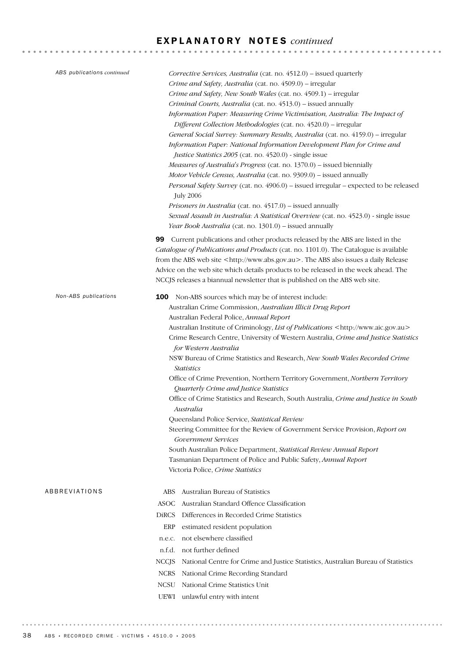| ABS publications continued | Corrective Services, Australia (cat. no. 4512.0) - issued quarterly<br>Crime and Safety, Australia (cat. no. 4509.0) - irregular<br>Crime and Safety, New South Wales (cat. no. 4509.1) - irregular<br>Criminal Courts, Australia (cat. no. 4513.0) – issued annually<br>Information Paper: Measuring Crime Victimisation, Australia: The Impact of<br>Different Collection Methodologies (cat. no. 4520.0) - irregular<br>General Social Survey: Summary Results, Australia (cat. no. 4159.0) - irregular<br>Information Paper: National Information Development Plan for Crime and<br>Justice Statistics 2005 (cat. no. 4520.0) - single issue<br>Measures of Australia's Progress (cat. no. 1370.0) - issued biennially<br>Motor Vehicle Census, Australia (cat. no. 9309.0) - issued annually<br>Personal Safety Survey (cat. no. 4906.0) - issued irregular - expected to be released<br><b>July 2006</b><br><i>Prisoners in Australia</i> (cat. no. 4517.0) – issued annually<br>Sexual Assault in Australia: A Statistical Overview (cat. no. 4523.0) - single issue<br>Year Book Australia (cat. no. 1301.0) – issued annually |
|----------------------------|----------------------------------------------------------------------------------------------------------------------------------------------------------------------------------------------------------------------------------------------------------------------------------------------------------------------------------------------------------------------------------------------------------------------------------------------------------------------------------------------------------------------------------------------------------------------------------------------------------------------------------------------------------------------------------------------------------------------------------------------------------------------------------------------------------------------------------------------------------------------------------------------------------------------------------------------------------------------------------------------------------------------------------------------------------------------------------------------------------------------------------------|
|                            | <b>99</b> Current publications and other products released by the ABS are listed in the<br>Catalogue of Publications and Products (cat. no. 1101.0). The Catalogue is available<br>from the ABS web site <http: www.abs.gov.au="">. The ABS also issues a daily Release<br/>Advice on the web site which details products to be released in the week ahead. The<br/>NCCJS releases a biannual newsletter that is published on the ABS web site.</http:>                                                                                                                                                                                                                                                                                                                                                                                                                                                                                                                                                                                                                                                                                |
| Non-ABS publications       | 100 Non-ABS sources which may be of interest include:<br>Australian Crime Commission, Australian Illicit Drug Report<br>Australian Federal Police, Annual Report<br>Australian Institute of Criminology, List of Publications <http: www.aic.gov.au=""><br/>Crime Research Centre, University of Western Australia, Crime and Justice Statistics<br/>for Western Australia<br/>NSW Bureau of Crime Statistics and Research, New South Wales Recorded Crime<br/><b>Statistics</b><br/>Office of Crime Prevention, Northern Territory Government, Northern Territory<br/>Quarterly Crime and Justice Statistics<br/>Office of Crime Statistics and Research, South Australia, Crime and Justice in South<br/>Australia<br/>Queensland Police Service, Statistical Review<br/>Steering Committee for the Review of Government Service Provision, Report on<br/>Government Services<br/>South Australian Police Department, Statistical Review Annual Report<br/>Tasmanian Department of Police and Public Safety, Annual Report<br/>Victoria Police, Crime Statistics</http:>                                                             |
| ABBREVIATIONS              | Australian Bureau of Statistics<br>ABS -<br>ASOC Australian Standard Offence Classification<br>DiRCS Differences in Recorded Crime Statistics<br>estimated resident population<br>ERP<br>n.e.c. not elsewhere classified<br>n.f.d. not further defined<br>NCCJS National Centre for Crime and Justice Statistics, Australian Bureau of Statistics<br>NCRS National Crime Recording Standard<br>National Crime Statistics Unit<br>NCSU<br>UEWI unlawful entry with intent                                                                                                                                                                                                                                                                                                                                                                                                                                                                                                                                                                                                                                                               |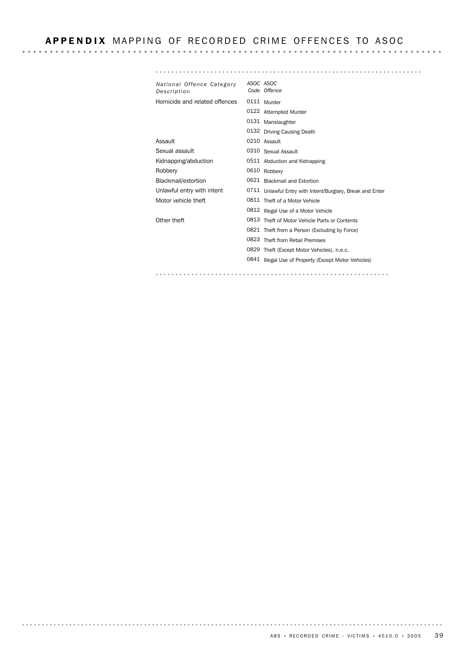### APPENDIX MAPPING OF RECORDED CRIME OFFENCES TO ASOC

*ASOC ASOC National Offence Category Description Offence Code* Homicide and related offences 0111 Murder 0122 Attempted Murder 0131 Manslaughter 0132 Driving Causing Death Assault 0210 Assault Sexual assault **0310** Sexual Assault Kidnapping/abduction 0511 Abduction and Kidnapping Robbery 0610 Robbery Blackmail/extortion 0621 Blackmail and Extortion Unlawful entry with intent <sup>0711</sup> Unlawful Entry with Intent/Burglary, Break and Enter Motor vehicle theft 0811 Theft of a Motor Vehicle 0812 Illegal Use of a Motor Vehicle Other theft 0813 Theft of Motor Vehicle Parts or Contents 0821 Theft from a Person (Excluding by Force) 0823 Theft from Retail Premises 0829 Theft (Except Motor Vehicles), n.e.c. 0841 Illegal Use of Property (Except Motor Vehicles) 

. . . . . . . . . .

. . . . . . . . .

. . . . . . . . . . . . . . .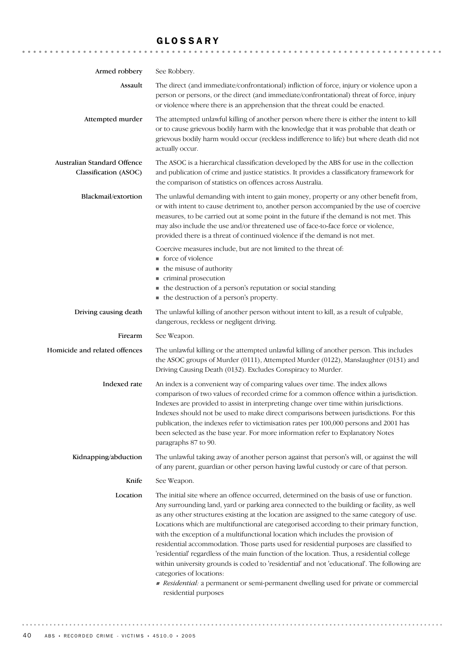## GLOSSARY

| Armed robbery                                        | See Robbery.                                                                                                                                                                                                                                                                                                                                                                                                                                                                                                                                                                                                                                                                                                                                                                                                                                                                 |
|------------------------------------------------------|------------------------------------------------------------------------------------------------------------------------------------------------------------------------------------------------------------------------------------------------------------------------------------------------------------------------------------------------------------------------------------------------------------------------------------------------------------------------------------------------------------------------------------------------------------------------------------------------------------------------------------------------------------------------------------------------------------------------------------------------------------------------------------------------------------------------------------------------------------------------------|
| Assault                                              | The direct (and immediate/confrontational) infliction of force, injury or violence upon a<br>person or persons, or the direct (and immediate/confrontational) threat of force, injury<br>or violence where there is an apprehension that the threat could be enacted.                                                                                                                                                                                                                                                                                                                                                                                                                                                                                                                                                                                                        |
| Attempted murder                                     | The attempted unlawful killing of another person where there is either the intent to kill<br>or to cause grievous bodily harm with the knowledge that it was probable that death or<br>grievous bodily harm would occur (reckless indifference to life) but where death did not<br>actually occur.                                                                                                                                                                                                                                                                                                                                                                                                                                                                                                                                                                           |
| Australian Standard Offence<br>Classification (ASOC) | The ASOC is a hierarchical classification developed by the ABS for use in the collection<br>and publication of crime and justice statistics. It provides a classificatory framework for<br>the comparison of statistics on offences across Australia.                                                                                                                                                                                                                                                                                                                                                                                                                                                                                                                                                                                                                        |
| Blackmail/extortion                                  | The unlawful demanding with intent to gain money, property or any other benefit from,<br>or with intent to cause detriment to, another person accompanied by the use of coercive<br>measures, to be carried out at some point in the future if the demand is not met. This<br>may also include the use and/or threatened use of face-to-face force or violence,<br>provided there is a threat of continued violence if the demand is not met.                                                                                                                                                                                                                                                                                                                                                                                                                                |
|                                                      | Coercive measures include, but are not limited to the threat of:<br>■ force of violence<br>the misuse of authority<br>criminal prosecution<br>• the destruction of a person's reputation or social standing<br>• the destruction of a person's property.                                                                                                                                                                                                                                                                                                                                                                                                                                                                                                                                                                                                                     |
| Driving causing death                                | The unlawful killing of another person without intent to kill, as a result of culpable,<br>dangerous, reckless or negligent driving.                                                                                                                                                                                                                                                                                                                                                                                                                                                                                                                                                                                                                                                                                                                                         |
| Firearm                                              | See Weapon.                                                                                                                                                                                                                                                                                                                                                                                                                                                                                                                                                                                                                                                                                                                                                                                                                                                                  |
| Homicide and related offences                        | The unlawful killing or the attempted unlawful killing of another person. This includes<br>the ASOC groups of Murder (0111), Attempted Murder (0122), Manslaughter (0131) and<br>Driving Causing Death (0132). Excludes Conspiracy to Murder.                                                                                                                                                                                                                                                                                                                                                                                                                                                                                                                                                                                                                                |
| Indexed rate                                         | An index is a convenient way of comparing values over time. The index allows<br>comparison of two values of recorded crime for a common offence within a jurisdiction.<br>Indexes are provided to assist in interpreting change over time within jurisdictions.<br>Indexes should not be used to make direct comparisons between jurisdictions. For this<br>publication, the indexes refer to victimisation rates per 100,000 persons and 2001 has<br>been selected as the base year. For more information refer to Explanatory Notes<br>paragraphs 87 to 90.                                                                                                                                                                                                                                                                                                                |
| Kidnapping/abduction                                 | The unlawful taking away of another person against that person's will, or against the will<br>of any parent, guardian or other person having lawful custody or care of that person.                                                                                                                                                                                                                                                                                                                                                                                                                                                                                                                                                                                                                                                                                          |
| Knife                                                | See Weapon.                                                                                                                                                                                                                                                                                                                                                                                                                                                                                                                                                                                                                                                                                                                                                                                                                                                                  |
| Location                                             | The initial site where an offence occurred, determined on the basis of use or function.<br>Any surrounding land, yard or parking area connected to the building or facility, as well<br>as any other structures existing at the location are assigned to the same category of use.<br>Locations which are multifunctional are categorised according to their primary function,<br>with the exception of a multifunctional location which includes the provision of<br>residential accommodation. Those parts used for residential purposes are classified to<br>'residential' regardless of the main function of the location. Thus, a residential college<br>within university grounds is coded to 'residential' and not 'educational'. The following are<br>categories of locations:<br>Residential: a permanent or semi-permanent dwelling used for private or commercial |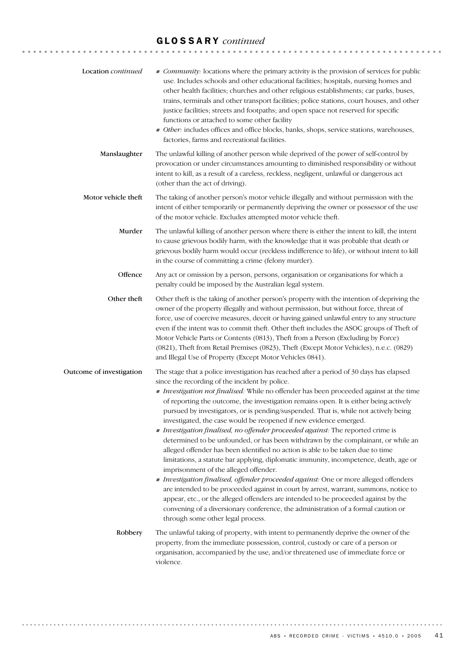## GLOSSARY *continued*

| Location continued       | Community: locations where the primary activity is the provision of services for public<br>use. Includes schools and other educational facilities; hospitals, nursing homes and<br>other health facilities; churches and other religious establishments; car parks, buses,<br>trains, terminals and other transport facilities; police stations, court houses, and other<br>justice facilities; streets and footpaths; and open space not reserved for specific<br>functions or attached to some other facility<br>Other: includes offices and office blocks, banks, shops, service stations, warehouses,<br>factories, farms and recreational facilities.                                                                                                                                                                                                                                                                                                                                                                                                                                                                                                                                                                                                                       |
|--------------------------|----------------------------------------------------------------------------------------------------------------------------------------------------------------------------------------------------------------------------------------------------------------------------------------------------------------------------------------------------------------------------------------------------------------------------------------------------------------------------------------------------------------------------------------------------------------------------------------------------------------------------------------------------------------------------------------------------------------------------------------------------------------------------------------------------------------------------------------------------------------------------------------------------------------------------------------------------------------------------------------------------------------------------------------------------------------------------------------------------------------------------------------------------------------------------------------------------------------------------------------------------------------------------------|
| Manslaughter             | The unlawful killing of another person while deprived of the power of self-control by<br>provocation or under circumstances amounting to diminished responsibility or without<br>intent to kill, as a result of a careless, reckless, negligent, unlawful or dangerous act<br>(other than the act of driving).                                                                                                                                                                                                                                                                                                                                                                                                                                                                                                                                                                                                                                                                                                                                                                                                                                                                                                                                                                   |
| Motor vehicle theft      | The taking of another person's motor vehicle illegally and without permission with the<br>intent of either temporarily or permanently depriving the owner or possessor of the use<br>of the motor vehicle. Excludes attempted motor vehicle theft.                                                                                                                                                                                                                                                                                                                                                                                                                                                                                                                                                                                                                                                                                                                                                                                                                                                                                                                                                                                                                               |
| Murder                   | The unlawful killing of another person where there is either the intent to kill, the intent<br>to cause grievous bodily harm, with the knowledge that it was probable that death or<br>grievous bodily harm would occur (reckless indifference to life), or without intent to kill<br>in the course of committing a crime (felony murder).                                                                                                                                                                                                                                                                                                                                                                                                                                                                                                                                                                                                                                                                                                                                                                                                                                                                                                                                       |
| Offence                  | Any act or omission by a person, persons, organisation or organisations for which a<br>penalty could be imposed by the Australian legal system.                                                                                                                                                                                                                                                                                                                                                                                                                                                                                                                                                                                                                                                                                                                                                                                                                                                                                                                                                                                                                                                                                                                                  |
| Other theft              | Other theft is the taking of another person's property with the intention of depriving the<br>owner of the property illegally and without permission, but without force, threat of<br>force, use of coercive measures, deceit or having gained unlawful entry to any structure<br>even if the intent was to commit theft. Other theft includes the ASOC groups of Theft of<br>Motor Vehicle Parts or Contents (0813), Theft from a Person (Excluding by Force)<br>(0821), Theft from Retail Premises (0823), Theft (Except Motor Vehicles), n.e.c. (0829)<br>and Illegal Use of Property (Except Motor Vehicles 0841).                                                                                                                                                                                                                                                                                                                                                                                                                                                                                                                                                                                                                                                           |
| Outcome of investigation | The stage that a police investigation has reached after a period of 30 days has elapsed<br>since the recording of the incident by police.<br>Investigation not finalised. While no offender has been proceeded against at the time<br>of reporting the outcome, the investigation remains open. It is either being actively<br>pursued by investigators, or is pending/suspended. That is, while not actively being<br>investigated, the case would be reopened if new evidence emerged.<br>Investigation finalised, no offender proceeded against: The reported crime is<br>determined to be unfounded, or has been withdrawn by the complainant, or while an<br>alleged offender has been identified no action is able to be taken due to time<br>limitations, a statute bar applying, diplomatic immunity, incompetence, death, age or<br>imprisonment of the alleged offender.<br>Investigation finalised, offender proceeded against: One or more alleged offenders<br>are intended to be proceeded against in court by arrest, warrant, summons, notice to<br>appear, etc., or the alleged offenders are intended to be proceeded against by the<br>convening of a diversionary conference, the administration of a formal caution or<br>through some other legal process. |
| Robbery                  | The unlawful taking of property, with intent to permanently deprive the owner of the<br>property, from the immediate possession, control, custody or care of a person or<br>organisation, accompanied by the use, and/or threatened use of immediate force or<br>violence.                                                                                                                                                                                                                                                                                                                                                                                                                                                                                                                                                                                                                                                                                                                                                                                                                                                                                                                                                                                                       |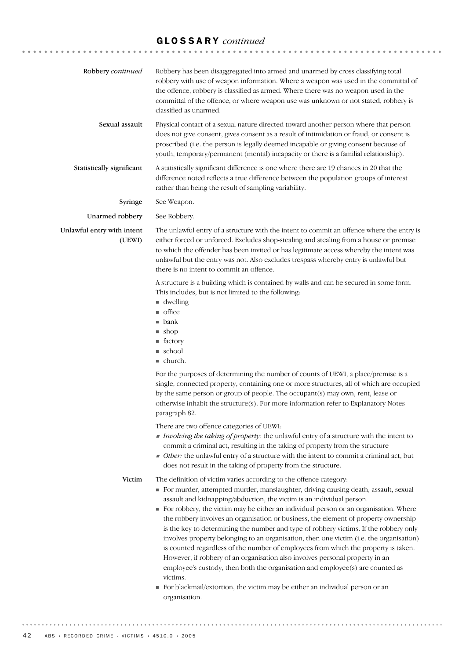# GLOSSARY *continued*

| Robbery continued                    | Robbery has been disaggregated into armed and unarmed by cross classifying total<br>robbery with use of weapon information. Where a weapon was used in the committal of<br>the offence, robbery is classified as armed. Where there was no weapon used in the<br>committal of the offence, or where weapon use was unknown or not stated, robbery is<br>classified as unarmed.                                                                                                                                                                                                                                                                                                                                                                                                                                                                                                                                                                                             |
|--------------------------------------|----------------------------------------------------------------------------------------------------------------------------------------------------------------------------------------------------------------------------------------------------------------------------------------------------------------------------------------------------------------------------------------------------------------------------------------------------------------------------------------------------------------------------------------------------------------------------------------------------------------------------------------------------------------------------------------------------------------------------------------------------------------------------------------------------------------------------------------------------------------------------------------------------------------------------------------------------------------------------|
| Sexual assault                       | Physical contact of a sexual nature directed toward another person where that person<br>does not give consent, gives consent as a result of intimidation or fraud, or consent is<br>proscribed (i.e. the person is legally deemed incapable or giving consent because of<br>youth, temporary/permanent (mental) incapacity or there is a familial relationship).                                                                                                                                                                                                                                                                                                                                                                                                                                                                                                                                                                                                           |
| Statistically significant            | A statistically significant difference is one where there are 19 chances in 20 that the<br>difference noted reflects a true difference between the population groups of interest<br>rather than being the result of sampling variability.                                                                                                                                                                                                                                                                                                                                                                                                                                                                                                                                                                                                                                                                                                                                  |
| Syringe                              | See Weapon.                                                                                                                                                                                                                                                                                                                                                                                                                                                                                                                                                                                                                                                                                                                                                                                                                                                                                                                                                                |
| Unarmed robbery                      | See Robbery.                                                                                                                                                                                                                                                                                                                                                                                                                                                                                                                                                                                                                                                                                                                                                                                                                                                                                                                                                               |
| Unlawful entry with intent<br>(UEWI) | The unlawful entry of a structure with the intent to commit an offence where the entry is<br>either forced or unforced. Excludes shop-stealing and stealing from a house or premise<br>to which the offender has been invited or has legitimate access whereby the intent was<br>unlawful but the entry was not. Also excludes trespass whereby entry is unlawful but<br>there is no intent to commit an offence.                                                                                                                                                                                                                                                                                                                                                                                                                                                                                                                                                          |
|                                      | A structure is a building which is contained by walls and can be secured in some form.<br>This includes, but is not limited to the following:<br>$\blacksquare$ dwelling<br>$\blacksquare$ office<br>$\blacksquare$ bank<br>$\blacksquare$ shop<br>■ factory<br>■ school<br>$\blacksquare$ church.                                                                                                                                                                                                                                                                                                                                                                                                                                                                                                                                                                                                                                                                         |
|                                      | For the purposes of determining the number of counts of UEWI, a place/premise is a<br>single, connected property, containing one or more structures, all of which are occupied<br>by the same person or group of people. The occupant(s) may own, rent, lease or<br>otherwise inhabit the structure(s). For more information refer to Explanatory Notes<br>paragraph 82.<br>There are two offence categories of UEWI:<br>Involving the taking of property: the unlawful entry of a structure with the intent to<br>commit a criminal act, resulting in the taking of property from the structure<br>• Other: the unlawful entry of a structure with the intent to commit a criminal act, but<br>does not result in the taking of property from the structure.                                                                                                                                                                                                              |
| Victim                               | The definition of victim varies according to the offence category:<br>For murder, attempted murder, manslaughter, driving causing death, assault, sexual<br>assault and kidnapping/abduction, the victim is an individual person.<br>• For robbery, the victim may be either an individual person or an organisation. Where<br>the robbery involves an organisation or business, the element of property ownership<br>is the key to determining the number and type of robbery victims. If the robbery only<br>involves property belonging to an organisation, then one victim (i.e. the organisation)<br>is counted regardless of the number of employees from which the property is taken.<br>However, if robbery of an organisation also involves personal property in an<br>employee's custody, then both the organisation and employee(s) are counted as<br>victims.<br>For blackmail/extortion, the victim may be either an individual person or an<br>organisation. |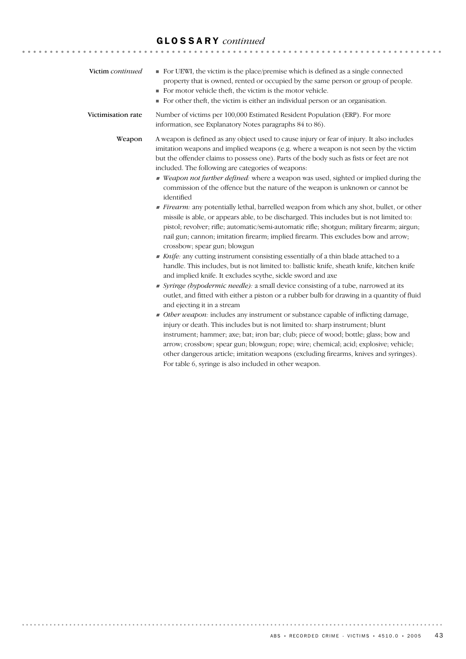# GLOSSARY *continued*

| Victim continued   | For UEWI, the victim is the place/premise which is defined as a single connected<br>property that is owned, rented or occupied by the same person or group of people.<br>For motor vehicle theft, the victim is the motor vehicle.<br>• For other theft, the victim is either an individual person or an organisation.                                                                                                                                                                                                                                                                                                                                                                                                                                                                                                                                                                                                                                                                                                                                                                                                                                                                                                                                                                                                                                                                                                                                                                                                                                                                                                                                                                                                                                                                                                                                                                                                  |
|--------------------|-------------------------------------------------------------------------------------------------------------------------------------------------------------------------------------------------------------------------------------------------------------------------------------------------------------------------------------------------------------------------------------------------------------------------------------------------------------------------------------------------------------------------------------------------------------------------------------------------------------------------------------------------------------------------------------------------------------------------------------------------------------------------------------------------------------------------------------------------------------------------------------------------------------------------------------------------------------------------------------------------------------------------------------------------------------------------------------------------------------------------------------------------------------------------------------------------------------------------------------------------------------------------------------------------------------------------------------------------------------------------------------------------------------------------------------------------------------------------------------------------------------------------------------------------------------------------------------------------------------------------------------------------------------------------------------------------------------------------------------------------------------------------------------------------------------------------------------------------------------------------------------------------------------------------|
| Victimisation rate | Number of victims per 100,000 Estimated Resident Population (ERP). For more<br>information, see Explanatory Notes paragraphs 84 to 86).                                                                                                                                                                                                                                                                                                                                                                                                                                                                                                                                                                                                                                                                                                                                                                                                                                                                                                                                                                                                                                                                                                                                                                                                                                                                                                                                                                                                                                                                                                                                                                                                                                                                                                                                                                                 |
| Weapon             | A weapon is defined as any object used to cause injury or fear of injury. It also includes<br>imitation weapons and implied weapons (e.g. where a weapon is not seen by the victim<br>but the offender claims to possess one). Parts of the body such as fists or feet are not<br>included. The following are categories of weapons:<br>■ Weapon not further defined: where a weapon was used, sighted or implied during the<br>commission of the offence but the nature of the weapon is unknown or cannot be<br>identified<br>Firearm: any potentially lethal, barrelled weapon from which any shot, bullet, or other<br>missile is able, or appears able, to be discharged. This includes but is not limited to:<br>pistol; revolver; rifle; automatic/semi-automatic rifle; shotgun; military firearm; airgun;<br>nail gun; cannon; imitation firearm; implied firearm. This excludes bow and arrow;<br>crossbow; spear gun; blowgun<br>Knife: any cutting instrument consisting essentially of a thin blade attached to a<br>handle. This includes, but is not limited to: ballistic knife, sheath knife, kitchen knife<br>and implied knife. It excludes scythe, sickle sword and axe<br>Syringe (hypodermic needle): a small device consisting of a tube, narrowed at its<br>outlet, and fitted with either a piston or a rubber bulb for drawing in a quantity of fluid<br>and ejecting it in a stream<br>• Other weapon: includes any instrument or substance capable of inflicting damage,<br>injury or death. This includes but is not limited to: sharp instrument; blunt<br>instrument; hammer; axe; bat; iron bar; club; piece of wood; bottle; glass; bow and<br>arrow; crossbow; spear gun; blowgun; rope; wire; chemical; acid; explosive; vehicle;<br>other dangerous article; imitation weapons (excluding firearms, knives and syringes).<br>For table 6, syringe is also included in other weapon. |